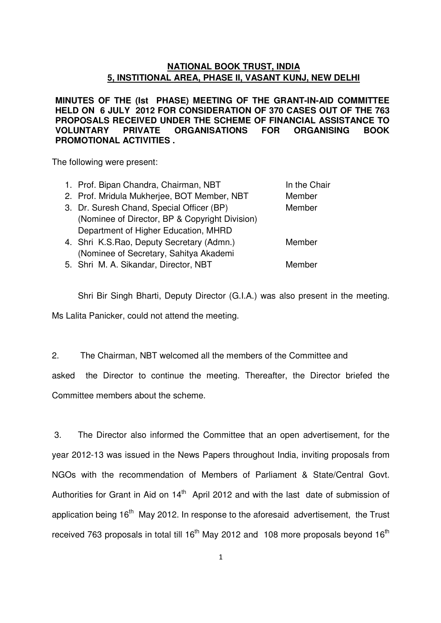#### **NATIONAL BOOK TRUST, INDIA 5, INSTITIONAL AREA, PHASE II, VASANT KUNJ, NEW DELHI**

**MINUTES OF THE (Ist PHASE) MEETING OF THE GRANT-IN-AID COMMITTEE HELD ON 6 JULY 2012 FOR CONSIDERATION OF 370 CASES OUT OF THE 763 PROPOSALS RECEIVED UNDER THE SCHEME OF FINANCIAL ASSISTANCE TO VOLUNTARY PRIVATE ORGANISATIONS FOR ORGANISING BOOK PROMOTIONAL ACTIVITIES .** 

The following were present:

| 1. Prof. Bipan Chandra, Chairman, NBT          | In the Chair |
|------------------------------------------------|--------------|
| 2. Prof. Mridula Mukherjee, BOT Member, NBT    | Member       |
| 3. Dr. Suresh Chand, Special Officer (BP)      | Member       |
| (Nominee of Director, BP & Copyright Division) |              |
| Department of Higher Education, MHRD           |              |
| 4. Shri K.S.Rao, Deputy Secretary (Admn.)      | Member       |
| (Nominee of Secretary, Sahitya Akademi         |              |
| 5. Shri M. A. Sikandar, Director, NBT          | Member       |

Shri Bir Singh Bharti, Deputy Director (G.I.A.) was also present in the meeting. Ms Lalita Panicker, could not attend the meeting.

2. The Chairman, NBT welcomed all the members of the Committee and

asked the Director to continue the meeting. Thereafter, the Director briefed the Committee members about the scheme.

 3. The Director also informed the Committee that an open advertisement, for the year 2012-13 was issued in the News Papers throughout India, inviting proposals from NGOs with the recommendation of Members of Parliament & State/Central Govt. Authorities for Grant in Aid on 14<sup>th</sup> April 2012 and with the last date of submission of application being  $16<sup>th</sup>$  May 2012. In response to the aforesaid advertisement, the Trust received 763 proposals in total till  $16<sup>th</sup>$  May 2012 and 108 more proposals beyond  $16<sup>th</sup>$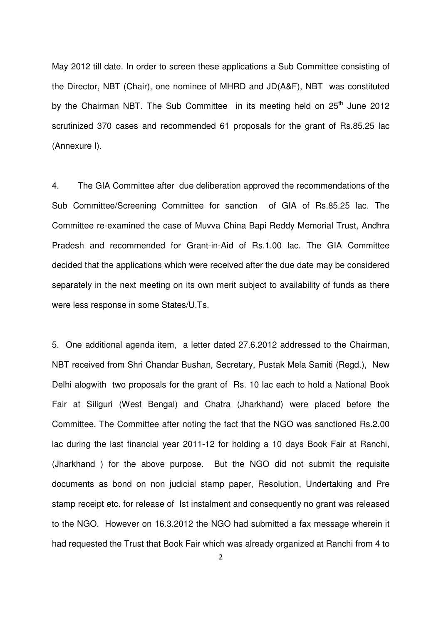May 2012 till date. In order to screen these applications a Sub Committee consisting of the Director, NBT (Chair), one nominee of MHRD and JD(A&F), NBT was constituted by the Chairman NBT. The Sub Committee in its meeting held on 25<sup>th</sup> June 2012 scrutinized 370 cases and recommended 61 proposals for the grant of Rs.85.25 lac (Annexure I).

4. The GIA Committee after due deliberation approved the recommendations of the Sub Committee/Screening Committee for sanction of GIA of Rs.85.25 lac. The Committee re-examined the case of Muvva China Bapi Reddy Memorial Trust, Andhra Pradesh and recommended for Grant-in-Aid of Rs.1.00 lac. The GIA Committee decided that the applications which were received after the due date may be considered separately in the next meeting on its own merit subject to availability of funds as there were less response in some States/U.Ts.

5. One additional agenda item, a letter dated 27.6.2012 addressed to the Chairman, NBT received from Shri Chandar Bushan, Secretary, Pustak Mela Samiti (Regd.), New Delhi alogwith two proposals for the grant of Rs. 10 lac each to hold a National Book Fair at Siliguri (West Bengal) and Chatra (Jharkhand) were placed before the Committee. The Committee after noting the fact that the NGO was sanctioned Rs.2.00 lac during the last financial year 2011-12 for holding a 10 days Book Fair at Ranchi, (Jharkhand ) for the above purpose. But the NGO did not submit the requisite documents as bond on non judicial stamp paper, Resolution, Undertaking and Pre stamp receipt etc. for release of Ist instalment and consequently no grant was released to the NGO. However on 16.3.2012 the NGO had submitted a fax message wherein it had requested the Trust that Book Fair which was already organized at Ranchi from 4 to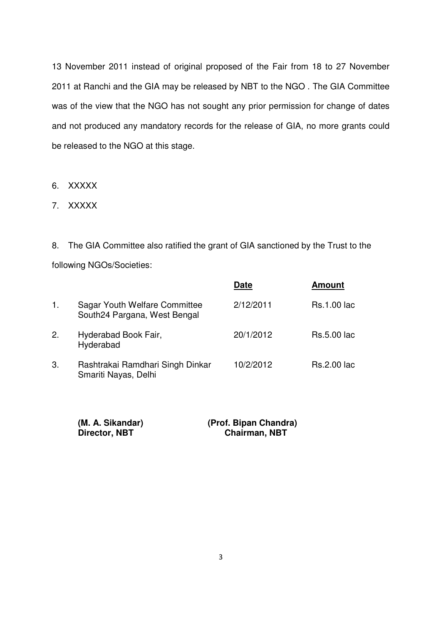13 November 2011 instead of original proposed of the Fair from 18 to 27 November 2011 at Ranchi and the GIA may be released by NBT to the NGO . The GIA Committee was of the view that the NGO has not sought any prior permission for change of dates and not produced any mandatory records for the release of GIA, no more grants could be released to the NGO at this stage.

- 6. XXXXX
- 7. XXXXX

8. The GIA Committee also ratified the grant of GIA sanctioned by the Trust to the following NGOs/Societies:

|    |                                                               | Date      | <b>Amount</b>      |
|----|---------------------------------------------------------------|-----------|--------------------|
| 1. | Sagar Youth Welfare Committee<br>South24 Pargana, West Bengal | 2/12/2011 | <b>Rs.1.00 lac</b> |
| 2. | Hyderabad Book Fair,<br>Hyderabad                             | 20/1/2012 | <b>Rs.5.00 lac</b> |
| 3. | Rashtrakai Ramdhari Singh Dinkar<br>Smariti Nayas, Delhi      | 10/2/2012 | <b>Rs.2.00 lac</b> |

| (M. A. Sikandar) | (Prof. Bipan Chandra) |
|------------------|-----------------------|
| Director, NBT    | <b>Chairman, NBT</b>  |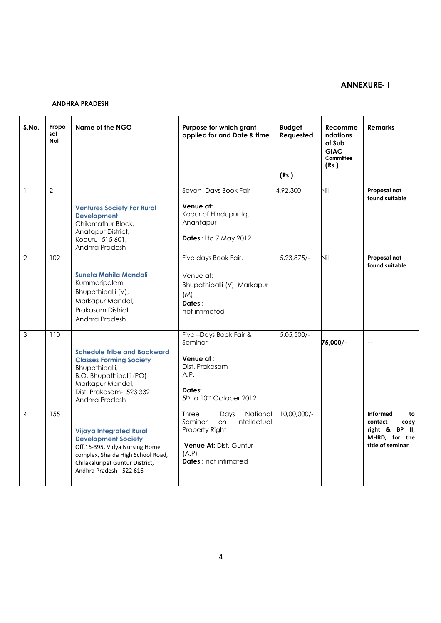#### ANNEXURE- I

#### ANDHRA PRADESH

| S.No.          | Propo<br>sal<br><b>Nol</b> | Name of the NGO                                                                                                                                                                                    | Purpose for which grant<br>applied for and Date & time                                                                                                       | <b>Budget</b><br>Requested<br>(Rs.) | Recomme<br>ndations<br>of Sub<br><b>GIAC</b><br>Committee<br>(Rs.) | <b>Remarks</b>                                                                                  |
|----------------|----------------------------|----------------------------------------------------------------------------------------------------------------------------------------------------------------------------------------------------|--------------------------------------------------------------------------------------------------------------------------------------------------------------|-------------------------------------|--------------------------------------------------------------------|-------------------------------------------------------------------------------------------------|
| $\overline{1}$ | $\overline{2}$             | <b>Ventures Society For Rural</b><br><b>Development</b><br>Chilamathur Block,<br>Anatapur District,<br>Koduru- 515 601,<br>Andhra Pradesh                                                          | Seven Days Book Fair<br>Venue at:<br>Kodur of Hindupur tq.<br>Anantapur<br><b>Dates: 110 7 May 2012</b>                                                      | 4,92,300                            | Nil                                                                | Proposal not<br>found suitable                                                                  |
| $\overline{2}$ | 102 <sup>2</sup>           | Suneta Mahila Mandali<br>Kummaripalem<br>Bhupathipalli (V),<br>Markapur Mandal,<br>Prakasam District,<br>Andhra Pradesh                                                                            | Five days Book Fair.<br>Venue at:<br>Bhupathipalli (V), Markapur<br>(M)<br>Dates:<br>not intimated                                                           | $5,23,875/-$                        | Nil                                                                | Proposal not<br>found suitable                                                                  |
| 3              | 110                        | <b>Schedule Tribe and Backward</b><br><b>Classes Forming Society</b><br>Bhupathipalli,<br><b>B.O. Bhupathipalli (PO)</b><br>Markapur Mandal,<br>Dist. Prakasam- 523 332<br>Andhra Pradesh          | Five-Days Book Fair &<br>Seminar<br>Venue at :<br>Dist. Prakasam<br>A.P.<br>Dates:<br>5 <sup>th</sup> to 10 <sup>th</sup> October 2012                       | $5,05,500/-$                        | 75,000/-                                                           | $\sim$                                                                                          |
| 4              | 155                        | <b>Vijaya Integrated Rural</b><br><b>Development Society</b><br>Off.16-395, Vidya Nursing Home<br>complex, Sharda High School Road,<br>Chilakaluripet Guntur District,<br>Andhra Pradesh - 522 616 | <b>Three</b><br>National<br>Days<br>Intellectual<br>Seminar<br>on<br>Property Right<br><b>Venue At: Dist. Guntur</b><br>(A.P)<br><b>Dates:</b> not intimated | 10,00,000/-                         |                                                                    | <b>Informed</b><br>to<br>contact<br>copy<br>right & BP II,<br>MHRD, for the<br>title of seminar |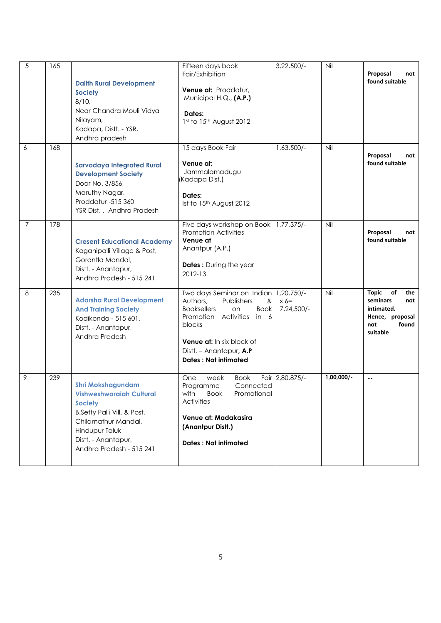| 5              | 165 | <b>Dalith Rural Development</b><br><b>Society</b><br>8/10,<br>Near Chandra Mouli Vidya<br>Nilayam,<br>Kadapa, Distt. - YSR,<br>Andhra pradesh                                                     | Fifteen days book<br>Fair/Exhibition<br>Venue at: Proddatur,<br>Municipal H.Q., (A.P.)<br>Dates:<br>1st to 15th August 2012                                                                                                    | $3,22,500/-$                        | Nil          | Proposal<br>not<br>found suitable                                                                         |
|----------------|-----|---------------------------------------------------------------------------------------------------------------------------------------------------------------------------------------------------|--------------------------------------------------------------------------------------------------------------------------------------------------------------------------------------------------------------------------------|-------------------------------------|--------------|-----------------------------------------------------------------------------------------------------------|
| 6              | 168 | <b>Sarvodaya Integrated Rural</b><br><b>Development Society</b><br>Door No. 3/856,<br>Maruthy Nagar,<br>Proddatur -515 360<br>YSR Dist., Andhra Pradesh                                           | 15 days Book Fair<br>Venue at:<br>Jammalamadugu<br>(Kadapa Dist.)<br>Dates:<br>Ist to 15th August 2012                                                                                                                         | 1,63,500/-                          | Nil          | Proposal<br>not<br>found suitable                                                                         |
| $\overline{7}$ | 178 | <b>Cresent Educational Academy</b><br>Kaganipalli Village & Post,<br>Gorantla Mandal,<br>Distt. - Anantapur,<br>Andhra Pradesh - 515 241                                                          | Five days workshop on Book<br><b>Promotion Activities</b><br>Venue at<br>Anantpur (A.P.)<br><b>Dates:</b> During the year<br>2012-13                                                                                           | $1,77,375/-$                        | Nil          | Proposal<br>not<br>found suitable                                                                         |
| 8              | 235 | <b>Adarsha Rural Development</b><br><b>And Training Society</b><br>Kodikonda - 515 601,<br>Distt. - Anantapur,<br>Andhra Pradesh                                                                  | Two days Seminar on Indian<br>Authors,<br>Publishers<br>&<br><b>Booksellers</b><br>on<br>Book<br>Promotion<br>Activities in 6<br>blocks<br>Venue at: In six block of<br>Distt. - Anantapur, A.P<br><b>Dates: Not intimated</b> | 1,20,750/-<br>$x 6 =$<br>7,24,500/- | Nil          | of<br><b>Topic</b><br>the<br>seminars<br>not<br>intimated.<br>Hence, proposal<br>found<br>not<br>suitable |
| 9              | 239 | <b>Shri Mokshagundam</b><br>Vishweshwaraiah Cultural<br><b>Society</b><br>B.Setty Palli Vill. & Post,<br>Chilamathur Mandal,<br>Hindupur Taluk<br>Distt. - Anantapur,<br>Andhra Pradesh - 515 241 | One<br>week<br><b>Book</b><br>Programme<br>Connected<br>Promotional<br>with<br>ROOK<br><b>Activities</b><br>Venue at: Madakasira<br>(Anantpur Distt.)<br><b>Dates: Not intimated</b>                                           | Fair 2,80,875/-                     | $1,00,000/-$ | $\overline{\phantom{a}}$                                                                                  |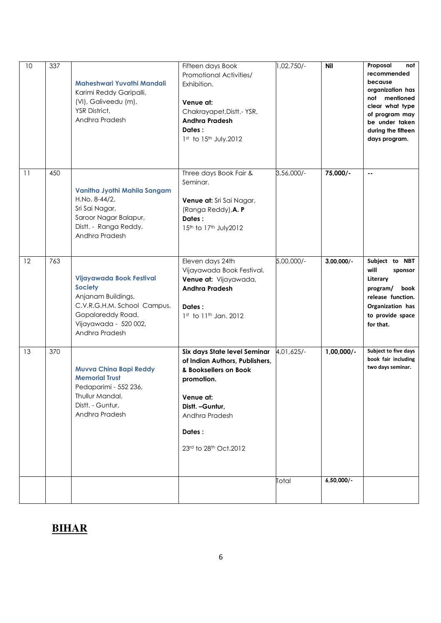| 10 | 337 | Maheshwari Yuvathi Mandali<br>Karimi Reddy Garipalli,<br>(VI), Galiveedu (m),<br>YSR District,<br>Andhra Pradesh                                                | Fifteen days Book<br>Promotional Activities/<br>Exhibition.<br>Venue at:<br>Chakrayapet, Distt. - YSR,<br><b>Andhra Pradesh</b><br>Dates:<br>$1st$ to $15th$ July.2012                      | 1,02,750/-          | <b>Nil</b>                   | Proposal<br>not<br>recommended<br>because<br>organization has<br>not mentioned<br>clear what type<br>of program may<br>be under taken<br>during the fifteen<br>days program. |
|----|-----|-----------------------------------------------------------------------------------------------------------------------------------------------------------------|---------------------------------------------------------------------------------------------------------------------------------------------------------------------------------------------|---------------------|------------------------------|------------------------------------------------------------------------------------------------------------------------------------------------------------------------------|
| 11 | 450 | Vanitha Jyothi Mahila Sangam<br>H.No. 8-44/2,<br>Sri Sai Nagar,<br>Saroor Nagar Balapur,<br>Distt. - Ranga Reddy,<br>Andhra Pradesh                             | Three days Book Fair &<br>Seminar.<br>Venue at: Sri Sai Nagar,<br>(Ranga Reddy), A. P<br>Dates:<br>15th to 17th July2012                                                                    | 3,56,000/-          | 75,000/-                     | $\sim$ $\sim$                                                                                                                                                                |
| 12 | 763 | Vijayawada Book Festival<br><b>Society</b><br>Anjanam Buildings,<br>C.V.R.G.H.M. School Campus,<br>Gopalareddy Road,<br>Vijayawada - 520 002,<br>Andhra Pradesh | Eleven days 24th<br>Vijayawada Book Festival.<br>Venue at: Vijayawada,<br><b>Andhra Pradesh</b><br>Dates:<br>1st to 11th Jan. 2012                                                          | 5,00,000/-          | $3,00,000/$ -                | Subject to NBT<br>will<br>sponsor<br>Literary<br>program/<br>book<br>release function.<br>Organization has<br>to provide space<br>for that.                                  |
| 13 | 370 | Muvva China Bapi Reddy<br><b>Memorial Trust</b><br>Pedaparimi - 552 236,<br>Thullur Mandal,<br>Distt. - Guntur,<br>Andhra Pradesh                               | Six days State level Seminar<br>of Indian Authors, Publishers,<br>& Booksellers on Book<br>promotion.<br>Venue at:<br>Distt. - Guntur,<br>Andhra Pradesh<br>Dates:<br>23rd to 28th Oct.2012 | 4,01,625/-<br>Total | $1,00,000/-$<br>$6,50,000/-$ | Subject to five days<br>book fair including<br>two days seminar.                                                                                                             |
|    |     |                                                                                                                                                                 |                                                                                                                                                                                             |                     |                              |                                                                                                                                                                              |

#### **BIHAR**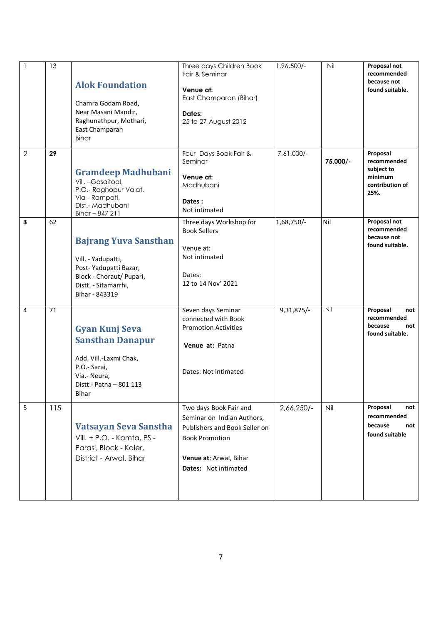| $\mathbf{1}$   | 13  | <b>Alok Foundation</b><br>Chamra Godam Road,<br>Near Masani Mandir,<br>Raghunathpur, Mothari,<br>East Champaran<br><b>Bihar</b>                   | Three days Children Book<br>Fair & Seminar<br>Venue at:<br>East Champaran (Bihar)<br>Dates:<br>25 to 27 August 2012                                              | 1,96,500/-   | Nil      | Proposal not<br>recommended<br>because not<br>found suitable.               |
|----------------|-----|---------------------------------------------------------------------------------------------------------------------------------------------------|------------------------------------------------------------------------------------------------------------------------------------------------------------------|--------------|----------|-----------------------------------------------------------------------------|
| $\overline{2}$ | 29  | <b>Gramdeep Madhubani</b><br>Vill. -Gosaitoal,<br>P.O.- Raghopur Valat,<br>Via - Rampati,<br>Dist.- Madhubani<br>Bihar-847 211                    | Four Days Book Fair &<br>Seminar<br>Venue at:<br>Madhubani<br>Dates:<br>Not intimated                                                                            | 7,61,000/-   | 75,000/- | Proposal<br>recommended<br>subject to<br>minimum<br>contribution of<br>25%. |
| 3              | 62  | <b>Bajrang Yuva Sansthan</b><br>Vill. - Yadupatti,<br>Post-Yadupatti Bazar,<br>Block - Choraut/ Pupari,<br>Distt. - Sitamarrhi,<br>Bihar - 843319 | Three days Workshop for<br><b>Book Sellers</b><br>Venue at:<br>Not intimated<br>Dates:<br>12 to 14 Nov' 2021                                                     | 1,68,750/-   | Nil      | Proposal not<br>recommended<br>because not<br>found suitable.               |
| 4              | 71  | <b>Gyan Kunj Seva</b><br><b>Sansthan Danapur</b><br>Add. Vill.-Laxmi Chak,<br>P.O.- Sarai,<br>Via.- Neura,<br>Distt.- Patna - 801 113<br>Bihar    | Seven days Seminar<br>connected with Book<br><b>Promotion Activities</b><br>Venue at: Patna<br>Dates: Not intimated                                              | $9,31,875/-$ | Nil      | Proposal<br>not<br>recommended<br>because<br>not<br>found suitable.         |
| 5              | 115 | Vatsayan Seva Sanstha<br>Vill. + P.O. - Kamta, PS -<br>Parasi, Block - Kaler,<br>District - Arwal, Bihar                                          | Two days Book Fair and<br>Seminar on Indian Authors,<br>Publishers and Book Seller on<br><b>Book Promotion</b><br>Venue at: Arwal, Bihar<br>Dates: Not intimated | $2,66,250/-$ | Nil      | Proposal<br>not<br>recommended<br>because<br>not<br>found suitable          |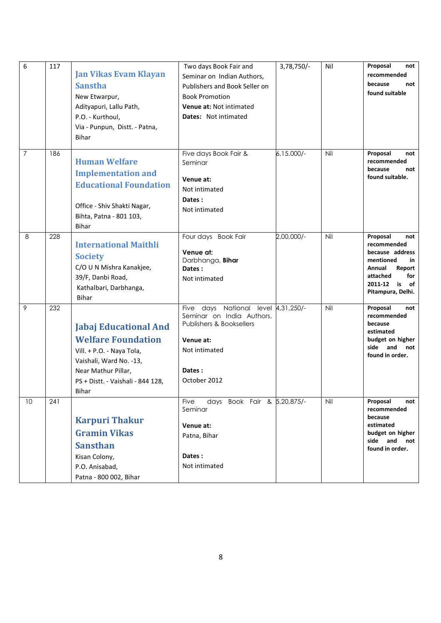| 6              | 117 | <b>Jan Vikas Evam Klayan</b><br><b>Sanstha</b><br>New Etwarpur,<br>Adityapuri, Lallu Path,<br>P.O. - Kurthoul,<br>Via - Punpun, Distt. - Patna,<br>Bihar                               | Two days Book Fair and<br>Seminar on Indian Authors,<br>Publishers and Book Seller on<br><b>Book Promotion</b><br>Venue at: Not intimated<br><b>Dates:</b> Not intimated | 3,78,750/-    | Nil | Proposal<br>not<br>recommended<br>because<br>not<br>found suitable                                                                                   |
|----------------|-----|----------------------------------------------------------------------------------------------------------------------------------------------------------------------------------------|--------------------------------------------------------------------------------------------------------------------------------------------------------------------------|---------------|-----|------------------------------------------------------------------------------------------------------------------------------------------------------|
| $\overline{7}$ | 186 | <b>Human Welfare</b><br><b>Implementation and</b><br><b>Educational Foundation</b><br>Office - Shiv Shakti Nagar,<br>Bihta, Patna - 801 103,<br>Bihar                                  | Five days Book Fair &<br>Seminar<br>Venue at:<br>Not intimated<br>Dates:<br>Not intimated                                                                                | $6,15,000$ /- | Nil | Proposal<br>not<br>recommended<br>because<br>not<br>found suitable.                                                                                  |
| 8              | 228 | <b>International Maithli</b><br><b>Society</b><br>C/O U N Mishra Kanakjee,<br>39/F, Danbi Road,<br>Kathalbari, Darbhanga,<br><b>Bihar</b>                                              | Four days Book Fair<br>Venue at:<br>Darbhanga, Bihar<br>Dates:<br>Not intimated                                                                                          | $2,00,000/-$  | Nil | Proposal<br>not<br>recommended<br>because address<br>mentioned<br>in<br>Annual<br>Report<br>attached<br>for<br>2011-12 is<br>of<br>Pitampura, Delhi. |
| 9              | 232 | <b>Jabaj Educational And</b><br><b>Welfare Foundation</b><br>Vill. + P.O. - Naya Tola,<br>Vaishali, Ward No. -13,<br>Near Mathur Pillar,<br>PS + Distt. - Vaishali - 844 128,<br>Bihar | Five days National level 4,31,250/-<br>Seminar on India Authors,<br>Publishers & Booksellers<br>Venue at:<br>Not intimated<br>Dates:<br>October 2012                     |               | Nil | Proposal<br>not<br>recommended<br>because<br>estimated<br>budget on higher<br>side<br>and<br>not<br>found in order.                                  |
| 10             | 241 | <b>Karpuri Thakur</b><br><b>Gramin Vikas</b><br><b>Sansthan</b><br>Kisan Colony,<br>P.O. Anisabad,<br>Patna - 800 002, Bihar                                                           | days Book Fair & 5,20,875/-<br><b>Five</b><br>Seminar<br>Venue at:<br>Patna, Bihar<br>Dates:<br>Not intimated                                                            |               | Nil | Proposal<br>not<br>recommended<br>because<br>estimated<br>budget on higher<br>side and<br>not<br>found in order.                                     |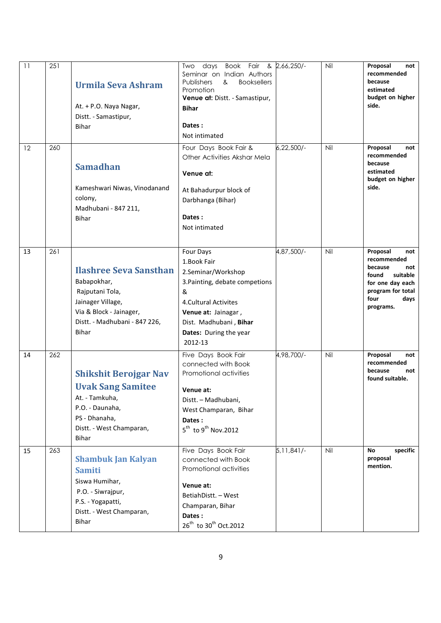| 11 | 251 | <b>Urmila Seva Ashram</b><br>At. + P.O. Naya Nagar,<br>Distt. - Samastipur,<br><b>Bihar</b>                                                               | Book Fair & 2,66,250/-<br>Two<br>days<br>Seminar on Indian Authors<br>Publishers<br><b>Booksellers</b><br>&<br>Promotion<br>Venue at: Distt. - Samastipur,<br><b>Bihar</b><br>Dates:<br>Not intimated       |              | Nil | Proposal<br>not<br>recommended<br>because<br>estimated<br>budget on higher<br>side.                                                         |
|----|-----|-----------------------------------------------------------------------------------------------------------------------------------------------------------|-------------------------------------------------------------------------------------------------------------------------------------------------------------------------------------------------------------|--------------|-----|---------------------------------------------------------------------------------------------------------------------------------------------|
| 12 | 260 | <b>Samadhan</b><br>Kameshwari Niwas, Vinodanand<br>colony,<br>Madhubani - 847 211,<br><b>Bihar</b>                                                        | Four Days Book Fair &<br>Other Activities Akshar Mela<br>Venue at:<br>At Bahadurpur block of<br>Darbhanga (Bihar)<br>Dates:<br>Not intimated                                                                | $6,22,500/-$ | Nil | Proposal<br>not<br>recommended<br>because<br>estimated<br>budget on higher<br>side.                                                         |
| 13 | 261 | <b>Ilashree Seva Sansthan</b><br>Babapokhar,<br>Rajputani Tola,<br>Jainager Village,<br>Via & Block - Jainager,<br>Distt. - Madhubani - 847 226,<br>Bihar | Four Days<br>1. Book Fair<br>2.Seminar/Workshop<br>3. Painting, debate competions<br>&<br><b>4.Cultural Activites</b><br>Venue at: Jainagar,<br>Dist. Madhubani, Bihar<br>Dates: During the year<br>2012-13 | 4,87,500/-   | Nil | Proposal<br>not<br>recommended<br>because<br>not<br>found<br>suitable<br>for one day each<br>program for total<br>four<br>days<br>programs. |
| 14 | 262 | <b>Shikshit Berojgar Nav</b><br><b>Uvak Sang Samitee</b><br>At. - Tamkuha,<br>P.O. - Daunaha,<br>PS - Dhanaha,<br>Distt. - West Champaran,<br>Bihar       | Five Days Book Fair<br>connected with Book<br>Promotional activities<br>Venue at:<br>Distt. - Madhubani,<br>West Champaran, Bihar<br>Dates:<br>$5^{\text{th}}$ to 9 <sup>th</sup> Nov.2012                  | 4,98,700/-   | Nil | Proposal<br>not<br>recommended<br>because<br>not<br>found suitable.                                                                         |
| 15 | 263 | <b>Shambuk Jan Kalyan</b><br><b>Samiti</b><br>Siswa Humihar,<br>P.O. - Siwrajpur,<br>P.S. - Yogapatti,<br>Distt. - West Champaran,<br>Bihar               | Five Days Book Fair<br>connected with Book<br>Promotional activities<br>Venue at:<br>BetiahDistt. - West<br>Champaran, Bihar<br>Dates:<br>26 <sup>th</sup> to 30 <sup>th</sup> Oct.2012                     | 5,11,841/-   | Nil | specific<br>No<br>proposal<br>mention.                                                                                                      |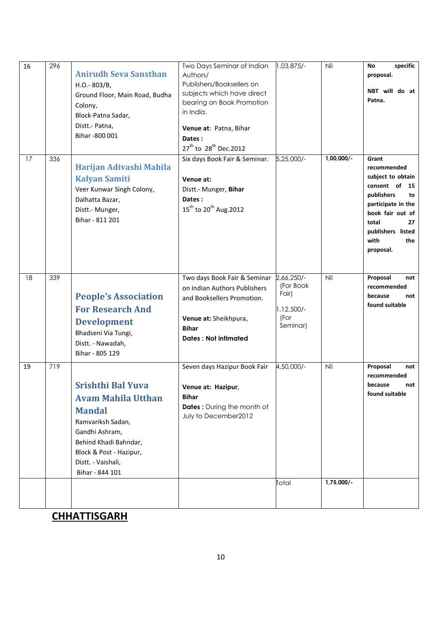| 16<br>17 | 296<br>336 | <b>Anirudh Seva Sansthan</b><br>H.O.-803/B,<br>Ground Floor, Main Road, Budha<br>Colony,<br>Block-Patna Sadar,<br>Distt.- Patna,<br>Bihar -800 001                                                         | Two Days Seminar of Indian<br>Authors/<br>Publishers/Booksellers on<br>subjects which have direct<br>bearing on Book Promotion<br>in India.<br>Venue at: Patna, Bihar<br>Dates:<br>27 <sup>th</sup> to 28 <sup>th</sup> Dec.2012<br>Six days Book Fair & Seminar. | $1,03,875/-$<br>$5,25,000/-$                                         | Nil<br>$1,00,000/-$ | specific<br>No<br>proposal.<br>NBT will do at<br>Patna.<br>Grant                                                                                                                     |
|----------|------------|------------------------------------------------------------------------------------------------------------------------------------------------------------------------------------------------------------|-------------------------------------------------------------------------------------------------------------------------------------------------------------------------------------------------------------------------------------------------------------------|----------------------------------------------------------------------|---------------------|--------------------------------------------------------------------------------------------------------------------------------------------------------------------------------------|
|          |            | Harijan Adivashi Mahila<br><b>Kalyan Samiti</b><br>Veer Kunwar Singh Colony,<br>Dalhatta Bazar,<br>Distt.- Munger,<br>Bihar - 811 201                                                                      | Venue at:<br>Distt.- Munger, Bihar<br>Dates:<br>15 <sup>th</sup> to 20 <sup>th</sup> Aug.2012                                                                                                                                                                     |                                                                      |                     | recommended<br>subject to obtain<br>consent of<br>- 15<br>publishers<br>to<br>participate in the<br>book fair out of<br>total<br>27<br>publishers listed<br>with<br>the<br>proposal. |
| 18       | 339        | <b>People's Association</b><br><b>For Research And</b><br><b>Development</b><br>Bhadseni Via Tungi,<br>Distt. - Nawadah,<br>Bihar - 805 129                                                                | Two days Book Fair & Seminar<br>on Indian Authors Publishers<br>and Booksellers Promotion.<br>Venue at: Sheikhpura,<br><b>Bihar</b><br><b>Dates: Not intimated</b>                                                                                                | $2,66,250/-$<br>(For Book<br>Fair)<br>1,12,500/-<br>(For<br>Seminar) | Nil                 | Proposal<br>not<br>recommended<br>because<br>not<br>found suitable                                                                                                                   |
| 19       | 719        | <b>Srishthi Bal Yuva</b><br><b>Avam Mahila Utthan</b><br><b>Mandal</b><br>Ramvariksh Sadan,<br>Gandhi Ashram,<br>Behind Khadi Bahndar,<br>Block & Post - Hazipur,<br>Distt. - Vaishali,<br>Bihar - 844 101 | Seven days Hazipur Book Fair<br>Venue at: Hazipur,<br><b>Bihar</b><br><b>Dates:</b> During the month of<br>July to December2012                                                                                                                                   | 4,50,000/-<br>Total                                                  | Nil<br>$1,75,000/-$ | Proposal<br>not<br>recommended<br>because<br>not<br>found suitable                                                                                                                   |
|          |            |                                                                                                                                                                                                            |                                                                                                                                                                                                                                                                   |                                                                      |                     |                                                                                                                                                                                      |

**CHHATTISGARH**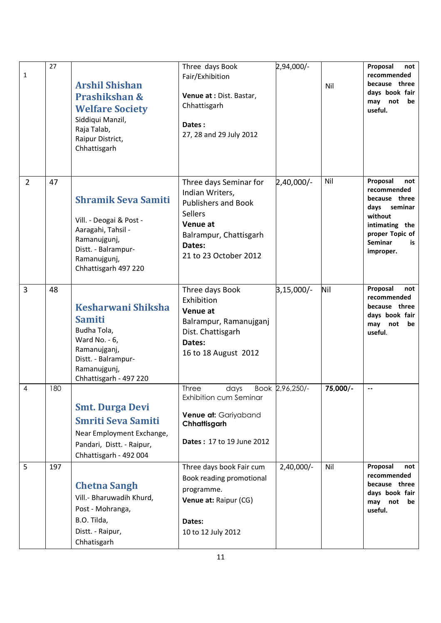| 1              | 27  | <b>Arshil Shishan</b><br>Prashikshan &<br><b>Welfare Society</b><br>Siddiqui Manzil,<br>Raja Talab,<br>Raipur District,<br>Chhattisgarh                    | Three days Book<br>Fair/Exhibition<br>Venue at : Dist. Bastar,<br>Chhattisgarh<br>Dates:<br>27, 28 and 29 July 2012                                                | 2,94,000/-      | Nil      | Proposal<br>not<br>recommended<br>because three<br>days book fair<br>may not<br>be<br>useful.                                                         |
|----------------|-----|------------------------------------------------------------------------------------------------------------------------------------------------------------|--------------------------------------------------------------------------------------------------------------------------------------------------------------------|-----------------|----------|-------------------------------------------------------------------------------------------------------------------------------------------------------|
| $\overline{2}$ | 47  | <b>Shramik Seva Samiti</b><br>Vill. - Deogai & Post -<br>Aaragahi, Tahsil -<br>Ramanujgunj,<br>Distt. - Balrampur-<br>Ramanujgunj,<br>Chhattisgarh 497 220 | Three days Seminar for<br>Indian Writers,<br><b>Publishers and Book</b><br><b>Sellers</b><br>Venue at<br>Balrampur, Chattisgarh<br>Dates:<br>21 to 23 October 2012 | 2,40,000/-      | Nil      | Proposal<br>not<br>recommended<br>because three<br>days seminar<br>without<br>intimating the<br>proper Topic of<br><b>Seminar</b><br>is.<br>improper. |
| 3              | 48  | Kesharwani Shiksha<br><b>Samiti</b><br>Budha Tola,<br>Ward No. - 6,<br>Ramanujganj,<br>Distt. - Balrampur-<br>Ramanujgunj,<br>Chhattisgarh - 497 220       | Three days Book<br>Exhibition<br>Venue at<br>Balrampur, Ramanujganj<br>Dist. Chattisgarh<br>Dates:<br>16 to 18 August 2012                                         | 3,15,000/-      | Nil      | Proposal<br>not<br>recommended<br>because three<br>days book fair<br>may not<br>be<br>useful.                                                         |
| $\overline{4}$ | 180 | <b>Smt. Durga Devi</b><br><b>Smriti Seva Samiti</b><br>Near Employment Exchange,<br>Pandari, Distt. - Raipur,<br>Chhattisgarh - 492 004                    | Three<br>days<br>Exhibition cum Seminar<br>Venue at: Gariyaband<br>Chhattisgarh<br>Dates: 17 to 19 June 2012                                                       | Book 2,96,250/- | 75,000/- | $\overline{\phantom{a}}$                                                                                                                              |
| 5              | 197 | <b>Chetna Sangh</b><br>Vill.- Bharuwadih Khurd,<br>Post - Mohranga,<br>B.O. Tilda,<br>Distt. - Raipur,<br>Chhatisgarh                                      | Three days book Fair cum<br>Book reading promotional<br>programme.<br>Venue at: Raipur (CG)<br>Dates:<br>10 to 12 July 2012                                        | $2,40,000/-$    | Nil      | Proposal<br>not<br>recommended<br>because three<br>days book fair<br>may not<br>be<br>useful.                                                         |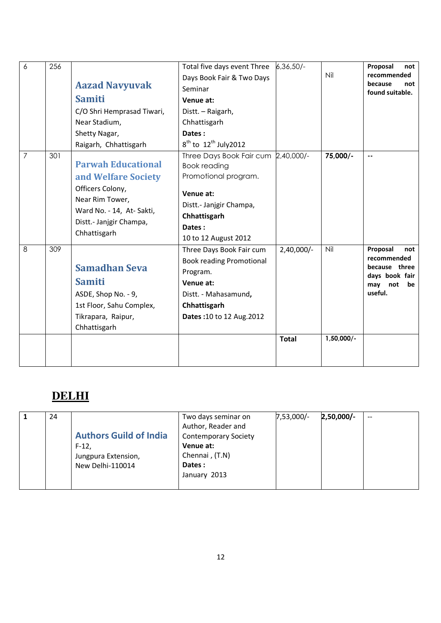| 6              | 256 | <b>Aazad Navyuvak</b><br><b>Samiti</b><br>C/O Shri Hemprasad Tiwari,<br>Near Stadium,<br>Shetty Nagar,<br>Raigarh, Chhattisgarh                                | Total five days event Three<br>Days Book Fair & Two Days<br>Seminar<br>Venue at:<br>Distt. - Raigarh,<br>Chhattisgarh<br>Dates:<br>$8^{th}$ to $12^{th}$ July2012            | $6,36,50/-$                  | Nil                 | Proposal<br>not<br>recommended<br>because<br>not<br>found suitable.                           |
|----------------|-----|----------------------------------------------------------------------------------------------------------------------------------------------------------------|------------------------------------------------------------------------------------------------------------------------------------------------------------------------------|------------------------------|---------------------|-----------------------------------------------------------------------------------------------|
| $\overline{7}$ | 301 | <b>Parwah Educational</b><br>and Welfare Society<br>Officers Colony,<br>Near Rim Tower,<br>Ward No. - 14, At-Sakti,<br>Distt.- Janjgir Champa,<br>Chhattisgarh | Three Days Book Fair cum 2,40,000/-<br><b>Book reading</b><br>Promotional program.<br>Venue at:<br>Distt.- Janjgir Champa,<br>Chhattisgarh<br>Dates:<br>10 to 12 August 2012 |                              | 75,000/-            | $\overline{\phantom{a}}$                                                                      |
| 8              | 309 | <b>Samadhan Seva</b><br><b>Samiti</b><br>ASDE, Shop No. - 9,<br>1st Floor, Sahu Complex,<br>Tikrapara, Raipur,<br>Chhattisgarh                                 | Three Days Book Fair cum<br><b>Book reading Promotional</b><br>Program.<br>Venue at:<br>Distt. - Mahasamund,<br>Chhattisgarh<br>Dates: 10 to 12 Aug. 2012                    | $2,40,000/-$<br><b>Total</b> | Nil<br>$1,50,000/-$ | Proposal<br>not<br>recommended<br>because three<br>days book fair<br>may not<br>be<br>useful. |
|                |     |                                                                                                                                                                |                                                                                                                                                                              |                              |                     |                                                                                               |

#### **DELHI**

| 24 |                               | Two days seminar on         | $7,53,000/-$ | 2,50,000/- | $-$ |
|----|-------------------------------|-----------------------------|--------------|------------|-----|
|    |                               | Author, Reader and          |              |            |     |
|    | <b>Authors Guild of India</b> | <b>Contemporary Society</b> |              |            |     |
|    | $F-12,$                       | Venue at:                   |              |            |     |
|    | Jungpura Extension,           | Chennai, (T.N)              |              |            |     |
|    | New Delhi-110014              | Dates:                      |              |            |     |
|    |                               | January 2013                |              |            |     |
|    |                               |                             |              |            |     |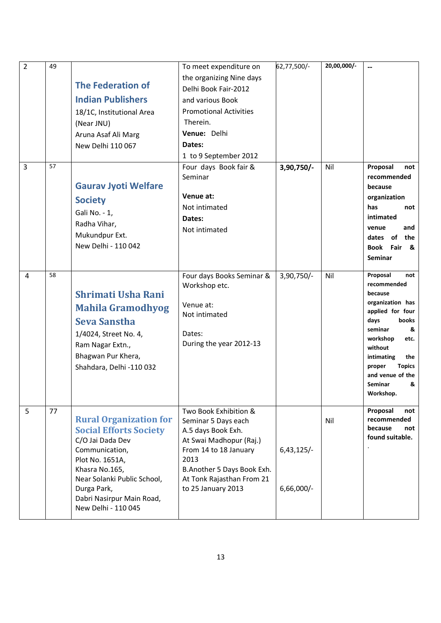| $\overline{2}$ | 49 |                                            | To meet expenditure on                                  | 62,77,500/-  | 20,00,000/- | $\overline{\phantom{a}}$                  |
|----------------|----|--------------------------------------------|---------------------------------------------------------|--------------|-------------|-------------------------------------------|
|                |    |                                            | the organizing Nine days                                |              |             |                                           |
|                |    | <b>The Federation of</b>                   | Delhi Book Fair-2012                                    |              |             |                                           |
|                |    | <b>Indian Publishers</b>                   | and various Book                                        |              |             |                                           |
|                |    | 18/1C, Institutional Area                  | <b>Promotional Activities</b>                           |              |             |                                           |
|                |    | (Near JNU)                                 | Therein.                                                |              |             |                                           |
|                |    | Aruna Asaf Ali Marg                        | Venue: Delhi                                            |              |             |                                           |
|                |    | New Delhi 110 067                          | Dates:                                                  |              |             |                                           |
|                |    |                                            | 1 to 9 September 2012                                   |              |             |                                           |
| 3              | 57 | <b>Gaurav Jyoti Welfare</b>                | Four days Book fair &<br>Seminar                        | 3,90,750/-   | Nil         | Proposal<br>not<br>recommended<br>because |
|                |    |                                            | Venue at:                                               |              |             | organization                              |
|                |    | <b>Society</b>                             | Not intimated                                           |              |             | has<br>not                                |
|                |    | Gali No. - 1,                              | Dates:                                                  |              |             | intimated                                 |
|                |    | Radha Vihar,                               | Not intimated                                           |              |             | venue<br>and                              |
|                |    | Mukundpur Ext.                             |                                                         |              |             | dates of the                              |
|                |    | New Delhi - 110 042                        |                                                         |              |             | <b>Book Fair</b><br>&                     |
|                |    |                                            |                                                         |              |             | <b>Seminar</b>                            |
| 4              | 58 | <b>Shrimati Usha Rani</b>                  | Four days Books Seminar &<br>Workshop etc.              | $3,90,750/-$ | Nil         | Proposal<br>not<br>recommended<br>because |
|                |    | <b>Mahila Gramodhyog</b>                   | Venue at:                                               |              |             | organization has                          |
|                |    | <b>Seva Sanstha</b>                        | Not intimated                                           |              |             | applied for four<br>days<br>books         |
|                |    | 1/4024, Street No. 4,                      | Dates:                                                  |              |             | seminar<br>&                              |
|                |    | Ram Nagar Extn.,                           | During the year 2012-13                                 |              |             | workshop<br>etc.                          |
|                |    | Bhagwan Pur Khera,                         |                                                         |              |             | without<br>intimating<br>the              |
|                |    | Shahdara, Delhi -110 032                   |                                                         |              |             | proper<br><b>Topics</b>                   |
|                |    |                                            |                                                         |              |             | and venue of the                          |
|                |    |                                            |                                                         |              |             | Seminar<br>&                              |
|                |    |                                            |                                                         |              |             | Workshop.                                 |
| 5              | 77 | <b>Rural Organization for</b>              | Two Book Exhibition &<br>Seminar 5 Days each            |              | Nil         | Proposal<br>not<br>recommended            |
|                |    | <b>Social Efforts Society</b>              | A.5 days Book Exh.                                      |              |             | because<br>not                            |
|                |    | C/O Jai Dada Dev                           | At Swai Madhopur (Raj.)                                 |              |             | found suitable.                           |
|                |    | Communication,                             | From 14 to 18 January                                   | $6,43,125/-$ |             |                                           |
|                |    | Plot No. 1651A,                            | 2013                                                    |              |             |                                           |
|                |    | Khasra No.165,                             | B.Another 5 Days Book Exh.<br>At Tonk Rajasthan From 21 |              |             |                                           |
|                |    | Near Solanki Public School,<br>Durga Park, | to 25 January 2013                                      | $6,66,000/-$ |             |                                           |
|                |    | Dabri Nasirpur Main Road,                  |                                                         |              |             |                                           |
|                |    | New Delhi - 110 045                        |                                                         |              |             |                                           |
|                |    |                                            |                                                         |              |             |                                           |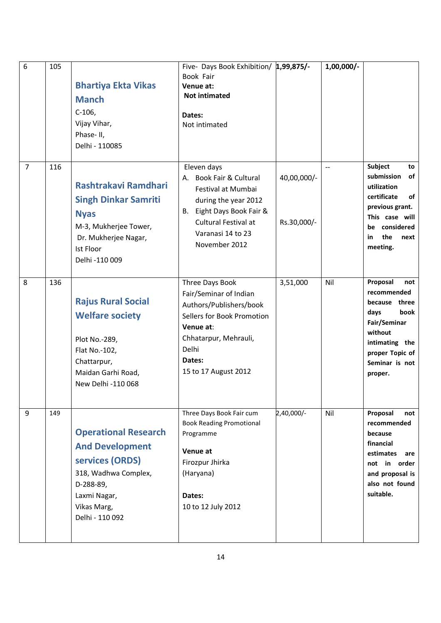| 6              | 105 | <b>Bhartiya Ekta Vikas</b><br><b>Manch</b><br>$C-106$ ,<br>Vijay Vihar,<br>Phase-II,<br>Delhi - 110085                                                          | Five- Days Book Exhibition/ 1,99,875/-<br>Book Fair<br>Venue at:<br><b>Not intimated</b><br>Dates:<br>Not intimated                                                                 |                            | $1,00,000/-$   |                                                                                                                                                              |
|----------------|-----|-----------------------------------------------------------------------------------------------------------------------------------------------------------------|-------------------------------------------------------------------------------------------------------------------------------------------------------------------------------------|----------------------------|----------------|--------------------------------------------------------------------------------------------------------------------------------------------------------------|
| $\overline{7}$ | 116 | Rashtrakavi Ramdhari<br><b>Singh Dinkar Samriti</b><br><b>Nyas</b><br>M-3, Mukherjee Tower,<br>Dr. Mukherjee Nagar,<br>Ist Floor<br>Delhi -110 009              | Eleven days<br>Book Fair & Cultural<br>А.<br>Festival at Mumbai<br>during the year 2012<br>B. Eight Days Book Fair &<br>Cultural Festival at<br>Varanasi 14 to 23<br>November 2012  | 40,00,000/-<br>Rs.30,000/- | $\overline{a}$ | Subject<br>to<br>submission<br>οf<br>utilization<br>certificate<br>οf<br>previous grant.<br>This case will<br>be considered<br>the<br>in<br>next<br>meeting. |
| 8              | 136 | <b>Rajus Rural Social</b><br><b>Welfare society</b><br>Plot No.-289,<br>Flat No.-102,<br>Chattarpur,<br>Maidan Garhi Road,<br>New Delhi -110 068                | Three Days Book<br>Fair/Seminar of Indian<br>Authors/Publishers/book<br>Sellers for Book Promotion<br>Venue at:<br>Chhatarpur, Mehrauli,<br>Delhi<br>Dates:<br>15 to 17 August 2012 | 3,51,000                   | Nil            | Proposal<br>not<br>recommended<br>because three<br>days<br>book<br>Fair/Seminar<br>without<br>intimating the<br>proper Topic of<br>Seminar is not<br>proper. |
| 9              | 149 | <b>Operational Research</b><br><b>And Development</b><br>services (ORDS)<br>318, Wadhwa Complex,<br>D-288-89,<br>Laxmi Nagar,<br>Vikas Marg,<br>Delhi - 110 092 | Three Days Book Fair cum<br><b>Book Reading Promotional</b><br>Programme<br>Venue at<br>Firozpur Jhirka<br>(Haryana)<br>Dates:<br>10 to 12 July 2012                                | 2,40,000/-                 | Nil            | Proposal<br>not<br>recommended<br>because<br>financial<br>estimates<br>are<br>not in order<br>and proposal is<br>also not found<br>suitable.                 |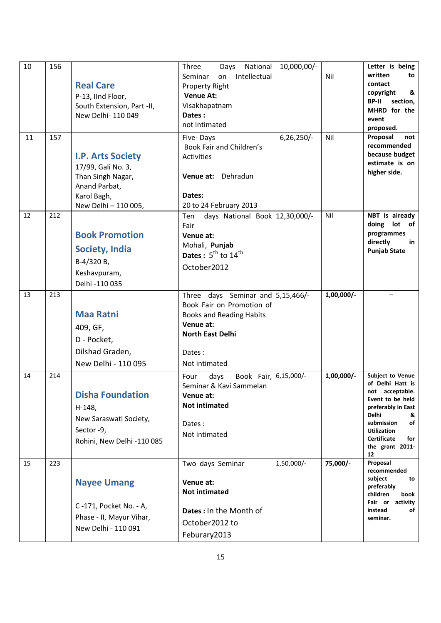| 10 | 156 | <b>Real Care</b><br>P-13, IInd Floor,<br>South Extension, Part -II,<br>New Delhi- 110 049                                   | Three<br>National<br>Days<br>Intellectual<br>Seminar<br>on<br>Property Right<br><b>Venue At:</b><br>Visakhapatnam<br>Dates:<br>not intimated                         | 10,000,00/-  | Nil          | Letter is being<br>written<br>to<br>contact<br>copyright<br>&<br>section,<br><b>BP-II</b><br>MHRD for the<br>event<br>proposed.                                                                                        |
|----|-----|-----------------------------------------------------------------------------------------------------------------------------|----------------------------------------------------------------------------------------------------------------------------------------------------------------------|--------------|--------------|------------------------------------------------------------------------------------------------------------------------------------------------------------------------------------------------------------------------|
| 11 | 157 | <b>I.P. Arts Society</b><br>17/99, Gali No. 3,<br>Than Singh Nagar,<br>Anand Parbat,<br>Karol Bagh,<br>New Delhi - 110 005, | Five-Days<br>Book Fair and Children's<br>Activities<br>Venue at: Dehradun<br>Dates:<br>20 to 24 February 2013                                                        | $6,26,250/-$ | Nil          | Proposal<br>not<br>recommended<br>because budget<br>estimate is on<br>higher side.                                                                                                                                     |
| 12 | 212 | <b>Book Promotion</b><br><b>Society, India</b><br>B-4/320 B,<br>Keshavpuram,<br>Delhi -110 035                              | days National Book 12,30,000/-<br>Ten<br>Fair<br>Venue at:<br>Mohali, Punjab<br>Dates: $5^{th}$ to $14^{th}$<br>October2012                                          |              | Nil          | NBT is already<br>doing lot of<br>programmes<br>directly<br>in<br><b>Punjab State</b>                                                                                                                                  |
| 13 | 213 | <b>Maa Ratni</b><br>409, GF,<br>D - Pocket,<br>Dilshad Graden,<br>New Delhi - 110 095                                       | Three days Seminar and 5,15,466/-<br>Book Fair on Promotion of<br><b>Books and Reading Habits</b><br>Venue at:<br><b>North East Delhi</b><br>Dates:<br>Not intimated |              | $1,00,000/-$ | $\overline{a}$                                                                                                                                                                                                         |
| 14 | 214 | <b>Disha Foundation</b><br>H-148,<br>New Saraswati Society,<br>Sector -9,<br>Rohini, New Delhi -110 085                     | Book Fair, 6,15,000/-<br>Four<br>days<br>Seminar & Kavi Sammelan<br>Venue at:<br><b>Not intimated</b><br>Dates:<br>Not intimated                                     |              | $1,00,000/-$ | Subject to Venue<br>of Delhi Hatt is<br>not acceptable.<br>Event to be held<br>preferably in East<br><b>Delhi</b><br>&<br>submission<br>of<br><b>Utilization</b><br><b>Certificate</b><br>for<br>the grant 2011-<br>12 |
| 15 | 223 | <b>Nayee Umang</b><br>C-171, Pocket No. - A,<br>Phase - II, Mayur Vihar,<br>New Delhi - 110 091                             | Two days Seminar<br>Venue at:<br><b>Not intimated</b><br>Dates: In the Month of<br>October2012 to<br>Feburary2013                                                    | 1,50,000/-   | 75,000/-     | Proposal<br>recommended<br>subject<br>to<br>preferably<br>children<br>book<br>Fair or activity<br>instead<br>of<br>seminar.                                                                                            |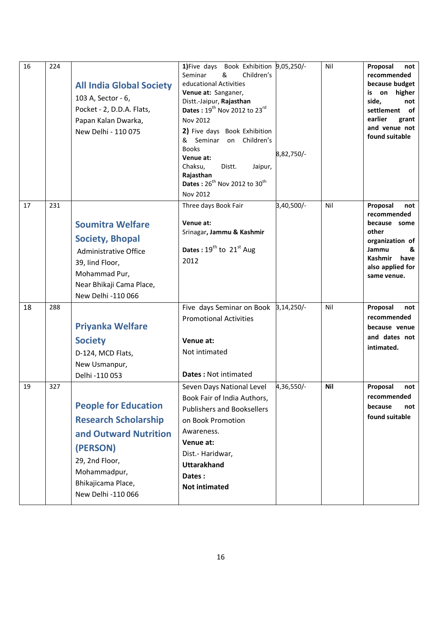| 16 | 224 | <b>All India Global Society</b><br>103 A, Sector - 6,<br>Pocket - 2, D.D.A. Flats,<br>Papan Kalan Dwarka,<br>New Delhi - 110 075                                              | 1) Five days Book Exhibition 9,05,250/-<br>Seminar<br>Children's<br>&<br>educational Activities<br>Venue at: Sanganer,<br>Distt.-Jaipur, Rajasthan<br><b>Dates</b> : $19^{th}$ Nov 2012 to 23 <sup>rd</sup><br>Nov 2012<br>2) Five days Book Exhibition<br>&<br>Seminar<br>Children's<br>on<br><b>Books</b><br>Venue at:<br>Chaksu,<br>Distt.<br>Jaipur,<br>Rajasthan<br>Dates: 26 <sup>th</sup> Nov 2012 to 30 <sup>th</sup><br><b>Nov 2012</b> | 8,82,750/- | Nil | Proposal<br>not<br>recommended<br>because budget<br>on higher<br>İS.<br>side,<br>not<br>settlement<br>.of<br>earlier<br>grant<br>and venue not<br>found suitable |
|----|-----|-------------------------------------------------------------------------------------------------------------------------------------------------------------------------------|--------------------------------------------------------------------------------------------------------------------------------------------------------------------------------------------------------------------------------------------------------------------------------------------------------------------------------------------------------------------------------------------------------------------------------------------------|------------|-----|------------------------------------------------------------------------------------------------------------------------------------------------------------------|
| 17 | 231 | <b>Soumitra Welfare</b><br><b>Society, Bhopal</b><br><b>Administrative Office</b><br>39, lind Floor,<br>Mohammad Pur,<br>Near Bhikaji Cama Place,<br>New Delhi -110 066       | Three days Book Fair<br>Venue at:<br>Srinagar, Jammu & Kashmir<br>Dates: $19^{th}$ to $21^{st}$ Aug<br>2012                                                                                                                                                                                                                                                                                                                                      | 3,40,500/- | Nil | Proposal<br>not<br>recommended<br>because some<br>other<br>organization of<br>Jammu<br>&<br><b>Kashmir</b><br>have<br>also applied for<br>same venue.            |
| 18 | 288 | <b>Priyanka Welfare</b><br><b>Society</b><br>D-124, MCD Flats,<br>New Usmanpur,<br>Delhi -110 053                                                                             | Five days Seminar on Book 3,14,250/-<br><b>Promotional Activities</b><br>Venue at:<br>Not intimated<br><b>Dates: Not intimated</b>                                                                                                                                                                                                                                                                                                               |            | Nil | Proposal<br>not<br>recommended<br>because venue<br>and dates not<br>intimated.                                                                                   |
| 19 | 327 | <b>People for Education</b><br><b>Research Scholarship</b><br>and Outward Nutrition<br>(PERSON)<br>29, 2nd Floor,<br>Mohammadpur,<br>Bhikajicama Place,<br>New Delhi -110 066 | Seven Days National Level<br>Book Fair of India Authors,<br><b>Publishers and Booksellers</b><br>on Book Promotion<br>Awareness.<br>Venue at:<br>Dist.- Haridwar,<br><b>Uttarakhand</b><br>Dates:<br><b>Not intimated</b>                                                                                                                                                                                                                        | 4,36,550/- | Nil | Proposal<br>not<br>recommended<br>because<br>not<br>found suitable                                                                                               |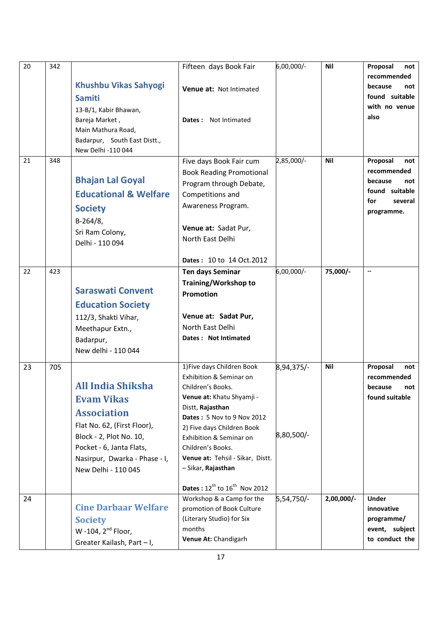| 20 | 342 |                                                                                                                                                                                                                   | Fifteen days Book Fair                                                                                                                                                                                                                                                                                                                      | 6,00,000/-               | <b>Nil</b> | Proposal<br>not                                                                                    |
|----|-----|-------------------------------------------------------------------------------------------------------------------------------------------------------------------------------------------------------------------|---------------------------------------------------------------------------------------------------------------------------------------------------------------------------------------------------------------------------------------------------------------------------------------------------------------------------------------------|--------------------------|------------|----------------------------------------------------------------------------------------------------|
|    |     | <b>Khushbu Vikas Sahyogi</b><br><b>Samiti</b>                                                                                                                                                                     | Venue at: Not Intimated                                                                                                                                                                                                                                                                                                                     |                          |            | recommended<br>because<br>not<br>found suitable                                                    |
|    |     | 13-B/1, Kabir Bhawan,<br>Bareja Market,<br>Main Mathura Road,<br>Badarpur, South East Distt.,<br>New Delhi -110 044                                                                                               | Dates: Not Intimated                                                                                                                                                                                                                                                                                                                        |                          |            | with no venue<br>also                                                                              |
| 21 | 348 | <b>Bhajan Lal Goyal</b><br><b>Educational &amp; Welfare</b><br><b>Society</b><br>$B-264/8$ ,<br>Sri Ram Colony,<br>Delhi - 110 094                                                                                | Five days Book Fair cum<br><b>Book Reading Promotional</b><br>Program through Debate,<br>Competitions and<br>Awareness Program.<br>Venue at: Sadat Pur,<br>North East Delhi                                                                                                                                                                 | 2,85,000/-               | <b>Nil</b> | Proposal<br>not<br>recommended<br>because<br>not<br>found suitable<br>for<br>several<br>programme. |
| 22 | 423 | <b>Saraswati Convent</b><br><b>Education Society</b><br>112/3, Shakti Vihar,<br>Meethapur Extn.,<br>Badarpur,<br>New delhi - 110 044                                                                              | Dates: 10 to 14 Oct.2012<br>Ten days Seminar<br>Training/Workshop to<br>Promotion<br>Venue at: Sadat Pur,<br>North East Delhi<br>Dates: Not Intimated                                                                                                                                                                                       | 6,00,000/-               | 75,000/-   | $\overline{\phantom{a}}$                                                                           |
| 23 | 705 | <b>All India Shiksha</b><br><b>Evam Vikas</b><br><b>Association</b><br>Flat No. 62, (First Floor),<br>Block - 2, Plot No. 10,<br>Pocket - 6, Janta Flats,<br>Nasirpur, Dwarka - Phase - I,<br>New Delhi - 110 045 | 1) Five days Children Book<br>Exhibition & Seminar on<br>Children's Books.<br>Venue at: Khatu Shyamji -<br>Distt, Rajasthan<br>Dates: 5 Nov to 9 Nov 2012<br>2) Five days Children Book<br>Exhibition & Seminar on<br>Children's Books.<br>Venue at: Tehsil - Sikar, Distt.<br>- Sikar, Rajasthan<br>Dates: $12^{th}$ to $16^{th}$ Nov 2012 | 8,94,375/-<br>8,80,500/- | Nil        | Proposal<br>not<br>recommended<br>because<br>not<br>found suitable                                 |
| 24 |     | <b>Cine Darbaar Welfare</b><br><b>Society</b><br>W -104, 2 <sup>nd</sup> Floor,<br>Greater Kailash, Part - I,                                                                                                     | Workshop & a Camp for the<br>promotion of Book Culture<br>(Literary Studio) for Six<br>months<br>Venue At: Chandigarh                                                                                                                                                                                                                       | 5,54,750/-               | 2,00,000/- | <b>Under</b><br>innovative<br>programme/<br>event, subject<br>to conduct the                       |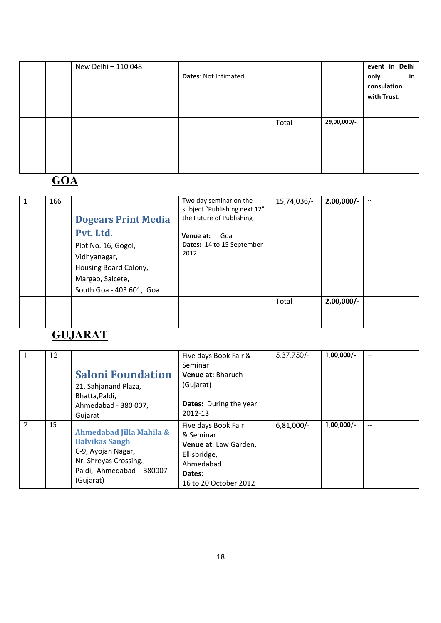|  | New Delhi - 110 048 | <b>Dates: Not Intimated</b> |       |             | event in Delhi<br>in<br>only<br>consulation<br>with Trust. |
|--|---------------------|-----------------------------|-------|-------------|------------------------------------------------------------|
|  |                     |                             | Total | 29,00,000/- |                                                            |

## **GOA**

| 1 | 166 | <b>Dogears Print Media</b><br>Pvt. Ltd.<br>Plot No. 16, Gogol,<br>Vidhyanagar,<br>Housing Board Colony,<br>Margao, Salcete,<br>South Goa - 403 601, Goa | Two day seminar on the<br>subject "Publishing next 12"<br>the Future of Publishing<br>Venue at:<br>Goa<br><b>Dates: 14 to 15 September</b><br>2012 | 15,74,036/- | $2,00,000/-$ | $\ddotsc$ |
|---|-----|---------------------------------------------------------------------------------------------------------------------------------------------------------|----------------------------------------------------------------------------------------------------------------------------------------------------|-------------|--------------|-----------|
|   |     |                                                                                                                                                         |                                                                                                                                                    | Total       | $2,00,000/-$ |           |

#### **GUJARAT**

|   | $12 \overline{ }$ | <b>Saloni Foundation</b><br>21, Sahjanand Plaza,<br>Bhatta, Paldi,<br>Ahmedabad - 380 007,<br>Gujarat                                       | Five days Book Fair &<br>Seminar<br>Venue at: Bharuch<br>(Gujarat)<br><b>Dates:</b> During the year<br>2012-13             | $5,37,750/-$ | $1,00,000/-$ | $-$ |
|---|-------------------|---------------------------------------------------------------------------------------------------------------------------------------------|----------------------------------------------------------------------------------------------------------------------------|--------------|--------------|-----|
| 2 | 15                | Ahmedabad Jilla Mahila &<br><b>Balvikas Sangh</b><br>C-9, Ayojan Nagar,<br>Nr. Shreyas Crossing.,<br>Paldi, Ahmedabad - 380007<br>(Gujarat) | Five days Book Fair<br>& Seminar.<br>Venue at: Law Garden,<br>Ellisbridge,<br>Ahmedabad<br>Dates:<br>16 to 20 October 2012 | 6,81,000/-   | $1,00,000/-$ | $-$ |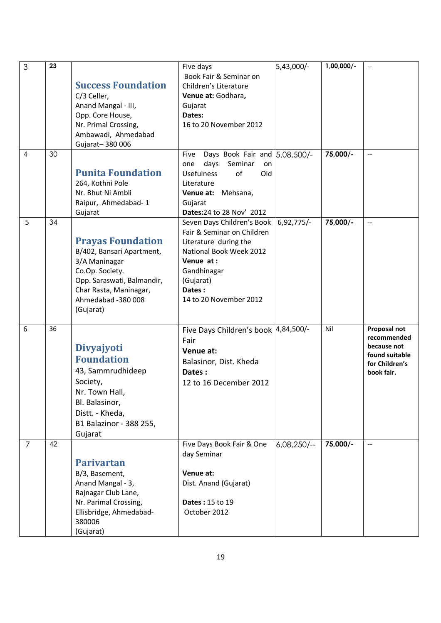| 3              | 23 |                            | Five days                                | 5,43,000/-   | $1,00,000/-$ | $\overline{a}$                |
|----------------|----|----------------------------|------------------------------------------|--------------|--------------|-------------------------------|
|                |    |                            | Book Fair & Seminar on                   |              |              |                               |
|                |    | <b>Success Foundation</b>  | Children's Literature                    |              |              |                               |
|                |    | C/3 Celler,                | Venue at: Godhara,                       |              |              |                               |
|                |    | Anand Mangal - III,        | Gujarat                                  |              |              |                               |
|                |    | Opp. Core House,           | Dates:                                   |              |              |                               |
|                |    | Nr. Primal Crossing,       | 16 to 20 November 2012                   |              |              |                               |
|                |    | Ambawadi, Ahmedabad        |                                          |              |              |                               |
|                |    | Gujarat-380006             |                                          |              |              |                               |
| $\overline{4}$ | 30 |                            | Days Book Fair and 5,08,500/-<br>Five    |              | 75,000/-     | $-$                           |
|                |    |                            | days<br>Seminar<br>one<br>on             |              |              |                               |
|                |    | <b>Punita Foundation</b>   | <b>Usefulness</b><br>of<br>Old           |              |              |                               |
|                |    | 264, Kothni Pole           | Literature                               |              |              |                               |
|                |    | Nr. Bhut Ni Ambli          | Venue at: Mehsana,                       |              |              |                               |
|                |    | Raipur, Ahmedabad-1        | Gujarat                                  |              |              |                               |
|                |    | Gujarat                    | Dates: 24 to 28 Nov' 2012                |              |              |                               |
| 5              | 34 |                            | Seven Days Children's Book               | $6,92,775/-$ | 75,000/-     | $\overline{a}$                |
|                |    |                            | Fair & Seminar on Children               |              |              |                               |
|                |    | <b>Prayas Foundation</b>   | Literature during the                    |              |              |                               |
|                |    | B/402, Bansari Apartment,  | National Book Week 2012                  |              |              |                               |
|                |    | 3/A Maninagar              | Venue at:                                |              |              |                               |
|                |    | Co.Op. Society.            | Gandhinagar                              |              |              |                               |
|                |    | Opp. Saraswati, Balmandir, | (Gujarat)                                |              |              |                               |
|                |    | Char Rasta, Maninagar,     | Dates:                                   |              |              |                               |
|                |    | Ahmedabad -380 008         | 14 to 20 November 2012                   |              |              |                               |
|                |    | (Gujarat)                  |                                          |              |              |                               |
|                |    |                            |                                          |              |              |                               |
| 6              | 36 |                            | Five Days Children's book 4,84,500/-     |              | Nil          | Proposal not                  |
|                |    |                            | Fair                                     |              |              | recommended                   |
|                |    | Divyajyoti                 | Venue at:                                |              |              | because not<br>found suitable |
|                |    | <b>Foundation</b>          | Balasinor, Dist. Kheda                   |              |              | for Children's                |
|                |    | 43, Sammrudhideep          | Dates:                                   |              |              | book fair.                    |
|                |    | Society,                   | 12 to 16 December 2012                   |              |              |                               |
|                |    | Nr. Town Hall,             |                                          |              |              |                               |
|                |    | Bl. Balasinor,             |                                          |              |              |                               |
|                |    | Distt. - Kheda,            |                                          |              |              |                               |
|                |    |                            |                                          |              |              |                               |
|                |    | B1 Balazinor - 388 255,    |                                          |              |              |                               |
|                | 42 | Gujarat                    |                                          |              | 75,000/-     | $-$                           |
| $\overline{7}$ |    |                            | Five Days Book Fair & One<br>day Seminar | $6,08,250/-$ |              |                               |
|                |    | <b>Parivartan</b>          |                                          |              |              |                               |
|                |    | B/3, Basement,             | Venue at:                                |              |              |                               |
|                |    | Anand Mangal - 3,          | Dist. Anand (Gujarat)                    |              |              |                               |
|                |    | Rajnagar Club Lane,        |                                          |              |              |                               |
|                |    | Nr. Parimal Crossing,      | <b>Dates: 15 to 19</b>                   |              |              |                               |
|                |    | Ellisbridge, Ahmedabad-    | October 2012                             |              |              |                               |
|                |    | 380006                     |                                          |              |              |                               |
|                |    | (Gujarat)                  |                                          |              |              |                               |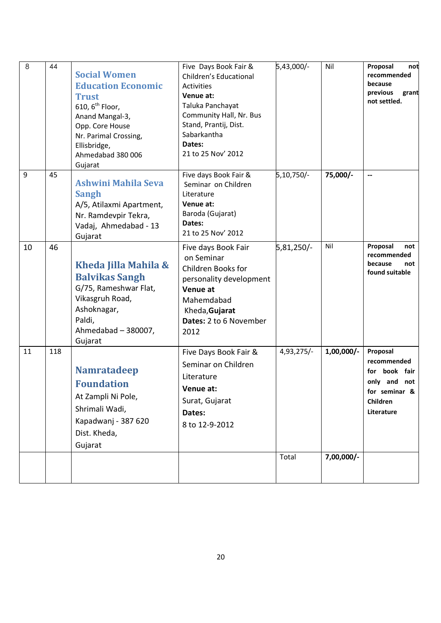| 8  | 44  | <b>Social Women</b><br><b>Education Economic</b><br><b>Trust</b><br>610, $6^{th}$ Floor,<br>Anand Mangal-3,<br>Opp. Core House<br>Nr. Parimal Crossing,<br>Ellisbridge,<br>Ahmedabad 380 006<br>Gujarat | Five Days Book Fair &<br>Children's Educational<br>Activities<br>Venue at:<br>Taluka Panchayat<br>Community Hall, Nr. Bus<br>Stand, Prantij, Dist.<br>Sabarkantha<br>Dates:<br>21 to 25 Nov' 2012 | 5,43,000/- | Nil          | Proposal<br>not<br>recommended<br>because<br>previous<br>grant<br>not settled.                      |
|----|-----|---------------------------------------------------------------------------------------------------------------------------------------------------------------------------------------------------------|---------------------------------------------------------------------------------------------------------------------------------------------------------------------------------------------------|------------|--------------|-----------------------------------------------------------------------------------------------------|
| 9  | 45  | Ashwini Mahila Seva<br><b>Sangh</b><br>A/5, Atilaxmi Apartment,<br>Nr. Ramdevpir Tekra,<br>Vadaj, Ahmedabad - 13<br>Gujarat                                                                             | Five days Book Fair &<br>Seminar on Children<br>Literature<br>Venue at:<br>Baroda (Gujarat)<br>Dates:<br>21 to 25 Nov' 2012                                                                       | 5,10,750/- | 75,000/-     | --                                                                                                  |
| 10 | 46  | Kheda Jilla Mahila &<br><b>Balvikas Sangh</b><br>G/75, Rameshwar Flat,<br>Vikasgruh Road,<br>Ashoknagar,<br>Paldi,<br>Ahmedabad - 380007,<br>Gujarat                                                    | Five days Book Fair<br>on Seminar<br>Children Books for<br>personality development<br>Venue at<br>Mahemdabad<br>Kheda, Gujarat<br>Dates: 2 to 6 November<br>2012                                  | 5,81,250/- | Nil          | Proposal<br>not<br>recommended<br>because<br>not<br>found suitable                                  |
| 11 | 118 | <b>Namratadeep</b><br><b>Foundation</b><br>At Zampli Ni Pole,<br>Shrimali Wadi,<br>Kapadwanj - 387 620<br>Dist. Kheda,<br>Gujarat                                                                       | Five Days Book Fair &<br>Seminar on Children<br>Literature<br>Venue at:<br>Surat, Gujarat<br>Dates:<br>8 to 12-9-2012                                                                             | 4,93,275/- | $1,00,000/-$ | Proposal<br>recommended<br>for book fair<br>only and not<br>for seminar &<br>Children<br>Literature |
|    |     |                                                                                                                                                                                                         |                                                                                                                                                                                                   | Total      | 7,00,000/-   |                                                                                                     |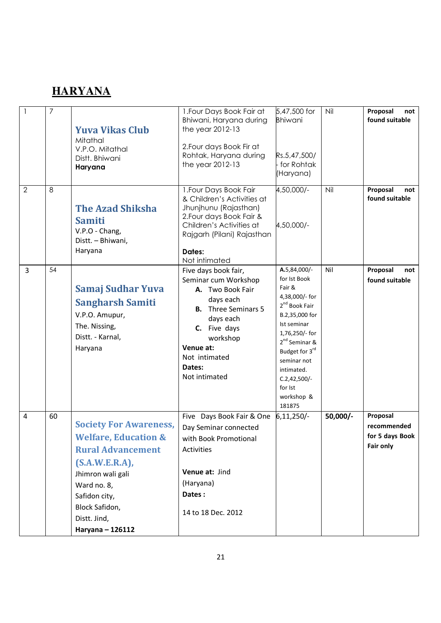### **HARYANA**

|                | 7  | <b>Yuva Vikas Club</b><br>Mitathal<br>V.P.O. Mitathal<br>Distt. Bhiwani<br>Haryana                                                                                                                                           | 1. Four Days Book Fair at<br>Bhiwani, Haryana during<br>the year 2012-13<br>2. Four days Book Fir at<br>Rohtak, Haryana during<br>the year 2012-13                                                            | 5,47,500 for<br><b>Bhiwani</b><br>Rs.5,47,500/<br>- for Rohtak<br>(Haryana)                                                                                                                                                                                               | Nil      | Proposal<br>not<br>found suitable                       |
|----------------|----|------------------------------------------------------------------------------------------------------------------------------------------------------------------------------------------------------------------------------|---------------------------------------------------------------------------------------------------------------------------------------------------------------------------------------------------------------|---------------------------------------------------------------------------------------------------------------------------------------------------------------------------------------------------------------------------------------------------------------------------|----------|---------------------------------------------------------|
| $\overline{2}$ | 8  | <b>The Azad Shiksha</b><br><b>Samiti</b><br>V.P.O - Chang,<br>Distt. - Bhiwani,<br>Haryana                                                                                                                                   | 1. Four Days Book Fair<br>& Children's Activities at<br>Jhunjhunu (Rajasthan)<br>2. Four days Book Fair &<br>Children's Activities at<br>Rajgarh (Pilani) Rajasthan<br>Dates:<br>Not intimated                | 4,50,000/-<br>4,50,000/-                                                                                                                                                                                                                                                  | Nil      | Proposal<br>not<br>found suitable                       |
| 3              | 54 | Samaj Sudhar Yuva<br><b>Sangharsh Samiti</b><br>V.P.O. Amupur,<br>The. Nissing,<br>Distt. - Karnal,<br>Haryana                                                                                                               | Five days book fair,<br>Seminar cum Workshop<br>A. Two Book Fair<br>days each<br><b>B.</b> Three Seminars 5<br>days each<br>C. Five days<br>workshop<br>Venue at:<br>Not intimated<br>Dates:<br>Not intimated | A.5,84,000/-<br>for Ist Book<br>Fair &<br>4,38,000/- for<br>2 <sup>nd</sup> Book Fair<br>B.2,35,000 for<br>Ist seminar<br>1,76,250/- for<br>2 <sup>nd</sup> Seminar &<br>Budget for 3rd<br>seminar not<br>intimated.<br>$C.2,42,500/-$<br>for Ist<br>workshop &<br>181875 | Nil      | Proposal<br>not<br>found suitable                       |
| $\overline{4}$ | 60 | <b>Society For Awareness,</b><br><b>Welfare, Education &amp;</b><br><b>Rural Advancement</b><br>$(S.A.W.E.R.A)$ ,<br>Jhimron wali gali<br>Ward no. 8,<br>Safidon city,<br>Block Safidon,<br>Distt. Jind,<br>Haryana - 126112 | Five Days Book Fair & One<br>Day Seminar connected<br>with Book Promotional<br>Activities<br>Venue at: Jind<br>(Haryana)<br>Dates:<br>14 to 18 Dec. 2012                                                      | $6,11,250/-$                                                                                                                                                                                                                                                              | 50,000/- | Proposal<br>recommended<br>for 5 days Book<br>Fair only |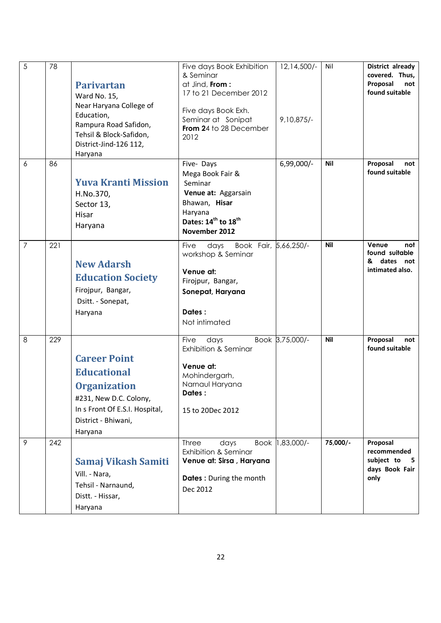| 5              | 78  | <b>Parivartan</b><br>Ward No. 15,<br>Near Haryana College of<br>Education,<br>Rampura Road Safidon,<br>Tehsil & Block-Safidon,<br>District-Jind-126 112,<br>Haryana | Five days Book Exhibition<br>& Seminar<br>at Jind, From:<br>17 to 21 December 2012<br>Five days Book Exh.<br>Seminar at Sonipat<br>From 24 to 28 December<br>2012 | $12, 14, 500/-$<br>$9,10,875/-$ | Nil        | District already<br>covered. Thus,<br>Proposal<br>not<br>found suitable |
|----------------|-----|---------------------------------------------------------------------------------------------------------------------------------------------------------------------|-------------------------------------------------------------------------------------------------------------------------------------------------------------------|---------------------------------|------------|-------------------------------------------------------------------------|
| 6              | 86  | <b>Yuva Kranti Mission</b><br>H.No.370,<br>Sector 13,<br>Hisar<br>Haryana                                                                                           | Five-Days<br>Mega Book Fair &<br>Seminar<br>Venue at: Aggarsain<br>Bhawan, Hisar<br>Haryana<br>Dates: 14 <sup>th</sup> to 18 <sup>th</sup><br>November 2012       | $6,99,000/-$                    | <b>Nil</b> | Proposal<br>not<br>found suitable                                       |
| $\overline{7}$ | 221 | <b>New Adarsh</b><br><b>Education Society</b><br>Firojpur, Bangar,<br>Dsitt. - Sonepat,<br>Haryana                                                                  | Book Fair, 5,66,250/-<br>Five<br>days<br>workshop & Seminar<br>Venue at:<br>Firojpur, Bangar,<br>Sonepat, Haryana<br>Dates:<br>Not intimated                      |                                 | <b>Nil</b> | Venue<br>not<br>found suitable<br>dates not<br>&<br>intimated also.     |
| 8              | 229 | <b>Career Point</b><br><b>Educational</b><br><b>Organization</b><br>#231, New D.C. Colony,<br>In s Front Of E.S.I. Hospital,<br>District - Bhiwani,<br>Haryana      | Five<br>days<br><b>Exhibition &amp; Seminar</b><br>Venue at:<br>Mohindergarh,<br>Narnaul Haryana<br>Dates :<br>15 to 20Dec 2012                                   | Book 3,75,000/-                 | <b>Nil</b> | Proposal<br>not<br>found suitable                                       |
| 9              | 242 | Samaj Vikash Samiti<br>Vill. - Nara,<br>Tehsil - Narnaund,<br>Distt. - Hissar,<br>Haryana                                                                           | <b>Three</b><br>days<br><b>Exhibition &amp; Seminar</b><br>Venue at: Sirsa, Haryana<br>Dates: During the month<br>Dec 2012                                        | Book 1,83,000/-                 | 75,000/-   | Proposal<br>recommended<br>subject to<br>- 5<br>days Book Fair<br>only  |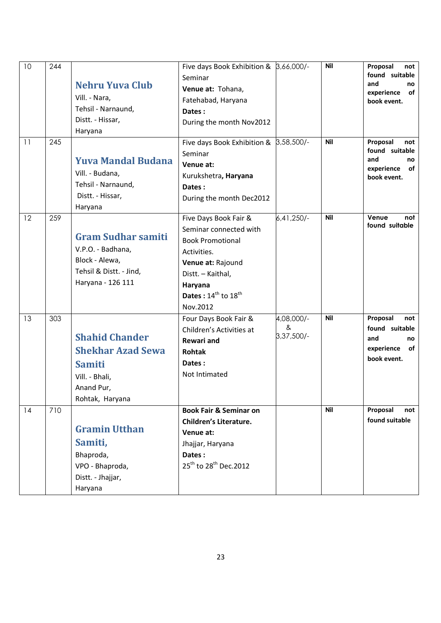| 10<br>11 | 244<br>245 | <b>Nehru Yuva Club</b><br>Vill. - Nara,<br>Tehsil - Narnaund,<br>Distt. - Hissar,<br>Haryana                          | Five days Book Exhibition & 3,66,000/-<br>Seminar<br>Venue at: Tohana,<br>Fatehabad, Haryana<br>Dates:<br>During the month Nov2012<br>Five days Book Exhibition & 3,58,500/-                |                               | <b>Nil</b><br><b>Nil</b> | Proposal<br>not<br>found suitable<br>and<br>no<br>of<br>experience<br>book event.<br>Proposal<br>not |
|----------|------------|-----------------------------------------------------------------------------------------------------------------------|---------------------------------------------------------------------------------------------------------------------------------------------------------------------------------------------|-------------------------------|--------------------------|------------------------------------------------------------------------------------------------------|
|          |            | <b>Yuva Mandal Budana</b><br>Vill. - Budana,<br>Tehsil - Narnaund,<br>Distt. - Hissar,<br>Haryana                     | Seminar<br>Venue at:<br>Kurukshetra, Haryana<br>Dates:<br>During the month Dec2012                                                                                                          |                               |                          | found suitable<br>and<br>no<br>experience<br>οf<br>book event.                                       |
| 12       | 259        | <b>Gram Sudhar samiti</b><br>V.P.O. - Badhana,<br>Block - Alewa,<br>Tehsil & Distt. - Jind,<br>Haryana - 126 111      | Five Days Book Fair &<br>Seminar connected with<br><b>Book Promotional</b><br>Activities.<br>Venue at: Rajound<br>Distt. - Kaithal,<br>Haryana<br>Dates: $14^{th}$ to $18^{th}$<br>Nov.2012 | 6,41,250/-                    | <b>Nil</b>               | Venue<br>not<br>found suitable                                                                       |
| 13       | 303        | <b>Shahid Chander</b><br><b>Shekhar Azad Sewa</b><br><b>Samiti</b><br>Vill. - Bhali,<br>Anand Pur,<br>Rohtak, Haryana | Four Days Book Fair &<br>Children's Activities at<br><b>Rewari and</b><br>Rohtak<br>Dates:<br>Not Intimated                                                                                 | 4,08,000/-<br>&<br>3,37,500/- | <b>Nil</b>               | Proposal<br>not<br>found suitable<br>and<br>no<br>experience<br>of<br>book event.                    |
| 14       | 710        | <b>Gramin Utthan</b><br>Samiti,<br>Bhaproda,<br>VPO - Bhaproda,<br>Distt. - Jhajjar,<br>Haryana                       | <b>Book Fair &amp; Seminar on</b><br>Children's Literature.<br>Venue at:<br>Jhajjar, Haryana<br>Dates:<br>25 <sup>th</sup> to 28 <sup>th</sup> Dec.2012                                     |                               | <b>Nil</b>               | Proposal<br>not<br>found suitable                                                                    |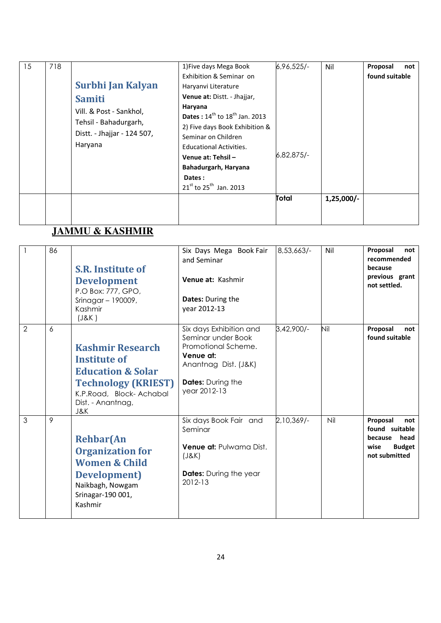| 15 | 718 | Surbhi Jan Kalyan<br><b>Samiti</b><br>Vill. & Post - Sankhol,<br>Tehsil - Bahadurgarh,<br>Distt. - Jhajjar - 124 507,<br>Haryana | 1) Five days Mega Book<br>Exhibition & Seminar on<br>Haryanvi Literature<br><b>Venue at: Distt. - Jhajjar,</b><br>Haryana<br><b>Dates</b> : $14^{th}$ to $18^{th}$ Jan. 2013<br>2) Five days Book Exhibition &<br>Seminar on Children<br><b>Educational Activities.</b><br>Venue at: Tehsil -<br>Bahadurgarh, Haryana<br>Dates: | $6,96,525/-$<br>$6,82,875/-$ | Nil          | Proposal<br>not<br>found suitable |
|----|-----|----------------------------------------------------------------------------------------------------------------------------------|---------------------------------------------------------------------------------------------------------------------------------------------------------------------------------------------------------------------------------------------------------------------------------------------------------------------------------|------------------------------|--------------|-----------------------------------|
|    |     |                                                                                                                                  | $21^{st}$ to 25 <sup>th</sup> Jan. 2013                                                                                                                                                                                                                                                                                         |                              |              |                                   |
|    |     |                                                                                                                                  |                                                                                                                                                                                                                                                                                                                                 | Total                        | $1,25,000/-$ |                                   |

## **JAMMU & KASHMIR**

|                | 86 | <b>S.R. Institute of</b><br><b>Development</b><br>P.O Box: 777, GPO,<br>Srinagar - 190009,<br>Kashmir<br>(J&K)                                                      | Six Days Mega Book Fair<br>and Seminar<br>Venue at: Kashmir<br><b>Dates: During the</b><br>year 2012-13                                               | $8,53,663/-$ | Nil | Proposal<br>not<br>recommended<br>because<br>previous grant<br>not settled.                 |
|----------------|----|---------------------------------------------------------------------------------------------------------------------------------------------------------------------|-------------------------------------------------------------------------------------------------------------------------------------------------------|--------------|-----|---------------------------------------------------------------------------------------------|
| $\overline{2}$ | 6  | <b>Kashmir Research</b><br><b>Institute of</b><br><b>Education &amp; Solar</b><br><b>Technology (KRIEST)</b><br>K.P.Road, Block-Achabal<br>Dist. - Anantnag,<br>J&K | Six days Exhibition and<br>Seminar under Book<br>Promotional Scheme.<br>Venue at:<br>Anantnag Dist. (J&K)<br><b>Dates:</b> During the<br>year 2012-13 | 3,42,900/-   | Nil | Proposal<br>not<br>found suitable                                                           |
| 3              | 9  | <b>Rehbar</b> (An<br><b>Organization for</b><br><b>Women &amp; Child</b><br>Development)<br>Naikbagh, Nowgam<br>Srinagar-190 001,<br>Kashmir                        | Six days Book Fair and<br>Seminar<br><b>Venue at: Pulwama Dist.</b><br>(J&K)<br><b>Dates:</b> During the year<br>2012-13                              | $2,10,369/-$ | Nil | Proposal<br>not<br>found suitable<br>because head<br><b>Budget</b><br>wise<br>not submitted |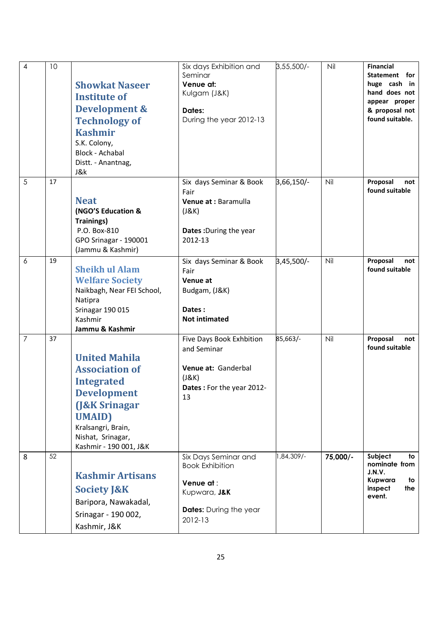| $\overline{4}$ | 10 | <b>Showkat Naseer</b><br><b>Institute of</b><br>Development &<br><b>Technology of</b><br><b>Kashmir</b><br>S.K. Colony,<br>Block - Achabal<br>Distt. - Anantnag,<br>J&k                                  | Six days Exhibition and<br>Seminar<br>Venue at:<br>Kulgam (J&K)<br>Dates:<br>During the year 2012-13                    | $3,55,500/-$ | Nil      | <b>Financial</b><br>Statement for<br>huge cash in<br>hand does not<br>appear proper<br>& proposal not<br>found suitable. |
|----------------|----|----------------------------------------------------------------------------------------------------------------------------------------------------------------------------------------------------------|-------------------------------------------------------------------------------------------------------------------------|--------------|----------|--------------------------------------------------------------------------------------------------------------------------|
| 5              | 17 | <b>Neat</b><br>(NGO'S Education &<br><b>Trainings)</b><br>P.O. Box-810<br>GPO Srinagar - 190001<br>(Jammu & Kashmir)                                                                                     | Six days Seminar & Book<br>Fair<br>Venue at : Baramulla<br>(J&K)<br>Dates: During the year<br>2012-13                   | 3,66,150/-   | Nil      | Proposal<br>not<br>found suitable                                                                                        |
| 6              | 19 | <b>Sheikh ul Alam</b><br><b>Welfare Society</b><br>Naikbagh, Near FEI School,<br>Natipra<br>Srinagar 190 015<br>Kashmir<br>Jammu & Kashmir                                                               | Six days Seminar & Book<br>Fair<br>Venue at<br>Budgam, (J&K)<br>Dates:<br><b>Not intimated</b>                          | 3,45,500/-   | Nil      | Proposal<br>not<br>found suitable                                                                                        |
| 7              | 37 | <b>United Mahila</b><br><b>Association of</b><br><b>Integrated</b><br><b>Development</b><br><b>J&amp;K Srinagar</b><br><b>UMAID</b><br>Kralsangri, Brain,<br>Nishat, Srinagar,<br>Kashmir - 190 001, J&K | Five Days Book Exhbition<br>and Seminar<br>Venue at: Ganderbal<br>(J&K)<br>Dates: For the year 2012-<br>13              | 85,663/-     | Nil      | Proposal<br>not<br>found suitable                                                                                        |
| 8              | 52 | <b>Kashmir Artisans</b><br><b>Society J&amp;K</b><br>Baripora, Nawakadal,<br>Srinagar - 190 002,<br>Kashmir, J&K                                                                                         | Six Days Seminar and<br><b>Book Exhibition</b><br>Venue at:<br>Kupwara, J&K<br><b>Dates:</b> During the year<br>2012-13 | 1,84,309/-   | 75,000/- | Subject<br>to<br>nominate from<br>J.N.V.<br>Kupwara<br>to<br>inspect<br>the<br>event.                                    |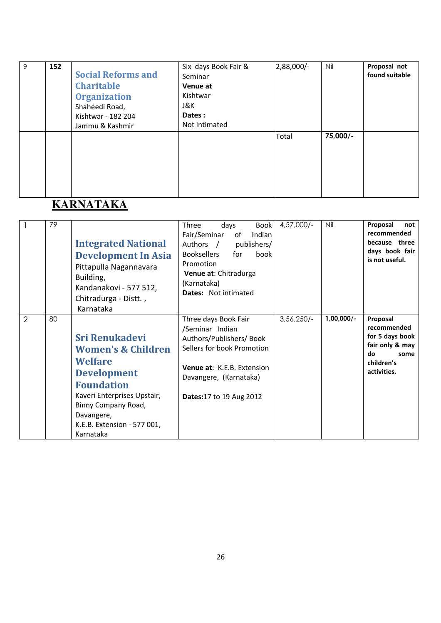| 9 | 152 | <b>Social Reforms and</b><br><b>Charitable</b><br><b>Organization</b><br>Shaheedi Road,<br>Kishtwar - 182 204<br>Jammu & Kashmir | Six days Book Fair &<br>Seminar<br>Venue at<br>Kishtwar<br>J&K.<br>Dates:<br>Not intimated | 2,88,000/- | Nil      | Proposal not<br>found suitable |
|---|-----|----------------------------------------------------------------------------------------------------------------------------------|--------------------------------------------------------------------------------------------|------------|----------|--------------------------------|
|   |     |                                                                                                                                  |                                                                                            | Total      | 75,000/- |                                |

## **KARNATAKA**

|                | 79 | <b>Integrated National</b><br><b>Development In Asia</b><br>Pittapulla Nagannavara<br>Building,<br>Kandanakovi - 577 512,<br>Chitradurga - Distt.,<br>Karnataka                                                                     | <b>Book</b><br>Three<br>days<br>Fair/Seminar<br>Indian<br>of<br>Authors /<br>publishers/<br><b>Booksellers</b><br>for<br>book<br>Promotion<br>Venue at: Chitradurga<br>(Karnataka)<br><b>Dates:</b> Not intimated | $4,57,000/-$ | Nil          | Proposal<br>not<br>recommended<br>because three<br>days book fair<br>is not useful.                      |
|----------------|----|-------------------------------------------------------------------------------------------------------------------------------------------------------------------------------------------------------------------------------------|-------------------------------------------------------------------------------------------------------------------------------------------------------------------------------------------------------------------|--------------|--------------|----------------------------------------------------------------------------------------------------------|
| $\overline{2}$ | 80 | <b>Sri Renukadevi</b><br><b>Women's &amp; Children</b><br><b>Welfare</b><br><b>Development</b><br><b>Foundation</b><br>Kaveri Enterprises Upstair,<br>Binny Company Road,<br>Davangere,<br>K.E.B. Extension - 577 001,<br>Karnataka | Three days Book Fair<br>/Seminar Indian<br>Authors/Publishers/Book<br>Sellers for book Promotion<br><b>Venue at: K.E.B. Extension</b><br>Davangere, (Karnataka)<br>Dates:17 to 19 Aug 2012                        | $3,56,250/-$ | $1,00,000/-$ | Proposal<br>recommended<br>for 5 days book<br>fair only & may<br>do<br>some<br>children's<br>activities. |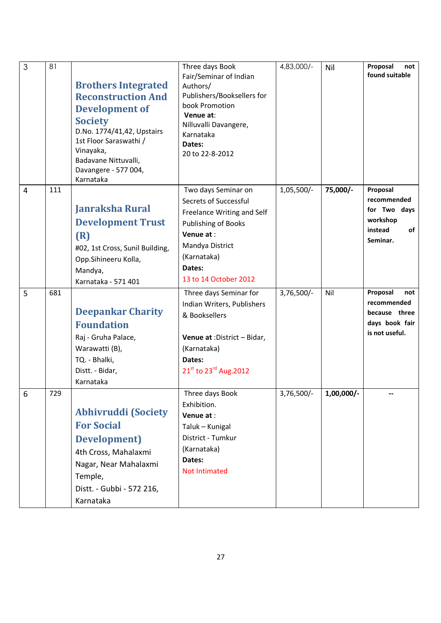| 3              | 81  | <b>Brothers Integrated</b><br><b>Reconstruction And</b><br><b>Development of</b><br><b>Society</b><br>D.No. 1774/41,42, Upstairs<br>1st Floor Saraswathi /<br>Vinayaka,<br>Badavane Nittuvalli,<br>Davangere - 577 004,<br>Karnataka | Three days Book<br>Fair/Seminar of Indian<br>Authors/<br>Publishers/Booksellers for<br>book Promotion<br>Venue at:<br>Nilluvalli Davangere,<br>Karnataka<br>Dates:<br>20 to 22-8-2012 | 4,83,000/-   | Nil          | Proposal<br>not<br>found suitable                                                       |
|----------------|-----|--------------------------------------------------------------------------------------------------------------------------------------------------------------------------------------------------------------------------------------|---------------------------------------------------------------------------------------------------------------------------------------------------------------------------------------|--------------|--------------|-----------------------------------------------------------------------------------------|
| $\overline{4}$ | 111 | <b>Janraksha Rural</b><br><b>Development Trust</b><br>(R)<br>#02, 1st Cross, Sunil Building,<br>Opp.Sihineeru Kolla,<br>Mandya,<br>Karnataka - 571 401                                                                               | Two days Seminar on<br>Secrets of Successful<br>Freelance Writing and Self<br>Publishing of Books<br>Venue at:<br>Mandya District<br>(Karnataka)<br>Dates:<br>13 to 14 October 2012   | 1,05,500/-   | 75,000/-     | Proposal<br>recommended<br>for Two days<br>workshop<br>instead<br><b>of</b><br>Seminar. |
| 5              | 681 | <b>Deepankar Charity</b><br><b>Foundation</b><br>Raj - Gruha Palace,<br>Warawatti (B),<br>TQ. - Bhalki,<br>Distt. - Bidar,<br>Karnataka                                                                                              | Three days Seminar for<br>Indian Writers, Publishers<br>& Booksellers<br>Venue at : District - Bidar,<br>(Karnataka)<br>Dates:<br>21st to 23rd Aug. 2012                              | $3,76,500/-$ | Nil          | Proposal<br>not<br>recommended<br>because three<br>days book fair<br>is not useful.     |
| 6              | 729 | <b>Abhivruddi (Society</b><br><b>For Social</b><br>Development)<br>4th Cross, Mahalaxmi<br>Nagar, Near Mahalaxmi<br>Temple,<br>Distt. - Gubbi - 572 216,<br>Karnataka                                                                | Three days Book<br>Exhibition.<br>Venue at:<br>Taluk - Kunigal<br>District - Tumkur<br>(Karnataka)<br>Dates:<br><b>Not Intimated</b>                                                  | 3,76,500/-   | $1,00,000/-$ |                                                                                         |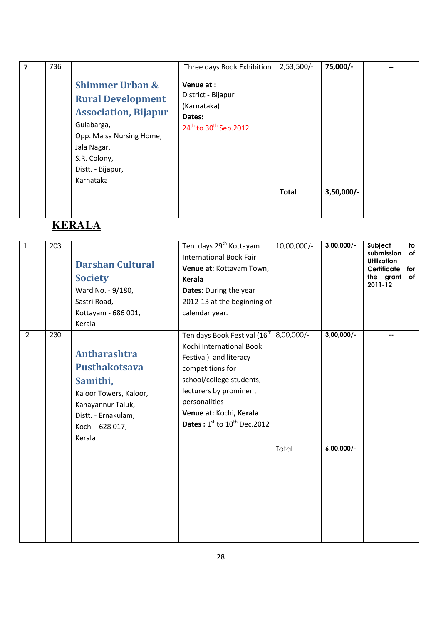| 7 | 736 |                                                                                                                                                                                                  | Three days Book Exhibition                                                                                 | $2,53,500/-$ | 75,000/-     |  |
|---|-----|--------------------------------------------------------------------------------------------------------------------------------------------------------------------------------------------------|------------------------------------------------------------------------------------------------------------|--------------|--------------|--|
|   |     | <b>Shimmer Urban &amp;</b><br><b>Rural Development</b><br><b>Association, Bijapur</b><br>Gulabarga,<br>Opp. Malsa Nursing Home,<br>Jala Nagar,<br>S.R. Colony,<br>Distt. - Bijapur,<br>Karnataka | Venue at :<br>District - Bijapur<br>(Karnataka)<br>Dates:<br>24 <sup>th</sup> to 30 <sup>th</sup> Sep.2012 |              |              |  |
|   |     |                                                                                                                                                                                                  |                                                                                                            | <b>Total</b> | $3,50,000/-$ |  |

# **KERALA**

| $\mathbf{1}$   | 203 | <b>Darshan Cultural</b><br><b>Society</b><br>Ward No. - 9/180,<br>Sastri Road,<br>Kottayam - 686 001,<br>Kerala                                             | Ten days 29 <sup>th</sup> Kottayam<br><b>International Book Fair</b><br>Venue at: Kottayam Town,<br>Kerala<br>Dates: During the year<br>2012-13 at the beginning of<br>calendar year.                                                                                 | 10,00,000/- | $3,00,000/$ - | Subject<br>to<br>submission<br>of<br><b>Utilization</b><br>Certificate<br>for<br>the grant<br>of<br>2011-12 |
|----------------|-----|-------------------------------------------------------------------------------------------------------------------------------------------------------------|-----------------------------------------------------------------------------------------------------------------------------------------------------------------------------------------------------------------------------------------------------------------------|-------------|---------------|-------------------------------------------------------------------------------------------------------------|
| $\overline{2}$ | 230 | <b>Antharashtra</b><br><b>Pusthakotsava</b><br>Samithi,<br>Kaloor Towers, Kaloor,<br>Kanayannur Taluk,<br>Distt. - Ernakulam,<br>Kochi - 628 017,<br>Kerala | Ten days Book Festival (16 <sup>th</sup><br>Kochi International Book<br>Festival) and literacy<br>competitions for<br>school/college students,<br>lecturers by prominent<br>personalities<br>Venue at: Kochi, Kerala<br><b>Dates:</b> $1^{st}$ to $10^{th}$ Dec. 2012 | 8,00,000/-  | $3,00,000/$ - |                                                                                                             |
|                |     |                                                                                                                                                             |                                                                                                                                                                                                                                                                       | Total       | $6,00,000/-$  |                                                                                                             |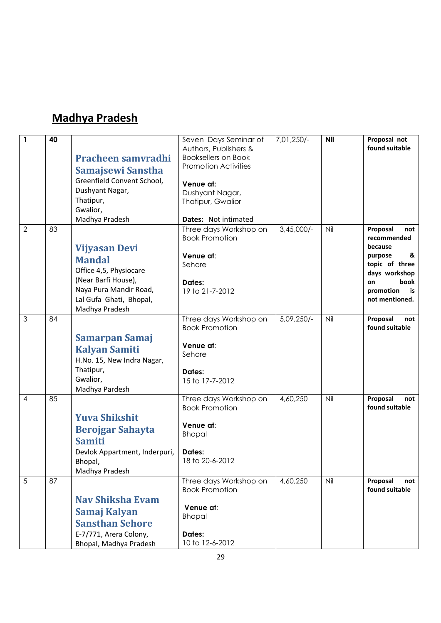#### Madhya Pradesh

| $\mathbf{1}$<br>7,01,250/-<br><b>Nil</b><br>40<br>Seven Days Seminar of<br>Authors, Publishers &           | Proposal not<br>found suitable |
|------------------------------------------------------------------------------------------------------------|--------------------------------|
| <b>Booksellers on Book</b><br>Pracheen samvradhi<br><b>Promotion Activities</b>                            |                                |
| Samajsewi Sanstha                                                                                          |                                |
| Greenfield Convent School,<br>Venue at:                                                                    |                                |
| Dushyant Nagar,<br>Dushyant Nagar,                                                                         |                                |
| Thatipur,<br>Thatipur, Gwalior<br>Gwalior,                                                                 |                                |
| Madhya Pradesh<br>Dates: Not intimated                                                                     |                                |
| $\overline{2}$<br>83<br>$3,45,000/-$<br>Nil<br>Three days Workshop on<br>Proposal                          | not                            |
| <b>Book Promotion</b>                                                                                      | recommended                    |
| because<br><b>Vijyasan Devi</b>                                                                            |                                |
| Venue at:<br>purpose<br><b>Mandal</b><br>Sehore                                                            | &<br>topic of three            |
| Office 4,5, Physiocare                                                                                     | days workshop                  |
| (Near Barfi House),<br>Dates:<br>on                                                                        | book                           |
| Naya Pura Mandir Road,<br>19 to 21-7-2012<br>promotion                                                     | is                             |
| Lal Gufa Ghati, Bhopal,                                                                                    | not mentioned.                 |
| Madhya Pradesh                                                                                             |                                |
| $\mathfrak{S}$<br>Three days Workshop on<br>$5,09,250/-$<br>Nil<br>84<br>Proposal<br><b>Book Promotion</b> | not<br>found suitable          |
| <b>Samarpan Samaj</b>                                                                                      |                                |
| Venue at:<br><b>Kalyan Samiti</b>                                                                          |                                |
| Sehore<br>H.No. 15, New Indra Nagar,                                                                       |                                |
| Thatipur,<br>Dates:                                                                                        |                                |
| Gwalior,<br>15 to 17-7-2012                                                                                |                                |
| Madhya Pardesh                                                                                             |                                |
| 85<br>Three days Workshop on<br>4,60,250<br>Nil<br>Proposal<br>4                                           | not                            |
| <b>Book Promotion</b>                                                                                      | found suitable                 |
| <b>Yuva Shikshit</b><br>Venue at:                                                                          |                                |
| <b>Berojgar Sahayta</b><br><b>Bhopal</b>                                                                   |                                |
| <b>Samiti</b>                                                                                              |                                |
| Devlok Appartment, Inderpuri,<br>Dates:                                                                    |                                |
| 18 to 20-6-2012<br>Bhopal,                                                                                 |                                |
| Madhya Pradesh<br>87<br>5<br>Nil                                                                           |                                |
| Three days Workshop on<br>4,60,250<br>Proposal                                                             | not                            |
|                                                                                                            | found suitable                 |
| <b>Book Promotion</b>                                                                                      |                                |
| <b>Nav Shiksha Evam</b><br>Venue at:                                                                       |                                |
| Samaj Kalyan<br><b>Bhopal</b>                                                                              |                                |
| <b>Sansthan Sehore</b><br>E-7/771, Arera Colony,<br>Dates:                                                 |                                |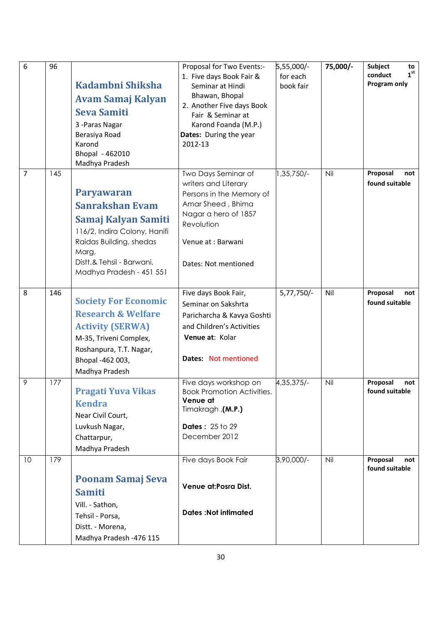| 6  | 96  | Kadambni Shiksha<br><b>Avam Samaj Kalyan</b><br><b>Seva Samiti</b><br>3 - Paras Nagar<br>Berasiya Road<br>Karond<br>Bhopal - 462010<br>Madhya Pradesh                                           | Proposal for Two Events:-<br>1. Five days Book Fair &<br>Seminar at Hindi<br>Bhawan, Bhopal<br>2. Another Five days Book<br>Fair & Seminar at<br>Karond Foanda (M.P.)<br>Dates: During the year<br>2012-13 | 5,55,000/-<br>for each<br>book fair | 75,000/- | Subject<br>to<br>1 <sup>st</sup><br>conduct<br>Program only |
|----|-----|-------------------------------------------------------------------------------------------------------------------------------------------------------------------------------------------------|------------------------------------------------------------------------------------------------------------------------------------------------------------------------------------------------------------|-------------------------------------|----------|-------------------------------------------------------------|
| 7  | 145 | <b>Paryawaran</b><br><b>Sanrakshan Evam</b><br>Samaj Kalyan Samiti<br>116/2, Indira Colony, Hanifi<br>Raidas Building, shedas<br>Marg,<br>Distt.& Tehsil - Barwani,<br>Madhya Pradesh - 451 551 | Two Days Seminar of<br>writers and Literary<br>Persons in the Memory of<br>Amar Sheed, Bhima<br>Nagar a hero of 1857<br>Revolution<br>Venue at : Barwani<br>Dates: Not mentioned                           | 1,35,750/-                          | Nil      | Proposal<br>not<br>found suitable                           |
| 8  | 146 | <b>Society For Economic</b><br><b>Research &amp; Welfare</b><br><b>Activity (SERWA)</b><br>M-35, Triveni Complex,<br>Roshanpura, T.T. Nagar,<br>Bhopal -462 003,<br>Madhya Pradesh              | Five days Book Fair,<br>Seminar on Sakshrta<br>Paricharcha & Kavya Goshti<br>and Children's Activities<br>Venue at: Kolar<br>Dates: Not mentioned                                                          | $5,77,750/-$                        | Nil      | Proposal<br>not<br>found suitable                           |
| 9  | 177 | <b>Pragati Yuva Vikas</b><br><b>Kendra</b><br>Near Civil Court,<br>Luvkush Nagar,<br>Chattarpur,<br>Madhya Pradesh                                                                              | Five days workshop on<br><b>Book Promotion Activities.</b><br>Venue at<br>Timakragh, (M.P.)<br><b>Dates: 25 to 29</b><br>December 2012                                                                     | 4, 35, 375/-                        | Nil      | Proposal<br>not<br>found suitable                           |
| 10 | 179 | <b>Poonam Samaj Seva</b><br><b>Samiti</b><br>Vill. - Sathon,<br>Tehsil - Porsa,<br>Distt. - Morena,<br>Madhya Pradesh -476 115                                                                  | Five days Book Fair<br>Venue at: Posra Dist.<br><b>Dates: Not intimated</b>                                                                                                                                | 3,90,000/-                          | Nil      | Proposal<br>not<br>found suitable                           |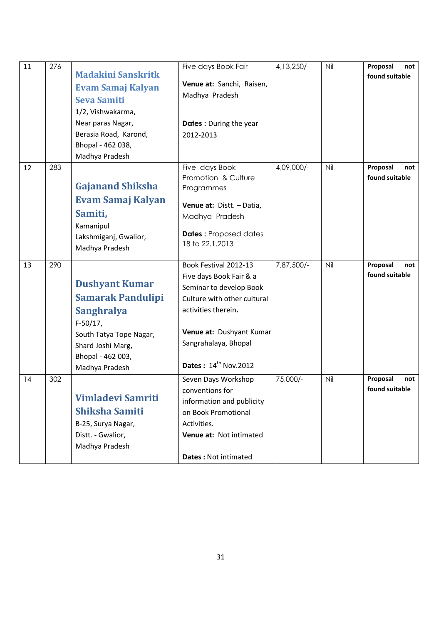| 11 | 276 |                           | Five days Book Fair              | 4, 13, 250/- | Nil | Proposal<br>not |
|----|-----|---------------------------|----------------------------------|--------------|-----|-----------------|
|    |     | <b>Madakini Sanskritk</b> |                                  |              |     | found suitable  |
|    |     | <b>Evam Samaj Kalyan</b>  | Venue at: Sanchi, Raisen,        |              |     |                 |
|    |     | <b>Seva Samiti</b>        | Madhya Pradesh                   |              |     |                 |
|    |     | 1/2, Vishwakarma,         |                                  |              |     |                 |
|    |     | Near paras Nagar,         | Dates: During the year           |              |     |                 |
|    |     | Berasia Road, Karond,     | 2012-2013                        |              |     |                 |
|    |     | Bhopal - 462 038,         |                                  |              |     |                 |
|    |     | Madhya Pradesh            |                                  |              |     |                 |
| 12 | 283 |                           | Five days Book                   | 4,09,000/-   | Nil | Proposal<br>not |
|    |     |                           | Promotion & Culture              |              |     | found suitable  |
|    |     | <b>Gajanand Shiksha</b>   | Programmes                       |              |     |                 |
|    |     | <b>Evam Samaj Kalyan</b>  | Venue at: Distt. - Datia,        |              |     |                 |
|    |     | Samiti,                   | Madhya Pradesh                   |              |     |                 |
|    |     | Kamanipul                 |                                  |              |     |                 |
|    |     | Lakshmiganj, Gwalior,     | <b>Dates: Proposed dates</b>     |              |     |                 |
|    |     | Madhya Pradesh            | 18 to 22.1.2013                  |              |     |                 |
|    |     |                           |                                  |              |     |                 |
| 13 | 290 |                           | Book Festival 2012-13            | 7,87,500/-   | Nil | Proposal<br>not |
|    |     | <b>Dushyant Kumar</b>     | Five days Book Fair & a          |              |     | found suitable  |
|    |     |                           | Seminar to develop Book          |              |     |                 |
|    |     | <b>Samarak Pandulipi</b>  | Culture with other cultural      |              |     |                 |
|    |     | <b>Sanghralya</b>         | activities therein.              |              |     |                 |
|    |     | $F-50/17$ ,               |                                  |              |     |                 |
|    |     | South Tatya Tope Nagar,   | Venue at: Dushyant Kumar         |              |     |                 |
|    |     | Shard Joshi Marg,         | Sangrahalaya, Bhopal             |              |     |                 |
|    |     | Bhopal - 462 003,         |                                  |              |     |                 |
|    |     | Madhya Pradesh            | Dates: 14 <sup>th</sup> Nov.2012 |              |     |                 |
| 14 | 302 |                           | Seven Days Workshop              | 75,000/-     | Nil | Proposal<br>not |
|    |     |                           | conventions for                  |              |     | found suitable  |
|    |     | <b>Vimladevi Samriti</b>  | information and publicity        |              |     |                 |
|    |     | <b>Shiksha Samiti</b>     | on Book Promotional              |              |     |                 |
|    |     | B-25, Surya Nagar,        | Activities.                      |              |     |                 |
|    |     | Distt. - Gwalior,         | Venue at: Not intimated          |              |     |                 |
|    |     | Madhya Pradesh            |                                  |              |     |                 |
|    |     |                           | Dates: Not intimated             |              |     |                 |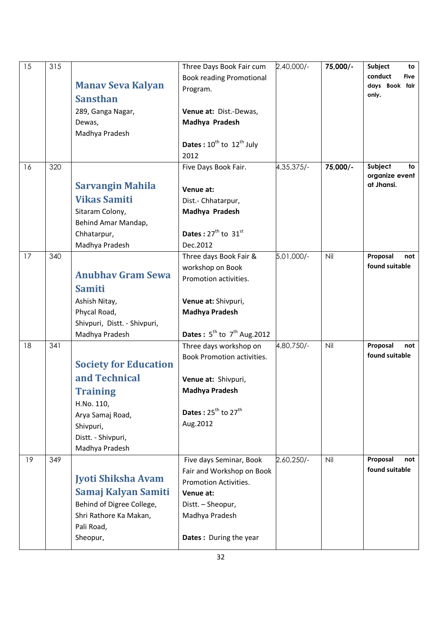| 15 | 315 |                               | Three Days Book Fair cum<br><b>Book reading Promotional</b> | 2,40,000/-   | 75,000/- | Subject<br>to<br>conduct<br><b>Five</b> |
|----|-----|-------------------------------|-------------------------------------------------------------|--------------|----------|-----------------------------------------|
|    |     | <b>Manav Seva Kalyan</b>      | Program.                                                    |              |          | days Book fair<br>only.                 |
|    |     | <b>Sansthan</b>               |                                                             |              |          |                                         |
|    |     | 289, Ganga Nagar,             | Venue at: Dist.-Dewas,                                      |              |          |                                         |
|    |     | Dewas,                        | Madhya Pradesh                                              |              |          |                                         |
|    |     | Madhya Pradesh                | <b>Dates</b> : $10^{th}$ to $12^{th}$ July                  |              |          |                                         |
|    |     |                               | 2012                                                        |              |          |                                         |
| 16 | 320 |                               | Five Days Book Fair.                                        | 4, 35, 375/- | 75,000/- | Subject<br>to                           |
|    |     |                               |                                                             |              |          | organize event                          |
|    |     | <b>Sarvangin Mahila</b>       | Venue at:                                                   |              |          | at Jhansi.                              |
|    |     | <b>Vikas Samiti</b>           | Dist.- Chhatarpur,                                          |              |          |                                         |
|    |     | Sitaram Colony,               | Madhya Pradesh                                              |              |          |                                         |
|    |     | Behind Amar Mandap,           |                                                             |              |          |                                         |
|    |     | Chhatarpur,                   | Dates: $27th$ to $31st$                                     |              |          |                                         |
|    |     | Madhya Pradesh                | Dec.2012                                                    |              |          |                                         |
| 17 | 340 |                               | Three days Book Fair &                                      | 5,01,000/-   | Nil      | Proposal<br>not                         |
|    |     | <b>Anubhav Gram Sewa</b>      | workshop on Book                                            |              |          | found suitable                          |
|    |     | <b>Samiti</b>                 | Promotion activities.                                       |              |          |                                         |
|    |     |                               |                                                             |              |          |                                         |
|    |     | Ashish Nitay,<br>Phycal Road, | Venue at: Shivpuri,<br><b>Madhya Pradesh</b>                |              |          |                                         |
|    |     | Shivpuri, Distt. - Shivpuri,  |                                                             |              |          |                                         |
|    |     | Madhya Pradesh                | <b>Dates</b> : $5^{th}$ to $7^{th}$ Aug. 2012               |              |          |                                         |
| 18 | 341 |                               | Three days workshop on                                      | 4,80,750/-   | Nil      | Proposal<br>not                         |
|    |     |                               | <b>Book Promotion activities.</b>                           |              |          | found suitable                          |
|    |     | <b>Society for Education</b>  |                                                             |              |          |                                         |
|    |     | and Technical                 | Venue at: Shivpuri,                                         |              |          |                                         |
|    |     | <b>Training</b>               | <b>Madhya Pradesh</b>                                       |              |          |                                         |
|    |     | H.No. 110,                    |                                                             |              |          |                                         |
|    |     | Arya Samaj Road,              | Dates: $25^{th}$ to $27^{th}$                               |              |          |                                         |
|    |     | Shivpuri,                     | Aug.2012                                                    |              |          |                                         |
|    |     | Distt. - Shivpuri,            |                                                             |              |          |                                         |
|    |     | Madhya Pradesh                |                                                             |              |          |                                         |
| 19 | 349 |                               | Five days Seminar, Book                                     | 2,60,250/-   | Nil      | Proposal<br>not<br>found suitable       |
|    |     | Jyoti Shiksha Avam            | Fair and Workshop on Book                                   |              |          |                                         |
|    |     | Samaj Kalyan Samiti           | Promotion Activities.<br>Venue at:                          |              |          |                                         |
|    |     | Behind of Digree College,     | Distt. - Sheopur,                                           |              |          |                                         |
|    |     | Shri Rathore Ka Makan,        | Madhya Pradesh                                              |              |          |                                         |
|    |     | Pali Road,                    |                                                             |              |          |                                         |
|    |     | Sheopur,                      | <b>Dates:</b> During the year                               |              |          |                                         |
|    |     |                               |                                                             |              |          |                                         |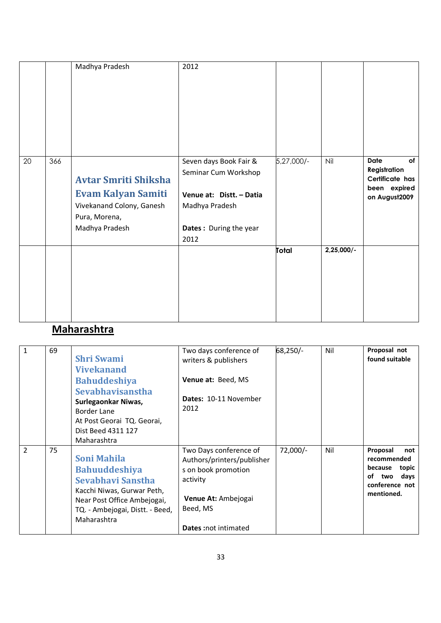|    |     | Madhya Pradesh                                                                                                           | 2012                                                                                                                           |            |              |                                                                                       |
|----|-----|--------------------------------------------------------------------------------------------------------------------------|--------------------------------------------------------------------------------------------------------------------------------|------------|--------------|---------------------------------------------------------------------------------------|
| 20 | 366 | <b>Avtar Smriti Shiksha</b><br><b>Evam Kalyan Samiti</b><br>Vivekanand Colony, Ganesh<br>Pura, Morena,<br>Madhya Pradesh | Seven days Book Fair &<br>Seminar Cum Workshop<br>Venue at: Distt. - Datia<br>Madhya Pradesh<br>Dates: During the year<br>2012 | 5,27,000/- | Nil          | <b>Date</b><br>of<br>Registration<br>Certificate has<br>been expired<br>on August2009 |
|    |     |                                                                                                                          |                                                                                                                                | Total      | $2,25,000/-$ |                                                                                       |

## Maharashtra

| $\mathbf{1}$   | 69 | <b>Shri Swami</b><br><b>Vivekanand</b><br><b>Bahuddeshiya</b><br>Sevabhavisanstha<br>Surlegaonkar Niwas,<br>Border Lane<br>At Post Georai TQ. Georai,<br>Dist Beed 4311 127<br>Maharashtra | Two days conference of<br>writers & publishers<br>Venue at: Beed, MS<br>Dates: 10-11 November<br>2012                                                     | 68,250/-   | Nil | Proposal not<br>found suitable                                                                          |
|----------------|----|--------------------------------------------------------------------------------------------------------------------------------------------------------------------------------------------|-----------------------------------------------------------------------------------------------------------------------------------------------------------|------------|-----|---------------------------------------------------------------------------------------------------------|
| $\overline{2}$ | 75 | <b>Soni Mahila</b><br><b>Bahuuddeshiya</b><br>Sevabhavi Sanstha<br>Kacchi Niwas, Gurwar Peth,<br>Near Post Office Ambejogai,<br>TQ. - Ambejogai, Distt. - Beed,<br>Maharashtra             | Two Days conference of<br>Authors/printers/publisher<br>s on book promotion<br>activity<br>Venue At: Ambejogai<br>Beed, MS<br><b>Dates:</b> not intimated | $72,000/-$ | Nil | Proposal<br>not<br>recommended<br>because<br>topic<br>days<br>οf<br>two<br>conference not<br>mentioned. |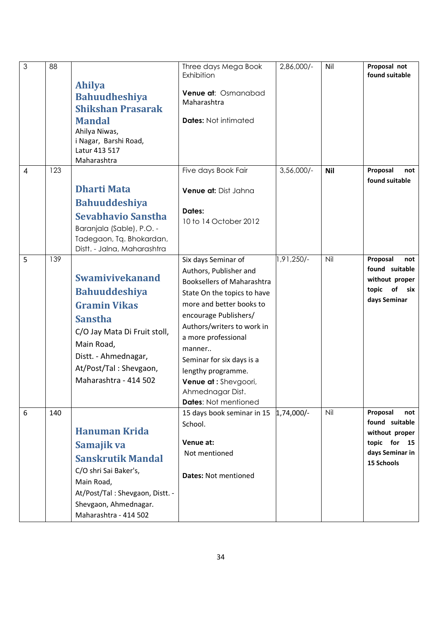| $\mathfrak{Z}$   | 88  |                                                         | Three days Mega Book<br>Exhibition    | 2,86,000/-   | Nil        | Proposal not<br>found suitable    |
|------------------|-----|---------------------------------------------------------|---------------------------------------|--------------|------------|-----------------------------------|
|                  |     | <b>Ahilya</b><br><b>Bahuudheshiya</b>                   | Venue at: Osmanabad                   |              |            |                                   |
|                  |     | <b>Shikshan Prasarak</b>                                | Maharashtra                           |              |            |                                   |
|                  |     | <b>Mandal</b>                                           | <b>Dates: Not intimated</b>           |              |            |                                   |
|                  |     | Ahilya Niwas,                                           |                                       |              |            |                                   |
|                  |     | i Nagar, Barshi Road,                                   |                                       |              |            |                                   |
|                  |     | Latur 413 517<br>Maharashtra                            |                                       |              |            |                                   |
| $\overline{4}$   | 123 |                                                         | Five days Book Fair                   | $3,56,000/-$ | <b>Nil</b> | Proposal<br>not                   |
|                  |     |                                                         |                                       |              |            | found suitable                    |
|                  |     | <b>Dharti Mata</b>                                      | Venue at: Dist Jahna                  |              |            |                                   |
|                  |     | <b>Bahuuddeshiya</b>                                    | Dates:                                |              |            |                                   |
|                  |     | <b>Sevabhavio Sanstha</b>                               | 10 to 14 October 2012                 |              |            |                                   |
|                  |     | Baranjala (Sable), P.O. -                               |                                       |              |            |                                   |
|                  |     | Tadegaon, Tq. Bhokardan,<br>Distt. - Jalna, Maharashtra |                                       |              |            |                                   |
| 5                | 139 |                                                         | Six days Seminar of                   | -/250, 91,   | Nil        | Proposal<br>not                   |
|                  |     |                                                         | Authors, Publisher and                |              |            | found suitable                    |
|                  |     | <b>Swamivivekanand</b>                                  | <b>Booksellers of Maharashtra</b>     |              |            | without proper                    |
|                  |     | <b>Bahuuddeshiya</b>                                    | State On the topics to have           |              |            | topic of six<br>days Seminar      |
|                  |     | <b>Gramin Vikas</b>                                     | more and better books to              |              |            |                                   |
|                  |     | <b>Sanstha</b>                                          | encourage Publishers/                 |              |            |                                   |
|                  |     | C/O Jay Mata Di Fruit stoll,                            | Authors/writers to work in            |              |            |                                   |
|                  |     | Main Road,                                              | a more professional<br>manner         |              |            |                                   |
|                  |     | Distt. - Ahmednagar,                                    | Seminar for six days is a             |              |            |                                   |
|                  |     | At/Post/Tal: Shevgaon,                                  | lengthy programme.                    |              |            |                                   |
|                  |     | Maharashtra - 414 502                                   | Venue at: Shevgoori,                  |              |            |                                   |
|                  |     |                                                         | Ahmednagar Dist.                      |              |            |                                   |
|                  |     |                                                         | <b>Dates: Not mentioned</b>           |              | Nil        |                                   |
| $\boldsymbol{6}$ | 140 |                                                         | 15 days book seminar in 15<br>School. | $1,74,000/-$ |            | Proposal<br>not<br>found suitable |
|                  |     | <b>Hanuman Krida</b>                                    |                                       |              |            | without proper                    |
|                  |     | Samajik va                                              | Venue at:                             |              |            | topic for 15                      |
|                  |     | <b>Sanskrutik Mandal</b>                                | Not mentioned                         |              |            | days Seminar in<br>15 Schools     |
|                  |     | C/O shri Sai Baker's,                                   |                                       |              |            |                                   |
|                  |     | Main Road,                                              | <b>Dates: Not mentioned</b>           |              |            |                                   |
|                  |     | At/Post/Tal: Shevgaon, Distt. -                         |                                       |              |            |                                   |
|                  |     | Shevgaon, Ahmednagar.                                   |                                       |              |            |                                   |
|                  |     | Maharashtra - 414 502                                   |                                       |              |            |                                   |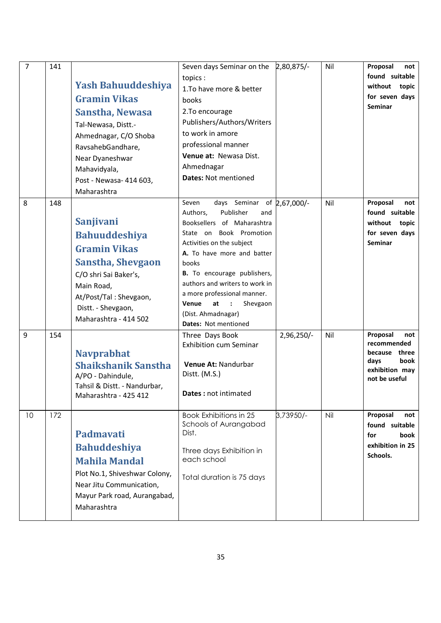| $\overline{7}$ | 141 | <b>Yash Bahuuddeshiya</b><br><b>Gramin Vikas</b><br>Sanstha, Newasa<br>Tal-Newasa, Distt.-<br>Ahmednagar, C/O Shoba<br>RavsahebGandhare,<br>Near Dyaneshwar<br>Mahavidyala,<br>Post - Newasa- 414 603,<br>Maharashtra | Seven days Seminar on the 2,80,875/-<br>topics:<br>1. To have more & better<br>books<br>2. To encourage<br>Publishers/Authors/Writers<br>to work in amore<br>professional manner<br>Venue at: Newasa Dist.<br>Ahmednagar<br><b>Dates: Not mentioned</b>                                                                                                                          |            | Nil | Proposal<br>not<br>found suitable<br>without topic<br>for seven days<br><b>Seminar</b>             |
|----------------|-----|-----------------------------------------------------------------------------------------------------------------------------------------------------------------------------------------------------------------------|----------------------------------------------------------------------------------------------------------------------------------------------------------------------------------------------------------------------------------------------------------------------------------------------------------------------------------------------------------------------------------|------------|-----|----------------------------------------------------------------------------------------------------|
| 8              | 148 | <b>Sanjivani</b><br><b>Bahuuddeshiya</b><br><b>Gramin Vikas</b><br><b>Sanstha, Shevgaon</b><br>C/O shri Sai Baker's,<br>Main Road,<br>At/Post/Tal: Shevgaon,<br>Distt. - Shevgaon,<br>Maharashtra - 414 502           | days Seminar of 2,67,000/-<br>Seven<br>Authors,<br>Publisher<br>and<br>Booksellers of Maharashtra<br>State on Book Promotion<br>Activities on the subject<br>A. To have more and batter<br>books<br><b>B.</b> To encourage publishers,<br>authors and writers to work in<br>a more professional manner.<br>Venue<br>at<br>Shevgaon<br>(Dist. Ahmadnagar)<br>Dates: Not mentioned |            | Nil | Proposal<br>not<br>found suitable<br>without topic<br>for seven days<br><b>Seminar</b>             |
| 9              | 154 | <b>Navprabhat</b><br><b>Shaikshanik Sanstha</b><br>A/PO - Dahindule,<br>Tahsil & Distt. - Nandurbar,<br>Maharashtra - 425 412                                                                                         | Three Days Book<br><b>Exhibition cum Seminar</b><br>Venue At: Nandurbar<br>Distt. (M.S.)<br>Dates : not intimated                                                                                                                                                                                                                                                                | 2,96,250/- | Nil | Proposal<br>not<br>recommended<br>because three<br>days<br>book<br>exhibition may<br>not be useful |
| 10             | 172 | Padmavati<br><b>Bahuddeshiya</b><br><b>Mahila Mandal</b><br>Plot No.1, Shiveshwar Colony,<br>Near Jitu Communication,<br>Mayur Park road, Aurangabad,<br>Maharashtra                                                  | <b>Book Exhibitions in 25</b><br>Schools of Aurangabad<br>Dist.<br>Three days Exhibition in<br>each school<br>Total duration is 75 days                                                                                                                                                                                                                                          | 3,73950/-  | Nil | Proposal<br>not<br>found suitable<br>for<br>book<br>exhibition in 25<br>Schools.                   |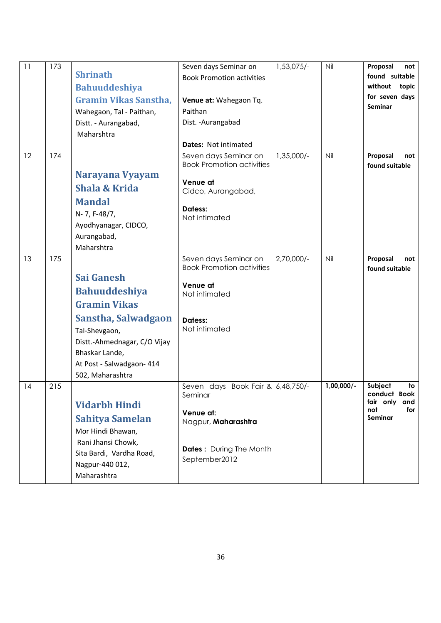| 11 | 173 | <b>Shrinath</b><br><b>Bahuuddeshiya</b><br>Gramin Vikas Sanstha,<br>Wahegaon, Tal - Paithan,<br>Distt. - Aurangabad,<br>Maharshtra                                                                          | Seven days Seminar on<br><b>Book Promotion activities</b><br>Venue at: Wahegaon Tq.<br>Paithan<br>Dist. - Aurangabad<br>Dates: Not intimated | 1,53,075/- | Nil          | Proposal<br>not<br>found suitable<br>without topic<br>for seven days<br><b>Seminar</b> |
|----|-----|-------------------------------------------------------------------------------------------------------------------------------------------------------------------------------------------------------------|----------------------------------------------------------------------------------------------------------------------------------------------|------------|--------------|----------------------------------------------------------------------------------------|
| 12 | 174 | Narayana Vyayam<br><b>Shala &amp; Krida</b><br><b>Mandal</b><br>N-7, F-48/7,<br>Ayodhyanagar, CIDCO,<br>Aurangabad,<br>Maharshtra                                                                           | Seven days Seminar on<br><b>Book Promotion activities</b><br>Venue at<br>Cidco, Aurangabad,<br>Datess:<br>Not intimated                      | 1,35,000/- | Nil          | Proposal<br>not<br>found suitable                                                      |
| 13 | 175 | <b>Sai Ganesh</b><br><b>Bahuuddeshiya</b><br><b>Gramin Vikas</b><br>Sanstha, Salwadgaon<br>Tal-Shevgaon,<br>Distt.-Ahmednagar, C/O Vijay<br>Bhaskar Lande,<br>At Post - Salwadgaon- 414<br>502, Maharashtra | Seven days Seminar on<br><b>Book Promotion activities</b><br>Venue at<br>Not intimated<br>Datess:<br>Not intimated                           | 2,70,000/- | Nil          | Proposal<br>not<br>found suitable                                                      |
| 14 | 215 | <b>Vidarbh Hindi</b><br><b>Sahitya Samelan</b><br>Mor Hindi Bhawan,<br>Rani Jhansi Chowk,<br>Sita Bardi, Vardha Road,<br>Nagpur-440 012,<br>Maharashtra                                                     | Seven days Book Fair & 6,48,750/-<br>Seminar<br>Venue at:<br>Nagpur, Maharashtra<br><b>Dates:</b> During The Month<br>September2012          |            | $1,00,000/-$ | Subject<br>to<br>conduct Book<br>fair only<br>and<br>not<br>for<br>Seminar             |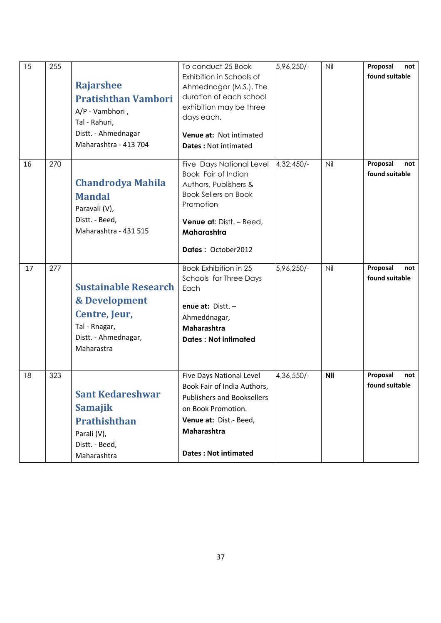| 15 | 255 | <b>Rajarshee</b><br><b>Pratishthan Vambori</b><br>A/P - Vambhori,<br>Tal - Rahuri,<br>Distt. - Ahmednagar<br>Maharashtra - 413 704 | To conduct 25 Book<br>Exhibition in Schools of<br>Ahmednagar (M.S.). The<br>duration of each school<br>exhibition may be three<br>days each.<br>Venue at: Not intimated<br><b>Dates: Not intimated</b> | 5,96,250/- | Nil        | Proposal<br>not<br>found suitable |
|----|-----|------------------------------------------------------------------------------------------------------------------------------------|--------------------------------------------------------------------------------------------------------------------------------------------------------------------------------------------------------|------------|------------|-----------------------------------|
| 16 | 270 | <b>Chandrodya Mahila</b><br><b>Mandal</b><br>Paravali (V),<br>Distt. - Beed,<br>Maharashtra - 431 515                              | Five Days National Level<br>Book Fair of Indian<br>Authors, Publishers &<br><b>Book Sellers on Book</b><br>Promotion<br>Venue at: Distt. - Beed,<br>Maharashtra<br>Dates: October2012                  | 4,32,450/- | Nil        | Proposal<br>not<br>found suitable |
| 17 | 277 | <b>Sustainable Research</b><br>& Development<br>Centre, Jeur,<br>Tal - Rnagar,<br>Distt. - Ahmednagar,<br>Maharastra               | <b>Book Exhibition in 25</b><br>Schools for Three Days<br>Each<br>enue at: $Dist.$ -<br>Ahmeddnagar,<br><b>Maharashtra</b><br><b>Dates: Not intimated</b>                                              | 5,96,250/- | Nil        | Proposal<br>not<br>found suitable |
| 18 | 323 | <b>Sant Kedareshwar</b><br><b>Samajik</b><br><b>Prathishthan</b><br>Parali (V),<br>Distt. - Beed,<br>Maharashtra                   | Five Days National Level<br>Book Fair of India Authors,<br><b>Publishers and Booksellers</b><br>on Book Promotion.<br>Venue at: Dist.- Beed,<br>Maharashtra<br><b>Dates: Not intimated</b>             | 4,36,550/- | <b>Nil</b> | Proposal<br>not<br>found suitable |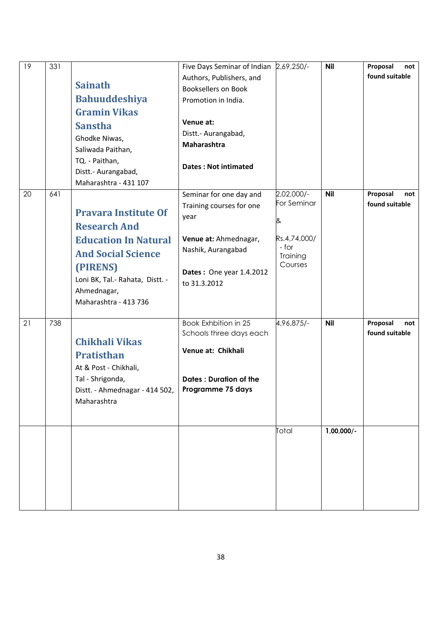| 19 | 331 | <b>Sainath</b><br><b>Bahuuddeshiya</b><br><b>Gramin Vikas</b><br><b>Sanstha</b><br>Ghodke Niwas,<br>Saliwada Paithan,<br>TQ. - Paithan,<br>Distt.- Aurangabad,<br>Maharashtra - 431 107               | Five Days Seminar of Indian 2,69,250/-<br>Authors, Publishers, and<br><b>Booksellers on Book</b><br>Promotion in India.<br>Venue at:<br>Distt.- Aurangabad,<br>Maharashtra<br><b>Dates: Not intimated</b> |                                                                                | <b>Nil</b>                  | Proposal<br>not<br>found suitable |
|----|-----|-------------------------------------------------------------------------------------------------------------------------------------------------------------------------------------------------------|-----------------------------------------------------------------------------------------------------------------------------------------------------------------------------------------------------------|--------------------------------------------------------------------------------|-----------------------------|-----------------------------------|
| 20 | 641 | <b>Pravara Institute Of</b><br><b>Research And</b><br><b>Education In Natural</b><br><b>And Social Science</b><br>(PIRENS)<br>Loni BK, Tal.- Rahata, Distt. -<br>Ahmednagar,<br>Maharashtra - 413 736 | Seminar for one day and<br>Training courses for one<br>year<br>Venue at: Ahmednagar,<br>Nashik, Aurangabad<br>Dates: One year 1.4.2012<br>to 31.3.2012                                                    | 2,02,000/-<br>For Seminar<br>&<br>Rs.4,74,000/<br>- for<br>Training<br>Courses | <b>Nil</b>                  | Proposal<br>not<br>found suitable |
| 21 | 738 | <b>Chikhali Vikas</b><br><b>Pratisthan</b><br>At & Post - Chikhali,<br>Tal - Shrigonda,<br>Distt. - Ahmednagar - 414 502,<br>Maharashtra                                                              | Book Exhbition in 25<br>Schools three days each<br>Venue at: Chikhali<br><b>Dates: Duration of the</b><br>Programme 75 days                                                                               | 4,96,875/-<br>Total                                                            | <b>Nil</b><br>$1,00,000/$ - | Proposal<br>not<br>found suitable |
|    |     |                                                                                                                                                                                                       |                                                                                                                                                                                                           |                                                                                |                             |                                   |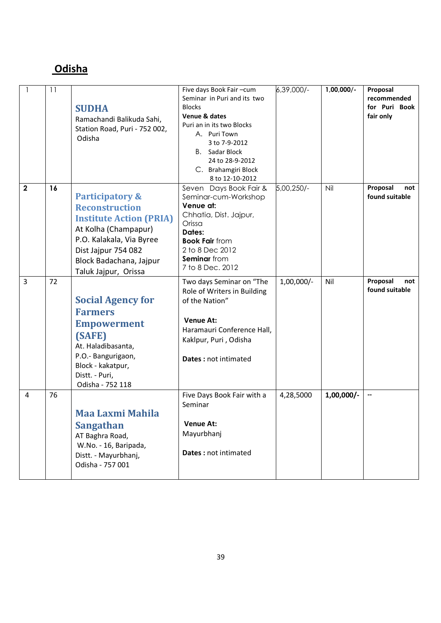#### **Odisha**

| $\mathbf{1}$   | 11 | <b>SUDHA</b><br>Ramachandi Balikuda Sahi,<br>Station Road, Puri - 752 002,<br>Odisha                                                                                                                                | Five days Book Fair-cum<br>Seminar in Puri and its two<br><b>Blocks</b><br>Venue & dates<br>Puri an in its two Blocks<br>A. Puri Town<br>3 to 7-9-2012<br>B. Sadar Block<br>24 to 28-9-2012<br>C. Brahamgiri Block<br>8 to 12-10-2012 | -,000,48,6   | $1,00,000/-$ | Proposal<br>recommended<br>for Puri Book<br>fair only |
|----------------|----|---------------------------------------------------------------------------------------------------------------------------------------------------------------------------------------------------------------------|---------------------------------------------------------------------------------------------------------------------------------------------------------------------------------------------------------------------------------------|--------------|--------------|-------------------------------------------------------|
| $\mathbf 2$    | 16 | <b>Participatory &amp;</b><br><b>Reconstruction</b><br><b>Institute Action (PRIA)</b><br>At Kolha (Champapur)<br>P.O. Kalakala, Via Byree<br>Dist Jajpur 754 082<br>Block Badachana, Jajpur<br>Taluk Jajpur, Orissa | Seven Days Book Fair &<br>Seminar-cum-Workshop<br>Venue at:<br>Chhatia, Dist. Jajpur,<br>Orissa<br>Dates:<br><b>Book Fair from</b><br>2 to 8 Dec 2012<br>Seminar from<br>7 to 8 Dec. 2012                                             | 5,00,250/-   | Nil          | Proposal<br>not<br>found suitable                     |
| $\overline{3}$ | 72 | <b>Social Agency for</b><br><b>Farmers</b><br><b>Empowerment</b><br>(SAFE)<br>At. Haladibasanta,<br>P.O.- Bangurigaon,<br>Block - kakatpur,<br>Distt. - Puri,<br>Odisha - 752 118                                   | Two days Seminar on "The<br>Role of Writers in Building<br>of the Nation"<br><b>Venue At:</b><br>Haramauri Conference Hall,<br>Kaklpur, Puri, Odisha<br>Dates : not intimated                                                         | $1,00,000/-$ | Nil          | Proposal<br>not<br>found suitable                     |
| 4              | 76 | Maa Laxmi Mahila<br><b>Sangathan</b><br>AT Baghra Road,<br>W.No. - 16, Baripada,<br>Distt. - Mayurbhanj,<br>Odisha - 757 001                                                                                        | Five Days Book Fair with a<br>Seminar<br><b>Venue At:</b><br>Mayurbhanj<br>Dates : not intimated                                                                                                                                      | 4,28,5000    | $1,00,000/-$ | --                                                    |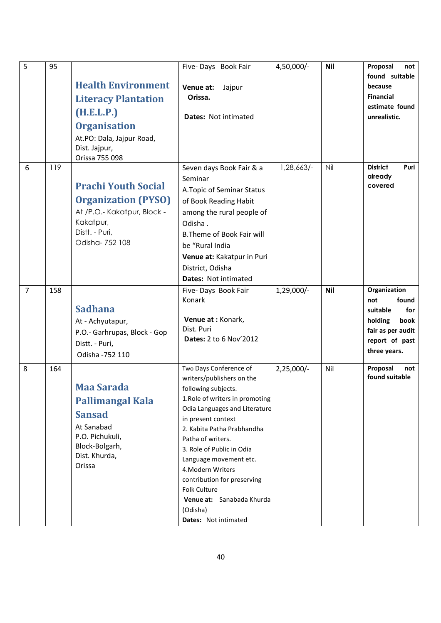| 5              | 95  | <b>Health Environment</b><br><b>Literacy Plantation</b><br>(H.E.L.P.)<br><b>Organisation</b><br>At.PO: Dala, Jajpur Road,<br>Dist. Jajpur,<br>Orissa 755 098 | Five-Days Book Fair<br>Venue at:<br>Jajpur<br>Orissa.<br>Dates: Not intimated                                                                                                                                                                                                                                                                                                                                       | 4,50,000/- | <b>Nil</b> | Proposal<br>not<br>found suitable<br>because<br><b>Financial</b><br>estimate found<br>unrealistic.                        |
|----------------|-----|--------------------------------------------------------------------------------------------------------------------------------------------------------------|---------------------------------------------------------------------------------------------------------------------------------------------------------------------------------------------------------------------------------------------------------------------------------------------------------------------------------------------------------------------------------------------------------------------|------------|------------|---------------------------------------------------------------------------------------------------------------------------|
| 6              | 119 | <b>Prachi Youth Social</b><br><b>Organization (PYSO)</b><br>At /P.O.- Kakatpur, Block -<br>Kakatpur,<br>Distt. - Puri,<br>Odisha- 752 108                    | Seven days Book Fair & a<br>Seminar<br>A. Topic of Seminar Status<br>of Book Reading Habit<br>among the rural people of<br>Odisha.<br><b>B.Theme of Book Fair will</b><br>be "Rural India<br>Venue at: Kakatpur in Puri<br>District, Odisha<br>Dates: Not intimated                                                                                                                                                 | 1,28,663/- | Nil        | <b>District</b><br>Puri<br>already<br>covered                                                                             |
| $\overline{7}$ | 158 | <b>Sadhana</b><br>At - Achyutapur,<br>P.O.- Garhrupas, Block - Gop<br>Distt. - Puri,<br>Odisha - 752 110                                                     | Five-Days Book Fair<br>Konark<br>Venue at : Konark,<br>Dist. Puri<br>Dates: 2 to 6 Nov'2012                                                                                                                                                                                                                                                                                                                         | 1,29,000/- | <b>Nil</b> | Organization<br>found<br>not<br>for<br>suitable<br>holding<br>book<br>fair as per audit<br>report of past<br>three years. |
| 8              | 164 | <b>Maa Sarada</b><br><b>Pallimangal Kala</b><br><b>Sansad</b><br>At Sanabad<br>P.O. Pichukuli,<br>Block-Bolgarh,<br>Dist. Khurda,<br>Orissa                  | Two Days Conference of<br>writers/publishers on the<br>following subjects.<br>1. Role of writers in promoting<br>Odia Languages and Literature<br>in present context<br>2. Kabita Patha Prabhandha<br>Patha of writers.<br>3. Role of Public in Odia<br>Language movement etc.<br>4. Modern Writers<br>contribution for preserving<br>Folk Culture<br>Venue at: Sanabada Khurda<br>(Odisha)<br>Dates: Not intimated | 2,25,000/- | Nil        | Proposal<br>not<br>found suitable                                                                                         |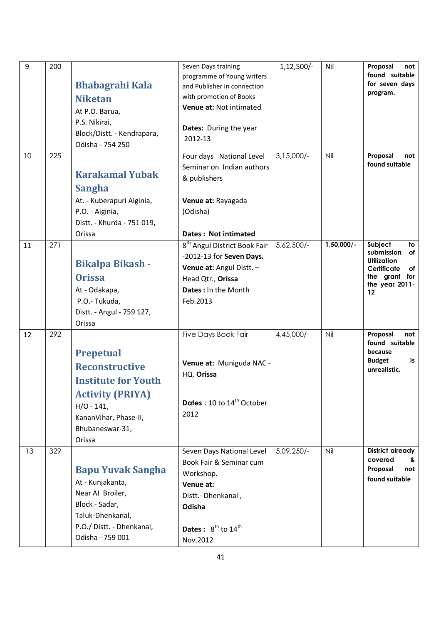| 9  | 200 | <b>Bhabagrahi Kala</b><br><b>Niketan</b><br>At P.O. Barua,<br>P.S. Nikirai,<br>Block/Distt. - Kendrapara,<br>Odisha - 754 250                                            | Seven Days training<br>programme of Young writers<br>and Publisher in connection<br>with promotion of Books<br>Venue at: Not intimated<br>Dates: During the year<br>2012-13     | $1,12,500/-$ | Nil          | Proposal<br>not<br>found suitable<br>for seven days<br>program.                                                     |
|----|-----|--------------------------------------------------------------------------------------------------------------------------------------------------------------------------|---------------------------------------------------------------------------------------------------------------------------------------------------------------------------------|--------------|--------------|---------------------------------------------------------------------------------------------------------------------|
| 10 | 225 | <b>Karakamal Yubak</b><br><b>Sangha</b><br>At. - Kuberapuri Aiginia,<br>P.O. - Aiginia,<br>Distt. - Khurda - 751 019,<br>Orissa                                          | Four days National Level<br>Seminar on Indian authors<br>& publishers<br>Venue at: Rayagada<br>(Odisha)<br>Dates: Not intimated                                                 | $3,15,000/-$ | Nil          | Proposal<br>not<br>found suitable                                                                                   |
| 11 | 271 | <b>Bikalpa Bikash -</b><br><b>Orissa</b><br>At - Odakapa,<br>P.O.- Tukuda,<br>Distt. - Angul - 759 127,<br>Orissa                                                        | 8 <sup>th</sup> Angul District Book Fair<br>-2012-13 for Seven Days.<br>Venue at: Angul Distt. -<br>Head Qtr., Orissa<br><b>Dates: In the Month</b><br>Feb.2013                 | 5,62,500/-   | $1,50,000/-$ | Subject<br>to<br>submission<br>оf<br>Utilization<br>Certificate<br>of<br>the grant for<br>the year 2011-<br>$12 \,$ |
| 12 | 292 | <b>Prepetual</b><br><b>Reconstructive</b><br><b>Institute for Youth</b><br><b>Activity (PRIYA)</b><br>$H/O - 141,$<br>KananVihar, Phase-II,<br>Bhubaneswar-31,<br>Orissa | Five Days Book Fair<br>Venue at: Muniguda NAC -<br>HQ. Orissa<br><b>Dates:</b> 10 to $14^{th}$ October<br>2012                                                                  | 4,45,000/-   | Nil          | Proposal<br>not<br>found suitable<br>because<br><b>Budget</b><br>is<br>unrealistic.                                 |
| 13 | 329 | <b>Bapu Yuvak Sangha</b><br>At - Kunjakanta,<br>Near AI Broiler,<br>Block - Sadar,<br>Taluk-Dhenkanal,<br>P.O./ Distt. - Dhenkanal,<br>Odisha - 759 001                  | Seven Days National Level<br>Book Fair & Seminar cum<br>Workshop.<br>Venue at:<br>Distt.- Dhenkanal,<br>Odisha<br><b>Dates:</b> $8^{\text{th}}$ to $14^{\text{th}}$<br>Nov.2012 | 5,09,250/-   | Nil          | <b>District already</b><br>covered<br>&<br>Proposal<br>not<br>found suitable                                        |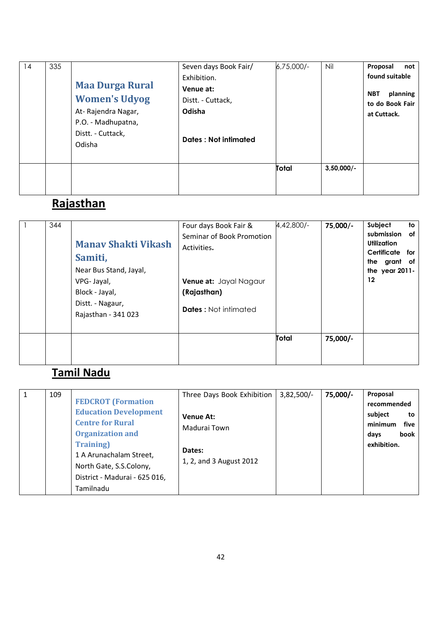| 14 | 335 | <b>Maa Durga Rural</b><br><b>Women's Udyog</b><br>At-Rajendra Nagar,<br>P.O. - Madhupatna,<br>Distt. - Cuttack,<br>Odisha | Seven days Book Fair/<br>Exhibition.<br>Venue at:<br>Distt. - Cuttack,<br>Odisha<br>Dates: Not intimated | $6,75,000/-$ | Nil           | Proposal<br>not<br>found suitable<br>planning<br><b>NBT</b><br>to do Book Fair<br>at Cuttack. |
|----|-----|---------------------------------------------------------------------------------------------------------------------------|----------------------------------------------------------------------------------------------------------|--------------|---------------|-----------------------------------------------------------------------------------------------|
|    |     |                                                                                                                           |                                                                                                          | Total        | $3,50,000/$ - |                                                                                               |

# **Rajasthan**

| 344 | <b>Manay Shakti Vikash</b><br>Samiti,<br>Near Bus Stand, Jayal,<br>VPG-Jayal,<br>Block - Jayal,<br>Distt. - Nagaur,<br>Rajasthan - 341 023 | Four days Book Fair &<br>Seminar of Book Promotion<br>Activities.<br>Venue at: Jayal Nagaur<br>(Rajasthan)<br><b>Dates:</b> Not intimated | $4,42,800/-$ | 75,000/- | Subject<br>to<br>submission<br>of<br><b>Utilization</b><br>Certificate<br>for<br>the grant of<br>the year 2011-<br>12 |
|-----|--------------------------------------------------------------------------------------------------------------------------------------------|-------------------------------------------------------------------------------------------------------------------------------------------|--------------|----------|-----------------------------------------------------------------------------------------------------------------------|
|     |                                                                                                                                            |                                                                                                                                           | Total        | 75,000/- |                                                                                                                       |

## Tamil Nadu

| $\mathbf{1}$ | 109 | <b>FEDCROT</b> (Formation<br><b>Education Development</b><br><b>Centre for Rural</b><br><b>Organization and</b><br><b>Training</b> )<br>1 A Arunachalam Street,<br>North Gate, S.S.Colony,<br>District - Madurai - 625 016,<br>Tamilnadu | Three Days Book Exhibition<br><b>Venue At:</b><br>Madurai Town<br>Dates:<br>1, 2, and 3 August 2012 | $3,82,500/-$ | 75,000/- | Proposal<br>recommended<br>subject<br>to<br>minimum<br>five<br>book<br>days<br>exhibition. |
|--------------|-----|------------------------------------------------------------------------------------------------------------------------------------------------------------------------------------------------------------------------------------------|-----------------------------------------------------------------------------------------------------|--------------|----------|--------------------------------------------------------------------------------------------|
|--------------|-----|------------------------------------------------------------------------------------------------------------------------------------------------------------------------------------------------------------------------------------------|-----------------------------------------------------------------------------------------------------|--------------|----------|--------------------------------------------------------------------------------------------|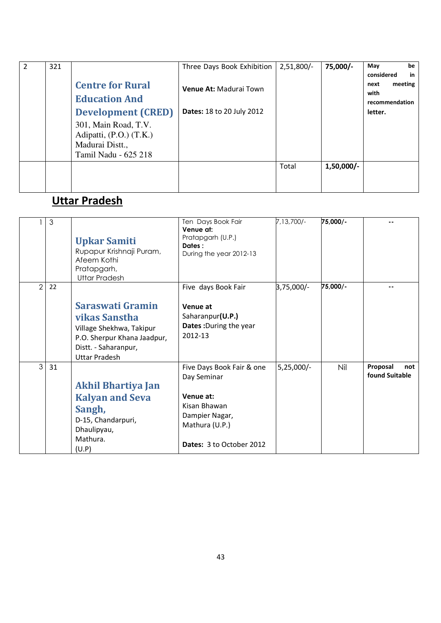| 2 | 321 |                                                                                            | Three Days Book Exhibition       | $2,51,800/-$ | 75,000/-     | be<br>May                                                     |
|---|-----|--------------------------------------------------------------------------------------------|----------------------------------|--------------|--------------|---------------------------------------------------------------|
|   |     | <b>Centre for Rural</b><br><b>Education And</b>                                            | <b>Venue At: Madurai Town</b>    |              |              | considered<br>in<br>meeting<br>next<br>with<br>recommendation |
|   |     | <b>Development (CRED)</b>                                                                  | <b>Dates: 18 to 20 July 2012</b> |              |              | letter.                                                       |
|   |     | 301, Main Road, T.V.<br>Adipatti, (P.O.) (T.K.)<br>Madurai Distt.,<br>Tamil Nadu - 625 218 |                                  |              |              |                                                               |
|   |     |                                                                                            |                                  | Total        | $1,50,000/-$ |                                                               |

# Uttar Pradesh

|                | 3  | <b>Upkar Samiti</b><br>Rupapur Krishnaji Puram,<br>Afeem Kothi<br>Pratapgarh,<br><b>Uttar Pradesh</b>                                        | Ten Days Book Fair<br>Venue at:<br>Pratapgarh (U.P.)<br>Dates:<br>During the year 2012-13                                             | 7,13,700/-   | 75,000/- |                                   |
|----------------|----|----------------------------------------------------------------------------------------------------------------------------------------------|---------------------------------------------------------------------------------------------------------------------------------------|--------------|----------|-----------------------------------|
| $\mathfrak{D}$ | 22 | Saraswati Gramin<br>vikas Sanstha<br>Village Shekhwa, Takipur<br>P.O. Sherpur Khana Jaadpur,<br>Distt. - Saharanpur,<br><b>Uttar Pradesh</b> | Five days Book Fair<br>Venue at<br>Saharanpur(U.P.)<br>Dates: During the year<br>2012-13                                              | 3,75,000/-   | 75,000/- |                                   |
| $\mathcal{S}$  | 31 | Akhil Bhartiya Jan<br><b>Kalyan and Seva</b><br>Sangh,<br>D-15, Chandarpuri,<br>Dhaulipyau,<br>Mathura.<br>(U.P)                             | Five Days Book Fair & one<br>Day Seminar<br>Venue at:<br>Kisan Bhawan<br>Dampier Nagar,<br>Mathura (U.P.)<br>Dates: 3 to October 2012 | $5,25,000/-$ | Nil      | Proposal<br>not<br>found Suitable |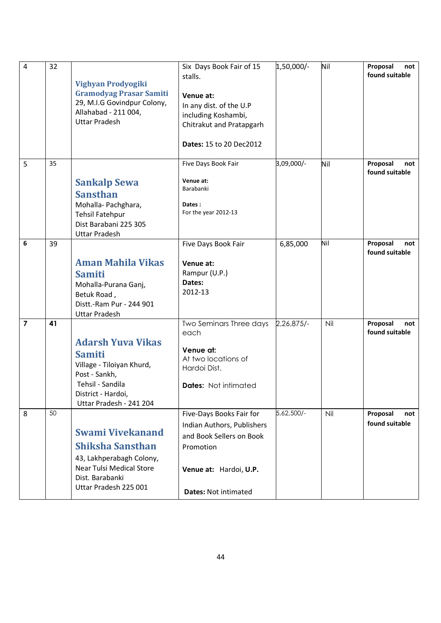| 4              | 32 | Vighyan Prodyogiki<br><b>Gramodyag Prasar Samiti</b><br>29, M.I.G Govindpur Colony,<br>Allahabad - 211 004,<br><b>Uttar Pradesh</b>                           | Six Days Book Fair of 15<br>stalls.<br>Venue at:<br>In any dist. of the U.P<br>including Koshambi,<br>Chitrakut and Pratapgarh<br>Dates: 15 to 20 Dec2012 | 1,50,000/- | Nil | Proposal<br>not<br>found suitable |
|----------------|----|---------------------------------------------------------------------------------------------------------------------------------------------------------------|-----------------------------------------------------------------------------------------------------------------------------------------------------------|------------|-----|-----------------------------------|
| 5              | 35 | <b>Sankalp Sewa</b><br><b>Sansthan</b><br>Mohalla-Pachghara,<br><b>Tehsil Fatehpur</b><br>Dist Barabani 225 305<br><b>Uttar Pradesh</b>                       | Five Days Book Fair<br>Venue at:<br>Barabanki<br>Dates:<br>For the year 2012-13                                                                           | 3,09,000/- | Nil | Proposal<br>not<br>found suitable |
| 6              | 39 | <b>Aman Mahila Vikas</b><br><b>Samiti</b><br>Mohalla-Purana Ganj,<br>Betuk Road,<br>Distt.-Ram Pur - 244 901<br><b>Uttar Pradesh</b>                          | Five Days Book Fair<br>Venue at:<br>Rampur (U.P.)<br>Dates:<br>2012-13                                                                                    | 6,85,000   | Nil | Proposal<br>not<br>found suitable |
| $\overline{7}$ | 41 | <b>Adarsh Yuva Vikas</b><br><b>Samiti</b><br>Village - Tiloiyan Khurd,<br>Post - Sankh,<br>Tehsil - Sandila<br>District - Hardoi,<br>Uttar Pradesh - 241 204  | Two Seminars Three days<br>each<br>Venue at:<br>At two locations of<br>Hardoi Dist.<br><b>Dates:</b> Not intimated                                        | 2,26,875/- | Nil | Proposal<br>not<br>found suitable |
| 8              | 50 | <b>Swami Vivekanand</b><br><b>Shiksha Sansthan</b><br>43, Lakhperabagh Colony,<br><b>Near Tulsi Medical Store</b><br>Dist. Barabanki<br>Uttar Pradesh 225 001 | Five-Days Books Fair for<br>Indian Authors, Publishers<br>and Book Sellers on Book<br>Promotion<br>Venue at: Hardoi, U.P.<br><b>Dates: Not intimated</b>  | 5,62,500/- | Nil | Proposal<br>not<br>found suitable |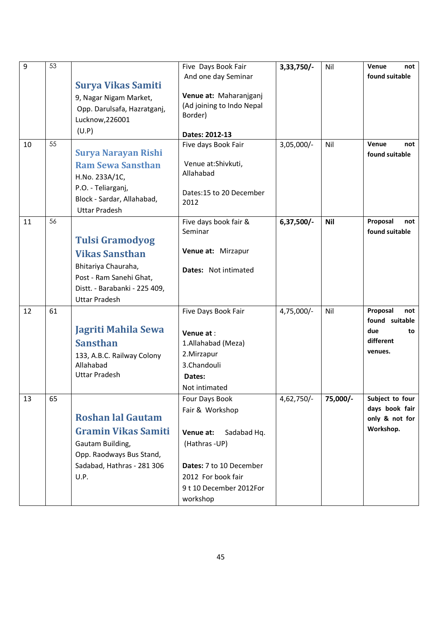| 9  | 53 |                                                        | Five Days Book Fair             | $3,33,750/-$ | Nil      | Venue<br>not           |
|----|----|--------------------------------------------------------|---------------------------------|--------------|----------|------------------------|
|    |    | <b>Surya Vikas Samiti</b>                              | And one day Seminar             |              |          | found suitable         |
|    |    | 9, Nagar Nigam Market,                                 | Venue at: Maharanjganj          |              |          |                        |
|    |    | Opp. Darulsafa, Hazratganj,                            | (Ad joining to Indo Nepal       |              |          |                        |
|    |    | Lucknow, 226001                                        | Border)                         |              |          |                        |
|    |    | (U.P)                                                  | Dates: 2012-13                  |              |          |                        |
| 10 | 55 |                                                        | Five days Book Fair             | $3,05,000/-$ | Nil      | Venue<br>not           |
|    |    | Surya Narayan Rishi                                    |                                 |              |          | found suitable         |
|    |    | <b>Ram Sewa Sansthan</b>                               | Venue at:Shivkuti,<br>Allahabad |              |          |                        |
|    |    | H.No. 233A/1C,                                         |                                 |              |          |                        |
|    |    | P.O. - Teliarganj,<br>Block - Sardar, Allahabad,       | Dates:15 to 20 December         |              |          |                        |
|    |    | <b>Uttar Pradesh</b>                                   | 2012                            |              |          |                        |
| 11 | 56 |                                                        | Five days book fair &           | $6,37,500/-$ | Nil      | Proposal<br>not        |
|    |    |                                                        | Seminar                         |              |          | found suitable         |
|    |    | <b>Tulsi Gramodyog</b>                                 | Venue at: Mirzapur              |              |          |                        |
|    |    | <b>Vikas Sansthan</b>                                  |                                 |              |          |                        |
|    |    | Bhitariya Chauraha,<br>Post - Ram Sanehi Ghat,         | <b>Dates:</b> Not intimated     |              |          |                        |
|    |    | Distt. - Barabanki - 225 409,                          |                                 |              |          |                        |
|    |    | <b>Uttar Pradesh</b>                                   |                                 |              |          |                        |
| 12 | 61 |                                                        | Five Days Book Fair             | 4,75,000/-   | Nil      | Proposal<br>not        |
|    |    |                                                        |                                 |              |          | found suitable         |
|    |    | Jagriti Mahila Sewa                                    | Venue at:                       |              |          | due<br>to<br>different |
|    |    | <b>Sansthan</b>                                        | 1.Allahabad (Meza)              |              |          | venues.                |
|    |    | 133, A.B.C. Railway Colony<br>Allahabad                | 2. Mirzapur<br>3.Chandouli      |              |          |                        |
|    |    | <b>Uttar Pradesh</b>                                   | Dates:                          |              |          |                        |
|    |    |                                                        | Not intimated                   |              |          |                        |
| 13 | 65 |                                                        | Four Days Book                  | 4,62,750/-   | 75,000/- | Subject to four        |
|    |    |                                                        | Fair & Workshop                 |              |          | days book fair         |
|    |    | <b>Roshan lal Gautam</b>                               |                                 |              |          | only & not for         |
|    |    | <b>Gramin Vikas Samiti</b>                             | Venue at:<br>Sadabad Hq.        |              |          | Workshop.              |
|    |    | Gautam Building,                                       | (Hathras -UP)                   |              |          |                        |
|    |    | Opp. Raodways Bus Stand,<br>Sadabad, Hathras - 281 306 | Dates: 7 to 10 December         |              |          |                        |
|    |    | U.P.                                                   | 2012 For book fair              |              |          |                        |
|    |    |                                                        | 9 t 10 December 2012For         |              |          |                        |
|    |    |                                                        | workshop                        |              |          |                        |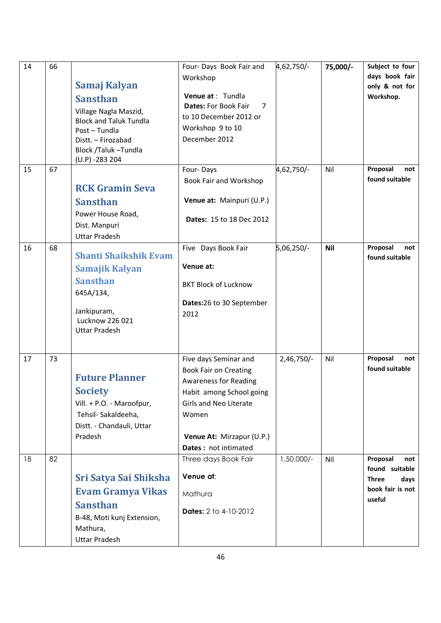| 14 | 66 |                                                  | Four- Days Book Fair and         | 4,62,750/-   | 75,000/-   | Subject to four                   |
|----|----|--------------------------------------------------|----------------------------------|--------------|------------|-----------------------------------|
|    |    |                                                  | Workshop                         |              |            | days book fair                    |
|    |    | Samaj Kalyan                                     |                                  |              |            | only & not for                    |
|    |    | <b>Sansthan</b>                                  | Venue at : Tundla                |              |            | Workshop.                         |
|    |    | Village Nagla Maszid,                            | <b>Dates: For Book Fair</b><br>7 |              |            |                                   |
|    |    | <b>Block and Taluk Tundla</b>                    | to 10 December 2012 or           |              |            |                                   |
|    |    | Post-Tundla                                      | Workshop 9 to 10                 |              |            |                                   |
|    |    | Distt. - Firozabad                               | December 2012                    |              |            |                                   |
|    |    | Block /Taluk-Tundla<br>$(U.P) - 283204$          |                                  |              |            |                                   |
| 15 | 67 |                                                  | Four-Days                        | 4,62,750/-   | Nil        | Proposal<br>not                   |
|    |    |                                                  | Book Fair and Workshop           |              |            | found suitable                    |
|    |    | <b>RCK Gramin Seva</b>                           |                                  |              |            |                                   |
|    |    | <b>Sansthan</b>                                  | Venue at: Mainpuri (U.P.)        |              |            |                                   |
|    |    | Power House Road,                                |                                  |              |            |                                   |
|    |    | Dist. Manpuri                                    | <b>Dates: 15 to 18 Dec 2012</b>  |              |            |                                   |
|    |    | <b>Uttar Pradesh</b>                             |                                  |              |            |                                   |
| 16 | 68 |                                                  | Five Days Book Fair              | 5,06,250/-   | <b>Nil</b> | Proposal<br>not                   |
|    |    | <b>Shanti Shaikshik Evam</b>                     |                                  |              |            | found suitable                    |
|    |    | Samajik Kalyan                                   | Venue at:                        |              |            |                                   |
|    |    | <b>Sansthan</b>                                  | <b>BKT Block of Lucknow</b>      |              |            |                                   |
|    |    | 645A/134,                                        |                                  |              |            |                                   |
|    |    |                                                  | Dates:26 to 30 September         |              |            |                                   |
|    |    | Jankipuram,<br>Lucknow 226 021                   | 2012                             |              |            |                                   |
|    |    | <b>Uttar Pradesh</b>                             |                                  |              |            |                                   |
|    |    |                                                  |                                  |              |            |                                   |
|    |    |                                                  |                                  |              |            |                                   |
| 17 | 73 |                                                  | Five days Seminar and            | 2,46,750/-   | Nil        | Proposal<br>not<br>found suitable |
|    |    | <b>Future Planner</b>                            | <b>Book Fair on Creating</b>     |              |            |                                   |
|    |    |                                                  | <b>Awareness for Reading</b>     |              |            |                                   |
|    |    | <b>Society</b>                                   | Habit among School going         |              |            |                                   |
|    |    | Vill. + P.O. - Maroofpur,<br>Tehsil- Sakaldeeha, | Girls and Neo Literate<br>Women  |              |            |                                   |
|    |    | Distt. - Chandauli, Uttar                        |                                  |              |            |                                   |
|    |    | Pradesh                                          | Venue At: Mirzapur (U.P.)        |              |            |                                   |
|    |    |                                                  | Dates: not intimated             |              |            |                                   |
| 18 | 82 |                                                  | Three days Book Fair             | $1,50,000/-$ | Nil        | Proposal<br>not                   |
|    |    |                                                  |                                  |              |            | found suitable                    |
|    |    | Sri Satya Sai Shiksha                            | Venue at:                        |              |            | <b>Three</b><br>days              |
|    |    | <b>Evam Gramya Vikas</b>                         | Mathura                          |              |            | book fair is not                  |
|    |    | <b>Sansthan</b>                                  |                                  |              |            | useful                            |
|    |    | B-48, Moti kunj Extension,                       | <b>Dates:</b> 2 to 4-10-2012     |              |            |                                   |
|    |    | Mathura,                                         |                                  |              |            |                                   |
|    |    | <b>Uttar Pradesh</b>                             |                                  |              |            |                                   |
|    |    |                                                  |                                  |              |            |                                   |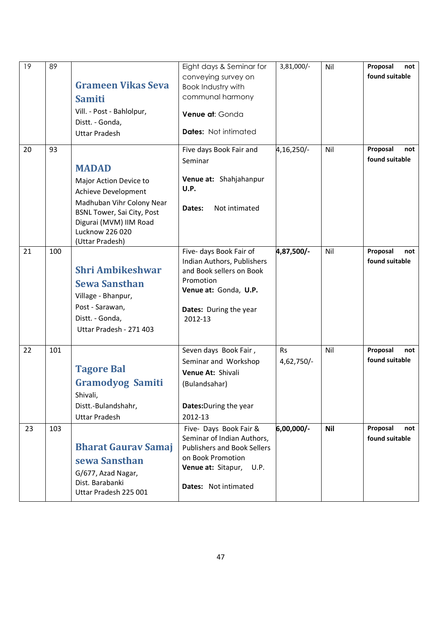| 19 | 89  | <b>Grameen Vikas Seva</b>                                                                                                              | Eight days & Seminar for<br>conveying survey on<br>Book Industry with                                                                                                 | 3,81,000/-              | Nil        | Proposal<br>not<br>found suitable |
|----|-----|----------------------------------------------------------------------------------------------------------------------------------------|-----------------------------------------------------------------------------------------------------------------------------------------------------------------------|-------------------------|------------|-----------------------------------|
|    |     | <b>Samiti</b>                                                                                                                          | communal harmony                                                                                                                                                      |                         |            |                                   |
|    |     | Vill. - Post - Bahlolpur,<br>Distt. - Gonda,                                                                                           | Venue at: Gonda                                                                                                                                                       |                         |            |                                   |
|    |     | <b>Uttar Pradesh</b>                                                                                                                   | <b>Dates:</b> Not intimated                                                                                                                                           |                         |            |                                   |
| 20 | 93  | <b>MADAD</b>                                                                                                                           | Five days Book Fair and<br>Seminar                                                                                                                                    | 4,16,250/-              | Nil        | Proposal<br>not<br>found suitable |
|    |     | Major Action Device to<br>Achieve Development                                                                                          | Venue at: Shahjahanpur<br>U.P.                                                                                                                                        |                         |            |                                   |
|    |     | Madhuban Vihr Colony Near<br><b>BSNL Tower, Sai City, Post</b><br>Digurai (MVM) IIM Road<br>Lucknow 226 020<br>(Uttar Pradesh)         | Not intimated<br>Dates:                                                                                                                                               |                         |            |                                   |
| 21 | 100 | <b>Shri Ambikeshwar</b><br><b>Sewa Sansthan</b><br>Village - Bhanpur,<br>Post - Sarawan,<br>Distt. - Gonda,<br>Uttar Pradesh - 271 403 | Five- days Book Fair of<br>Indian Authors, Publishers<br>and Book sellers on Book<br>Promotion<br>Venue at: Gonda, U.P.<br>Dates: During the year<br>2012-13          | 4,87,500/-              | Nil        | Proposal<br>not<br>found suitable |
| 22 | 101 | <b>Tagore Bal</b><br><b>Gramodyog Samiti</b><br>Shivali,                                                                               | Seven days Book Fair,<br>Seminar and Workshop<br>Venue At: Shivali<br>(Bulandsahar)                                                                                   | <b>Rs</b><br>4,62,750/- | Nil        | Proposal<br>not<br>found suitable |
|    |     | Distt.-Bulandshahr,<br><b>Uttar Pradesh</b>                                                                                            | <b>Dates:</b> During the year<br>2012-13                                                                                                                              |                         |            |                                   |
| 23 | 103 | <b>Bharat Gaurav Samaj</b><br>sewa Sansthan<br>G/677, Azad Nagar,<br>Dist. Barabanki<br>Uttar Pradesh 225 001                          | Five- Days Book Fair &<br>Seminar of Indian Authors,<br><b>Publishers and Book Sellers</b><br>on Book Promotion<br>Venue at: Sitapur,<br>U.P.<br>Dates: Not intimated | 6,00,000/-              | <b>Nil</b> | Proposal<br>not<br>found suitable |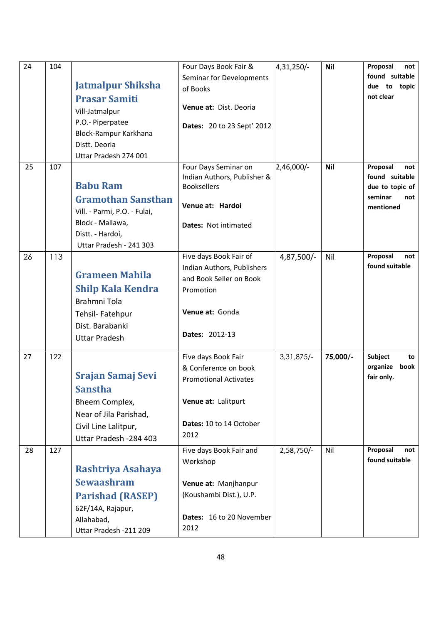| 24 | 104 |                              | Four Days Book Fair &                               | 4,31,250/-   | <b>Nil</b> | Proposal<br>not  |
|----|-----|------------------------------|-----------------------------------------------------|--------------|------------|------------------|
|    |     |                              | Seminar for Developments                            |              |            | found suitable   |
|    |     | <b>Jatmalpur Shiksha</b>     | of Books                                            |              |            | due to topic     |
|    |     | <b>Prasar Samiti</b>         |                                                     |              |            | not clear        |
|    |     | Vill-Jatmalpur               | Venue at: Dist. Deoria                              |              |            |                  |
|    |     | P.O.- Piperpatee             | <b>Dates: 20 to 23 Sept' 2012</b>                   |              |            |                  |
|    |     | Block-Rampur Karkhana        |                                                     |              |            |                  |
|    |     | Distt. Deoria                |                                                     |              |            |                  |
| 25 | 107 | Uttar Pradesh 274 001        |                                                     | 2,46,000/-   | <b>Nil</b> | Proposal<br>not  |
|    |     |                              | Four Days Seminar on<br>Indian Authors, Publisher & |              |            | found suitable   |
|    |     | <b>Babu Ram</b>              | <b>Booksellers</b>                                  |              |            | due to topic of  |
|    |     | <b>Gramothan Sansthan</b>    |                                                     |              |            | seminar<br>not   |
|    |     | Vill. - Parmi, P.O. - Fulai, | Venue at: Hardoi                                    |              |            | mentioned        |
|    |     | Block - Mallawa,             | Dates: Not intimated                                |              |            |                  |
|    |     | Distt. - Hardoi,             |                                                     |              |            |                  |
|    |     | Uttar Pradesh - 241 303      |                                                     |              |            |                  |
| 26 | 113 |                              | Five days Book Fair of                              | 4,87,500/-   | Nil        | Proposal<br>not  |
|    |     | <b>Grameen Mahila</b>        | Indian Authors, Publishers                          |              |            | found suitable   |
|    |     |                              | and Book Seller on Book                             |              |            |                  |
|    |     | <b>Shilp Kala Kendra</b>     | Promotion                                           |              |            |                  |
|    |     | Brahmni Tola                 |                                                     |              |            |                  |
|    |     | Tehsil- Fatehpur             | Venue at: Gonda                                     |              |            |                  |
|    |     | Dist. Barabanki              | Dates: 2012-13                                      |              |            |                  |
|    |     | <b>Uttar Pradesh</b>         |                                                     |              |            |                  |
| 27 | 122 |                              | Five days Book Fair                                 | $3,31,875/-$ | 75,000/-   | Subject<br>to    |
|    |     |                              | & Conference on book                                |              |            | organize<br>book |
|    |     | <b>Srajan Samaj Sevi</b>     | <b>Promotional Activates</b>                        |              |            | fair only.       |
|    |     | <b>Sanstha</b>               |                                                     |              |            |                  |
|    |     | Bheem Complex,               | Venue at: Lalitpurt                                 |              |            |                  |
|    |     | Near of Jila Parishad,       |                                                     |              |            |                  |
|    |     | Civil Line Lalitpur,         | Dates: 10 to 14 October                             |              |            |                  |
|    |     | Uttar Pradesh - 284 403      | 2012                                                |              |            |                  |
| 28 | 127 |                              | Five days Book Fair and                             | 2,58,750/-   | Nil        | Proposal<br>not  |
|    |     | Rashtriya Asahaya            | Workshop                                            |              |            | found suitable   |
|    |     | <b>Sewaashram</b>            |                                                     |              |            |                  |
|    |     |                              | Venue at: Manjhanpur                                |              |            |                  |
|    |     | <b>Parishad (RASEP)</b>      | (Koushambi Dist.), U.P.                             |              |            |                  |
|    |     | 62F/14A, Rajapur,            | Dates: 16 to 20 November                            |              |            |                  |
|    |     | Allahabad,                   | 2012                                                |              |            |                  |
|    |     | Uttar Pradesh - 211 209      |                                                     |              |            |                  |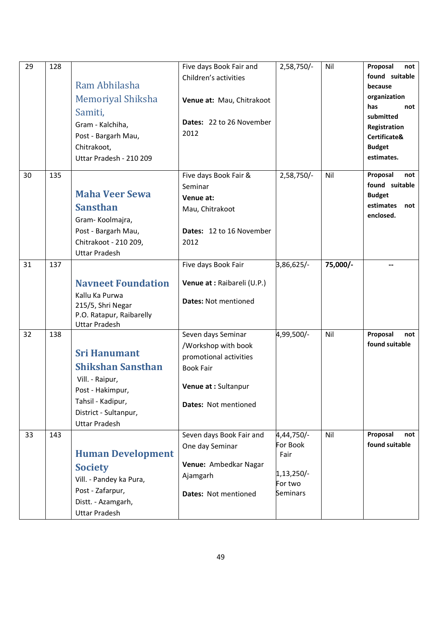| 29       | 128        | Ram Abhilasha<br><b>Memoriyal Shiksha</b><br>Samiti,<br>Gram - Kalchiha,<br>Post - Bargarh Mau,<br>Chitrakoot,<br>Uttar Pradesh - 210 209                                                                                                                                                               | Five days Book Fair and<br>Children's activities<br>Venue at: Mau, Chitrakoot<br>Dates: 22 to 26 November<br>2012                                                                                                                                   | 2,58,750/-                                                                                 | Nil        | Proposal<br>not<br>found suitable<br>because<br>organization<br>has<br>not<br>submitted<br>Registration<br>Certificate&<br><b>Budget</b><br>estimates. |
|----------|------------|---------------------------------------------------------------------------------------------------------------------------------------------------------------------------------------------------------------------------------------------------------------------------------------------------------|-----------------------------------------------------------------------------------------------------------------------------------------------------------------------------------------------------------------------------------------------------|--------------------------------------------------------------------------------------------|------------|--------------------------------------------------------------------------------------------------------------------------------------------------------|
| 30       | 135        | <b>Maha Veer Sewa</b><br><b>Sansthan</b><br>Gram-Koolmajra,<br>Post - Bargarh Mau,<br>Chitrakoot - 210 209,<br><b>Uttar Pradesh</b>                                                                                                                                                                     | Five days Book Fair &<br>Seminar<br>Venue at:<br>Mau, Chitrakoot<br>Dates: 12 to 16 November<br>2012                                                                                                                                                | 2,58,750/-                                                                                 | Nil        | Proposal<br>not<br>found suitable<br><b>Budget</b><br>estimates<br>not<br>enclosed.                                                                    |
| 31       | 137        | <b>Navneet Foundation</b><br>Kallu Ka Purwa<br>215/5, Shri Negar<br>P.O. Ratapur, Raibarelly<br><b>Uttar Pradesh</b>                                                                                                                                                                                    | Five days Book Fair<br>Venue at : Raibareli (U.P.)<br><b>Dates: Not mentioned</b>                                                                                                                                                                   | 3,86,625/-                                                                                 | 75,000/-   |                                                                                                                                                        |
| 32<br>33 | 138<br>143 | <b>Sri Hanumant</b><br><b>Shikshan Sansthan</b><br>Vill. - Raipur,<br>Post - Hakimpur,<br>Tahsil - Kadipur,<br>District - Sultanpur,<br><b>Uttar Pradesh</b><br><b>Human Development</b><br><b>Society</b><br>Vill. - Pandey ka Pura,<br>Post - Zafarpur,<br>Distt. - Azamgarh,<br><b>Uttar Pradesh</b> | Seven days Seminar<br>/Workshop with book<br>promotional activities<br><b>Book Fair</b><br>Venue at : Sultanpur<br>Dates: Not mentioned<br>Seven days Book Fair and<br>One day Seminar<br>Venue: Ambedkar Nagar<br>Ajamgarh<br>Dates: Not mentioned | 4,99,500/-<br>4,44,750/-<br>For Book<br>Fair<br>$1,13,250/-$<br>For two<br><b>Seminars</b> | Nil<br>Nil | Proposal<br>not<br>found suitable<br>Proposal<br>not<br>found suitable                                                                                 |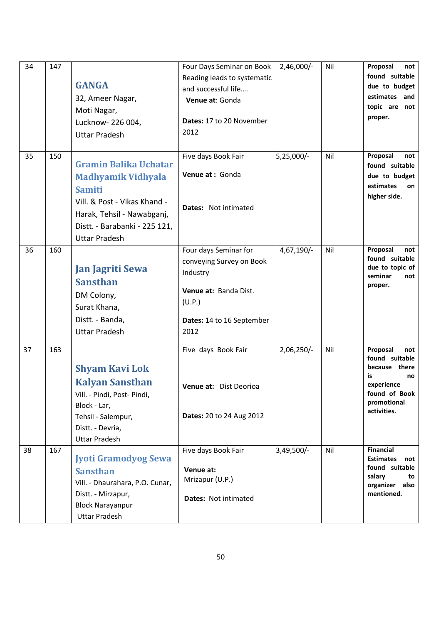| 34 | 147 | <b>GANGA</b><br>32, Ameer Nagar,<br>Moti Nagar,<br>Lucknow- 226 004,<br><b>Uttar Pradesh</b>                                                                                                      | Four Days Seminar on Book<br>Reading leads to systematic<br>and successful life<br>Venue at: Gonda<br>Dates: 17 to 20 November<br>2012 | $2,46,000/-$ | Nil | Proposal<br>not<br>found suitable<br>due to budget<br>estimates and<br>topic are not<br>proper.                             |
|----|-----|---------------------------------------------------------------------------------------------------------------------------------------------------------------------------------------------------|----------------------------------------------------------------------------------------------------------------------------------------|--------------|-----|-----------------------------------------------------------------------------------------------------------------------------|
| 35 | 150 | <b>Gramin Balika Uchatar</b><br><b>Madhyamik Vidhyala</b><br><b>Samiti</b><br>Vill. & Post - Vikas Khand -<br>Harak, Tehsil - Nawabganj,<br>Distt. - Barabanki - 225 121,<br><b>Uttar Pradesh</b> | Five days Book Fair<br>Venue at: Gonda<br>Dates: Not intimated                                                                         | 5,25,000/-   | Nil | Proposal<br>not<br>found suitable<br>due to budget<br>estimates<br>on<br>higher side.                                       |
| 36 | 160 | <b>Jan Jagriti Sewa</b><br><b>Sansthan</b><br>DM Colony,<br>Surat Khana,<br>Distt. - Banda,<br><b>Uttar Pradesh</b>                                                                               | Four days Seminar for<br>conveying Survey on Book<br>Industry<br>Venue at: Banda Dist.<br>(U.P.)<br>Dates: 14 to 16 September<br>2012  | 4,67,190/-   | Nil | Proposal<br>not<br>found suitable<br>due to topic of<br>seminar<br>not<br>proper.                                           |
| 37 | 163 | <b>Shyam Kavi Lok</b><br><b>Kalyan Sansthan</b><br>Vill. - Pindi, Post- Pindi,<br>Block - Lar,<br>Tehsil - Salempur,<br>Distt. - Devria,<br><b>Uttar Pradesh</b>                                  | Five days Book Fair<br>Venue at: Dist Deorioa<br>Dates: 20 to 24 Aug 2012                                                              | $2,06,250/-$ | Nil | Proposal<br>not<br>found suitable<br>because there<br>is<br>no<br>experience<br>found of Book<br>promotional<br>activities. |
| 38 | 167 | <b>Jyoti Gramodyog Sewa</b><br><b>Sansthan</b><br>Vill. - Dhaurahara, P.O. Cunar,<br>Distt. - Mirzapur,<br><b>Block Narayanpur</b><br><b>Uttar Pradesh</b>                                        | Five days Book Fair<br>Venue at:<br>Mrizapur (U.P.)<br>Dates: Not intimated                                                            | 3,49,500/-   | Nil | <b>Financial</b><br><b>Estimates</b><br>not<br>found suitable<br>salary<br>to<br>organizer<br>also<br>mentioned.            |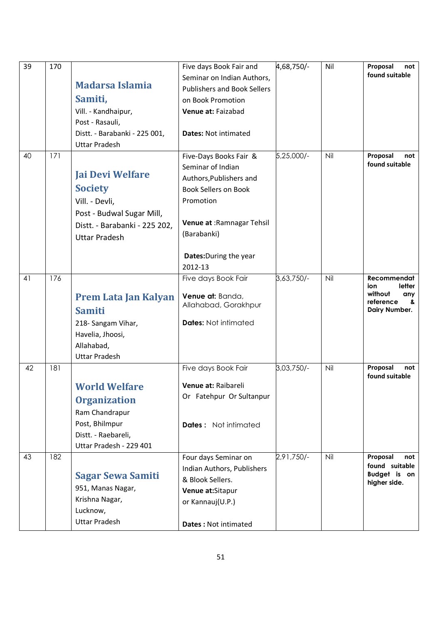| 39 | 170 |                               | Five days Book Fair and            | 4,68,750/- | Nil | Proposal<br>not                 |
|----|-----|-------------------------------|------------------------------------|------------|-----|---------------------------------|
|    |     |                               | Seminar on Indian Authors,         |            |     | found suitable                  |
|    |     | <b>Madarsa Islamia</b>        | <b>Publishers and Book Sellers</b> |            |     |                                 |
|    |     | Samiti,                       | on Book Promotion                  |            |     |                                 |
|    |     | Vill. - Kandhaipur,           | Venue at: Faizabad                 |            |     |                                 |
|    |     | Post - Rasauli,               |                                    |            |     |                                 |
|    |     | Distt. - Barabanki - 225 001, | <b>Dates: Not intimated</b>        |            |     |                                 |
|    |     | <b>Uttar Pradesh</b>          |                                    |            |     |                                 |
| 40 | 171 |                               | Five-Days Books Fair &             | 5,25,000/- | Nil | Proposal<br>not                 |
|    |     | <b>Jai Devi Welfare</b>       | Seminar of Indian                  |            |     | found suitable                  |
|    |     |                               | Authors, Publishers and            |            |     |                                 |
|    |     | <b>Society</b>                | <b>Book Sellers on Book</b>        |            |     |                                 |
|    |     | Vill. - Devli,                | Promotion                          |            |     |                                 |
|    |     | Post - Budwal Sugar Mill,     |                                    |            |     |                                 |
|    |     | Distt. - Barabanki - 225 202, | Venue at : Ramnagar Tehsil         |            |     |                                 |
|    |     | <b>Uttar Pradesh</b>          | (Barabanki)                        |            |     |                                 |
|    |     |                               |                                    |            |     |                                 |
|    |     |                               | Dates: During the year             |            |     |                                 |
| 41 | 176 |                               | 2012-13                            |            | Nil | Recommendat                     |
|    |     |                               | Five days Book Fair                | 3,63,750/- |     | letter<br>ion                   |
|    |     | <b>Prem Lata Jan Kalyan</b>   | Venue at: Banda,                   |            |     | without<br>any                  |
|    |     | <b>Samiti</b>                 | Allahabad, Gorakhpur               |            |     | reference<br>&<br>Dairy Number. |
|    |     | 218- Sangam Vihar,            | <b>Dates: Not intimated</b>        |            |     |                                 |
|    |     | Havelia, Jhoosi,              |                                    |            |     |                                 |
|    |     | Allahabad,                    |                                    |            |     |                                 |
|    |     | <b>Uttar Pradesh</b>          |                                    |            |     |                                 |
| 42 | 181 |                               | Five days Book Fair                | 3,03,750/- | Nil | Proposal<br>not                 |
|    |     |                               |                                    |            |     | found suitable                  |
|    |     | <b>World Welfare</b>          | Venue at: Raibareli                |            |     |                                 |
|    |     | <b>Organization</b>           | Or Fatehpur Or Sultanpur           |            |     |                                 |
|    |     | Ram Chandrapur                |                                    |            |     |                                 |
|    |     | Post, Bhilmpur                | <b>Dates:</b> Not intimated        |            |     |                                 |
|    |     | Distt. - Raebareli,           |                                    |            |     |                                 |
|    |     | Uttar Pradesh - 229 401       |                                    |            |     |                                 |
| 43 | 182 |                               | Four days Seminar on               | 2,91,750/- | Nil | Proposal<br>not                 |
|    |     |                               | Indian Authors, Publishers         |            |     | found suitable<br>Budget is on  |
|    |     | <b>Sagar Sewa Samiti</b>      | & Blook Sellers.                   |            |     | higher side.                    |
|    |     | 951, Manas Nagar,             | Venue at:Sitapur                   |            |     |                                 |
|    |     | Krishna Nagar,                | or Kannauj(U.P.)                   |            |     |                                 |
|    |     | Lucknow,                      |                                    |            |     |                                 |
|    |     | <b>Uttar Pradesh</b>          | Dates: Not intimated               |            |     |                                 |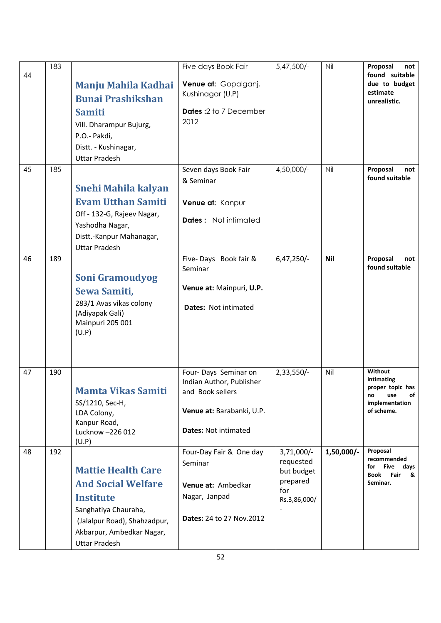| 44 | 183 | <b>Manju Mahila Kadhai</b><br><b>Bunai Prashikshan</b><br><b>Samiti</b><br>Vill. Dharampur Bujurg,<br>P.O.- Pakdi,<br>Distt. - Kushinagar,<br><b>Uttar Pradesh</b>                      | Five days Book Fair<br>Venue at: Gopalganj,<br>Kushinagar (U.P)<br><b>Dates: 2 to 7 December</b><br>2012                         | 5,47,500/-                                                                 | Nil          | Proposal<br>not<br>found suitable<br>due to budget<br>estimate<br>unrealistic.               |
|----|-----|-----------------------------------------------------------------------------------------------------------------------------------------------------------------------------------------|----------------------------------------------------------------------------------------------------------------------------------|----------------------------------------------------------------------------|--------------|----------------------------------------------------------------------------------------------|
| 45 | 185 | <b>Snehi Mahila kalyan</b><br><b>Evam Utthan Samiti</b><br>Off - 132-G, Rajeev Nagar,<br>Yashodha Nagar,<br>Distt.-Kanpur Mahanagar,<br><b>Uttar Pradesh</b>                            | Seven days Book Fair<br>& Seminar<br>Venue at: Kanpur<br><b>Dates:</b> Not intimated                                             | 4,50,000/-                                                                 | Nil          | Proposal<br>not<br>found suitable                                                            |
| 46 | 189 | <b>Soni Gramoudyog</b><br>Sewa Samiti,<br>283/1 Avas vikas colony<br>(Adiyapak Gali)<br>Mainpuri 205 001<br>(U.P)                                                                       | Five-Days Book fair &<br>Seminar<br>Venue at: Mainpuri, U.P.<br>Dates: Not intimated                                             | 6,47,250/-                                                                 | <b>Nil</b>   | Proposal<br>not<br>found suitable                                                            |
| 47 | 190 | <b>Mamta Vikas Samiti</b><br>SS/1210, Sec-H,<br>LDA Colony,<br>Kanpur Road,<br>Lucknow - 226 012<br>(U.P)                                                                               | Four-Days Seminar on<br>Indian Author, Publisher<br>and Book sellers<br>Venue at: Barabanki, U.P.<br><b>Dates: Not intimated</b> | 2,33,550/-                                                                 | Nil          | Without<br>intimating<br>proper topic has<br>of<br>use<br>no<br>implementation<br>of scheme. |
| 48 | 192 | <b>Mattie Health Care</b><br><b>And Social Welfare</b><br><b>Institute</b><br>Sanghatiya Chauraha,<br>(Jalalpur Road), Shahzadpur,<br>Akbarpur, Ambedkar Nagar,<br><b>Uttar Pradesh</b> | Four-Day Fair & One day<br>Seminar<br>Venue at: Ambedkar<br>Nagar, Janpad<br><b>Dates: 24 to 27 Nov.2012</b>                     | $3,71,000/-$<br>requested<br>but budget<br>prepared<br>for<br>Rs.3,86,000/ | $1,50,000/-$ | Proposal<br>recommended<br>for Five days<br>Fair<br><b>Book</b><br>&<br>Seminar.             |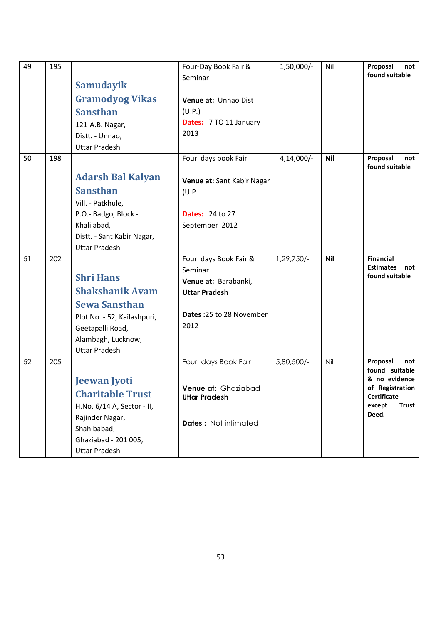| 49 | 195 | Samudayik<br><b>Gramodyog Vikas</b><br><b>Sansthan</b><br>121-A.B. Nagar,<br>Distt. - Unnao,<br><b>Uttar Pradesh</b>                                                | Four-Day Book Fair &<br>Seminar<br>Venue at: Unnao Dist<br>(U.P.)<br>Dates: 7 TO 11 January<br>2013                  | 1,50,000/-   | Nil        | Proposal<br>not<br>found suitable                                                                                              |
|----|-----|---------------------------------------------------------------------------------------------------------------------------------------------------------------------|----------------------------------------------------------------------------------------------------------------------|--------------|------------|--------------------------------------------------------------------------------------------------------------------------------|
| 50 | 198 | <b>Adarsh Bal Kalyan</b><br><b>Sansthan</b><br>Vill. - Patkhule,<br>P.O.- Badgo, Block -<br>Khalilabad,<br>Distt. - Sant Kabir Nagar,<br><b>Uttar Pradesh</b>       | Four days book Fair<br>Venue at: Sant Kabir Nagar<br>(U.P.<br><b>Dates: 24 to 27</b><br>September 2012               | $4,14,000/-$ | <b>Nil</b> | Proposal<br>not<br>found suitable                                                                                              |
| 51 | 202 | <b>Shri Hans</b><br><b>Shakshanik Avam</b><br><b>Sewa Sansthan</b><br>Plot No. - 52, Kailashpuri,<br>Geetapalli Road,<br>Alambagh, Lucknow,<br><b>Uttar Pradesh</b> | Four days Book Fair &<br>Seminar<br>Venue at: Barabanki,<br><b>Uttar Pradesh</b><br>Dates: 25 to 28 November<br>2012 | -/750, 29.   | <b>Nil</b> | <b>Financial</b><br><b>Estimates</b><br>not<br>found suitable                                                                  |
| 52 | 205 | <b>Jeewan Jyoti</b><br><b>Charitable Trust</b><br>H.No. 6/14 A, Sector - II,<br>Rajinder Nagar,<br>Shahibabad,<br>Ghaziabad - 201 005,<br><b>Uttar Pradesh</b>      | Four days Book Fair<br><b>Venue at: Ghaziabad</b><br><b>Uttar Pradesh</b><br><b>Dates:</b> Not intimated             | 5,80,500/-   | Nil        | Proposal<br>not<br>found suitable<br>& no evidence<br>of Registration<br><b>Certificate</b><br>except<br><b>Trust</b><br>Deed. |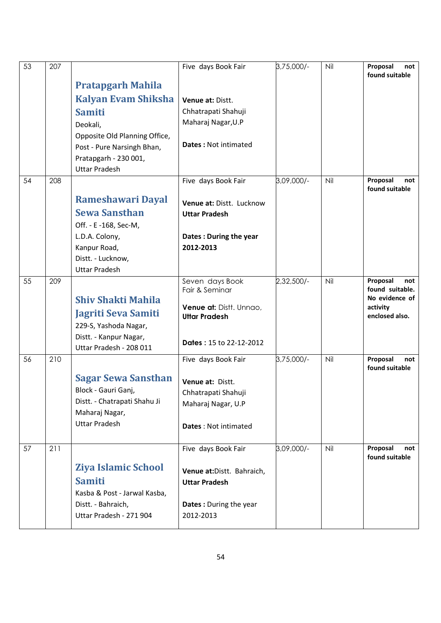| 53 | 207 |                               | Five days Book Fair                             | 3,75,000/- | Nil | Proposal<br>not<br>found suitable  |
|----|-----|-------------------------------|-------------------------------------------------|------------|-----|------------------------------------|
|    |     | <b>Pratapgarh Mahila</b>      |                                                 |            |     |                                    |
|    |     | <b>Kalyan Evam Shiksha</b>    | Venue at: Distt.                                |            |     |                                    |
|    |     | <b>Samiti</b>                 | Chhatrapati Shahuji                             |            |     |                                    |
|    |     | Deokali,                      | Maharaj Nagar, U.P                              |            |     |                                    |
|    |     | Opposite Old Planning Office, |                                                 |            |     |                                    |
|    |     | Post - Pure Narsingh Bhan,    | <b>Dates: Not intimated</b>                     |            |     |                                    |
|    |     | Pratapgarh - 230 001,         |                                                 |            |     |                                    |
|    |     | <b>Uttar Pradesh</b>          |                                                 |            |     |                                    |
| 54 | 208 |                               | Five days Book Fair                             | 3,09,000/- | Nil | Proposal<br>not<br>found suitable  |
|    |     | <b>Rameshawari Dayal</b>      | Venue at: Distt. Lucknow                        |            |     |                                    |
|    |     | <b>Sewa Sansthan</b>          | <b>Uttar Pradesh</b>                            |            |     |                                    |
|    |     | Off. - E -168, Sec-M,         |                                                 |            |     |                                    |
|    |     | L.D.A. Colony,                | Dates: During the year                          |            |     |                                    |
|    |     | Kanpur Road,                  | 2012-2013                                       |            |     |                                    |
|    |     | Distt. - Lucknow,             |                                                 |            |     |                                    |
|    |     | <b>Uttar Pradesh</b>          |                                                 |            |     |                                    |
| 55 | 209 |                               | Seven days Book<br>Fair & Seminar               | 2,32,500/- | Nil | Proposal<br>not<br>found suitable. |
|    |     | <b>Shiv Shakti Mahila</b>     |                                                 |            |     | No evidence of                     |
|    |     | Jagriti Seva Samiti           | Venue at: Distt. Unnao,<br><b>Uttar Pradesh</b> |            |     | activity<br>enclosed also.         |
|    |     | 229-S, Yashoda Nagar,         |                                                 |            |     |                                    |
|    |     | Distt. - Kanpur Nagar,        |                                                 |            |     |                                    |
|    |     | Uttar Pradesh - 208 011       | Dates: 15 to 22-12-2012                         |            |     |                                    |
| 56 | 210 |                               | Five days Book Fair                             | 3,75,000/- | Nil | Proposal<br>not<br>found suitable  |
|    |     | <b>Sagar Sewa Sansthan</b>    | Venue at: Distt.                                |            |     |                                    |
|    |     | Block - Gauri Ganj,           | Chhatrapati Shahuji                             |            |     |                                    |
|    |     | Distt. - Chatrapati Shahu Ji  | Maharaj Nagar, U.P                              |            |     |                                    |
|    |     | Maharaj Nagar,                |                                                 |            |     |                                    |
|    |     | <b>Uttar Pradesh</b>          | Dates: Not intimated                            |            |     |                                    |
| 57 | 211 |                               | Five days Book Fair                             | 3,09,000/- | Nil | Proposal<br>not                    |
|    |     |                               |                                                 |            |     | found suitable                     |
|    |     | Ziya Islamic School           | Venue at: Distt. Bahraich,                      |            |     |                                    |
|    |     | <b>Samiti</b>                 | <b>Uttar Pradesh</b>                            |            |     |                                    |
|    |     | Kasba & Post - Jarwal Kasba,  |                                                 |            |     |                                    |
|    |     | Distt. - Bahraich,            | Dates: During the year                          |            |     |                                    |
|    |     | Uttar Pradesh - 271 904       | 2012-2013                                       |            |     |                                    |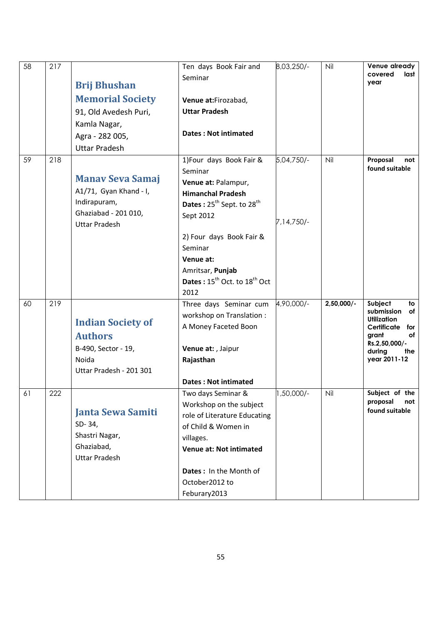| 58  | 217 | <b>Brij Bhushan</b>                | Ten days Book Fair and<br>Seminar                    | 8,03,250/- | Nil          | Venue already<br>covered<br>last<br>year |
|-----|-----|------------------------------------|------------------------------------------------------|------------|--------------|------------------------------------------|
|     |     | <b>Memorial Society</b>            | Venue at:Firozabad,                                  |            |              |                                          |
|     |     | 91, Old Avedesh Puri,              | <b>Uttar Pradesh</b>                                 |            |              |                                          |
|     |     | Kamla Nagar,                       |                                                      |            |              |                                          |
|     |     | Agra - 282 005,                    | <b>Dates: Not intimated</b>                          |            |              |                                          |
|     |     | <b>Uttar Pradesh</b>               |                                                      |            |              |                                          |
| 59  | 218 |                                    | 1) Four days Book Fair &                             | 5,04,750/- | Nil          | Proposal<br>not<br>found suitable        |
|     |     | <b>Manav Seva Samaj</b>            | Seminar                                              |            |              |                                          |
|     |     | A1/71, Gyan Khand - I,             | Venue at: Palampur,                                  |            |              |                                          |
|     |     | Indirapuram,                       | <b>Himanchal Pradesh</b>                             |            |              |                                          |
|     |     | Ghaziabad - 201 010,               | Dates: 25 <sup>th</sup> Sept. to 28 <sup>th</sup>    |            |              |                                          |
|     |     | <b>Uttar Pradesh</b>               | Sept 2012                                            | 7,14,750/- |              |                                          |
|     |     |                                    | 2) Four days Book Fair &                             |            |              |                                          |
|     |     |                                    | Seminar                                              |            |              |                                          |
|     |     |                                    | Venue at:                                            |            |              |                                          |
|     |     |                                    | Amritsar, Punjab                                     |            |              |                                          |
|     |     |                                    | Dates: 15 <sup>th</sup> Oct. to 18 <sup>th</sup> Oct |            |              |                                          |
|     |     |                                    | 2012                                                 |            |              |                                          |
| 60  | 219 |                                    | Three days Seminar cum                               | 4,90,000/- | $2,50,000/-$ | Subject<br>to<br>submission<br>of        |
|     |     | <b>Indian Society of</b>           | workshop on Translation :                            |            |              | <b>Utilization</b>                       |
|     |     |                                    | A Money Faceted Boon                                 |            |              | Certificate<br>for<br>grant<br>оf        |
|     |     | <b>Authors</b>                     |                                                      |            |              | Rs.2,50,000/-                            |
|     |     | B-490, Sector - 19,                | Venue at: , Jaipur                                   |            |              | during<br>the                            |
|     |     | Noida                              | Rajasthan                                            |            |              | year 2011-12                             |
|     |     | Uttar Pradesh - 201 301            | <b>Dates: Not intimated</b>                          |            |              |                                          |
| 6 I | 222 |                                    | Two days Seminar &                                   | 1,50,000/- | Nil          | Subject of the                           |
|     |     |                                    | Workshop on the subject                              |            |              | proposal<br>not                          |
|     |     | <b>Janta Sewa Samiti</b>           | role of Literature Educating                         |            |              | found suitable                           |
|     |     | SD-34,                             | of Child & Women in                                  |            |              |                                          |
|     |     | Shastri Nagar,                     | villages.                                            |            |              |                                          |
|     |     | Ghaziabad,<br><b>Uttar Pradesh</b> | <b>Venue at: Not intimated</b>                       |            |              |                                          |
|     |     |                                    | Dates: In the Month of                               |            |              |                                          |
|     |     |                                    | October2012 to                                       |            |              |                                          |
|     |     |                                    | Feburary2013                                         |            |              |                                          |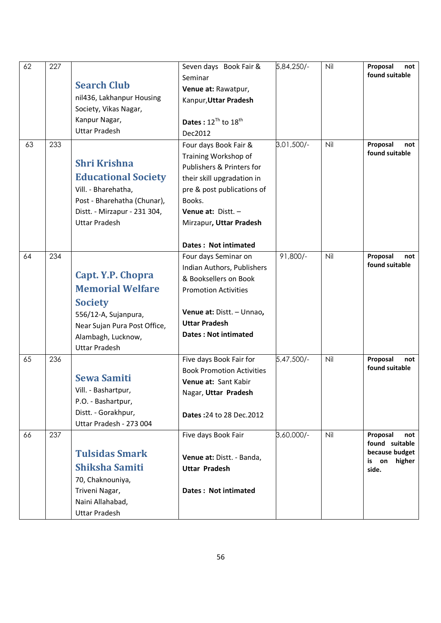| 62 | 227 |                                                                                                                                                                                                                                                                                                              | Seven days Book Fair &                                                                                                                            | 5,84,250/- | Nil | Proposal<br>not                                       |
|----|-----|--------------------------------------------------------------------------------------------------------------------------------------------------------------------------------------------------------------------------------------------------------------------------------------------------------------|---------------------------------------------------------------------------------------------------------------------------------------------------|------------|-----|-------------------------------------------------------|
|    |     | <b>Search Club</b>                                                                                                                                                                                                                                                                                           | Seminar                                                                                                                                           |            |     | found suitable                                        |
|    |     | nil436, Lakhanpur Housing                                                                                                                                                                                                                                                                                    | Venue at: Rawatpur,                                                                                                                               |            |     |                                                       |
|    |     | Society, Vikas Nagar,                                                                                                                                                                                                                                                                                        | Kanpur, Uttar Pradesh                                                                                                                             |            |     |                                                       |
|    |     | Kanpur Nagar,                                                                                                                                                                                                                                                                                                |                                                                                                                                                   |            |     |                                                       |
|    |     | <b>Uttar Pradesh</b>                                                                                                                                                                                                                                                                                         | Dates: $12^{Th}$ to $18^{th}$                                                                                                                     |            |     |                                                       |
|    |     |                                                                                                                                                                                                                                                                                                              | Dec2012                                                                                                                                           |            |     |                                                       |
| 63 | 233 |                                                                                                                                                                                                                                                                                                              | Four days Book Fair &                                                                                                                             | 3,01,500/- | Nil | Proposal<br>not<br>found suitable                     |
|    |     | <b>Shri Krishna</b>                                                                                                                                                                                                                                                                                          | Training Workshop of<br>Publishers & Printers for                                                                                                 |            |     |                                                       |
|    |     | <b>Educational Society</b>                                                                                                                                                                                                                                                                                   | their skill upgradation in                                                                                                                        |            |     |                                                       |
|    |     | Vill. - Bharehatha,                                                                                                                                                                                                                                                                                          | pre & post publications of                                                                                                                        |            |     |                                                       |
|    |     | Post - Bharehatha (Chunar),                                                                                                                                                                                                                                                                                  | Books.                                                                                                                                            |            |     |                                                       |
|    |     |                                                                                                                                                                                                                                                                                                              |                                                                                                                                                   |            |     |                                                       |
|    |     |                                                                                                                                                                                                                                                                                                              |                                                                                                                                                   |            |     |                                                       |
|    |     |                                                                                                                                                                                                                                                                                                              |                                                                                                                                                   |            |     |                                                       |
|    |     |                                                                                                                                                                                                                                                                                                              | Dates: Not intimated                                                                                                                              |            |     |                                                       |
| 64 | 234 |                                                                                                                                                                                                                                                                                                              | Four days Seminar on                                                                                                                              | $91,800/-$ | Nil | Proposal<br>not                                       |
|    |     |                                                                                                                                                                                                                                                                                                              | Indian Authors, Publishers                                                                                                                        |            |     | found suitable                                        |
|    |     |                                                                                                                                                                                                                                                                                                              | & Booksellers on Book                                                                                                                             |            |     |                                                       |
|    |     |                                                                                                                                                                                                                                                                                                              | <b>Promotion Activities</b>                                                                                                                       |            |     |                                                       |
|    |     | <b>Society</b>                                                                                                                                                                                                                                                                                               |                                                                                                                                                   |            |     |                                                       |
|    |     | 556/12-A, Sujanpura,                                                                                                                                                                                                                                                                                         | Venue at: Distt. - Unnao,                                                                                                                         |            |     |                                                       |
|    |     | Near Sujan Pura Post Office,                                                                                                                                                                                                                                                                                 | <b>Uttar Pradesh</b>                                                                                                                              |            |     |                                                       |
|    |     | Alambagh, Lucknow,                                                                                                                                                                                                                                                                                           | <b>Dates: Not intimated</b>                                                                                                                       |            |     |                                                       |
|    |     | <b>Uttar Pradesh</b>                                                                                                                                                                                                                                                                                         |                                                                                                                                                   |            |     |                                                       |
| 65 | 236 |                                                                                                                                                                                                                                                                                                              | Five days Book Fair for                                                                                                                           | 5,47,500/- | Nil | Proposal<br>not                                       |
|    |     |                                                                                                                                                                                                                                                                                                              | <b>Book Promotion Activities</b>                                                                                                                  |            |     |                                                       |
|    |     |                                                                                                                                                                                                                                                                                                              | Venue at: Sant Kabir                                                                                                                              |            |     |                                                       |
|    |     |                                                                                                                                                                                                                                                                                                              | Nagar, Uttar Pradesh                                                                                                                              |            |     |                                                       |
|    |     |                                                                                                                                                                                                                                                                                                              |                                                                                                                                                   |            |     |                                                       |
|    |     |                                                                                                                                                                                                                                                                                                              | Dates: 24 to 28 Dec. 2012                                                                                                                         |            |     |                                                       |
|    |     |                                                                                                                                                                                                                                                                                                              |                                                                                                                                                   |            |     |                                                       |
|    |     |                                                                                                                                                                                                                                                                                                              |                                                                                                                                                   |            |     | not                                                   |
|    |     | <b>Tulsidas Smark</b>                                                                                                                                                                                                                                                                                        |                                                                                                                                                   |            |     | because budget                                        |
|    |     |                                                                                                                                                                                                                                                                                                              |                                                                                                                                                   |            |     | is on<br>higher                                       |
|    |     |                                                                                                                                                                                                                                                                                                              |                                                                                                                                                   |            |     |                                                       |
|    |     |                                                                                                                                                                                                                                                                                                              |                                                                                                                                                   |            |     |                                                       |
|    |     |                                                                                                                                                                                                                                                                                                              |                                                                                                                                                   |            |     |                                                       |
|    |     | <b>Uttar Pradesh</b>                                                                                                                                                                                                                                                                                         |                                                                                                                                                   |            |     |                                                       |
| 66 | 237 | Distt. - Mirzapur - 231 304,<br><b>Uttar Pradesh</b><br>Capt. Y.P. Chopra<br><b>Memorial Welfare</b><br><b>Sewa Samiti</b><br>Vill. - Bashartpur,<br>P.O. - Bashartpur,<br>Distt. - Gorakhpur,<br>Uttar Pradesh - 273 004<br><b>Shiksha Samiti</b><br>70, Chaknouniya,<br>Triveni Nagar,<br>Naini Allahabad, | Venue at: Distt. -<br>Mirzapur, Uttar Pradesh<br>Five days Book Fair<br>Venue at: Distt. - Banda,<br><b>Uttar Pradesh</b><br>Dates: Not intimated | 3,60,000/- | Nil | found suitable<br>Proposal<br>found suitable<br>side. |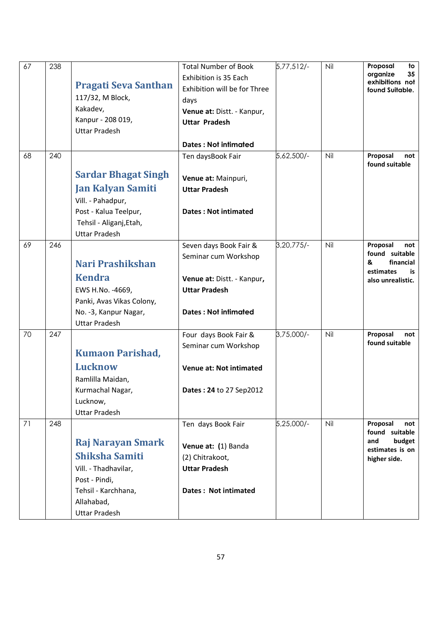| 67 | 238 | <b>Pragati Seva Santhan</b><br>117/32, M Block,<br>Kakadev,<br>Kanpur - 208 019,<br><b>Uttar Pradesh</b>                                                | <b>Total Number of Book</b><br>Exhibition is 35 Each<br>Exhibition will be for Three<br>days<br>Venue at: Distt. - Kanpur,<br><b>Uttar Pradesh</b><br>Dates: Not infimated | $5,77,512/-$ | Nil | Proposal<br>to<br>organize<br>35<br>exhibitions not<br>found Suitable.                      |
|----|-----|---------------------------------------------------------------------------------------------------------------------------------------------------------|----------------------------------------------------------------------------------------------------------------------------------------------------------------------------|--------------|-----|---------------------------------------------------------------------------------------------|
| 68 | 240 | <b>Sardar Bhagat Singh</b><br><b>Jan Kalyan Samiti</b><br>Vill. - Pahadpur,                                                                             | Ten daysBook Fair<br>Venue at: Mainpuri,<br><b>Uttar Pradesh</b>                                                                                                           | 5,62,500/-   | Nil | Proposal<br>not<br>found suitable                                                           |
|    |     | Post - Kalua Teelpur,<br>Tehsil - Aliganj, Etah,<br><b>Uttar Pradesh</b>                                                                                | <b>Dates: Not intimated</b>                                                                                                                                                |              |     |                                                                                             |
| 69 | 246 | Nari Prashikshan<br><b>Kendra</b><br>EWS H.No. - 4669,<br>Panki, Avas Vikas Colony,<br>No. -3, Kanpur Nagar,<br><b>Uttar Pradesh</b>                    | Seven days Book Fair &<br>Seminar cum Workshop<br>Venue at: Distt. - Kanpur,<br><b>Uttar Pradesh</b><br><b>Dates: Not infimated</b>                                        | 3,20,775/-   | Nil | Proposal<br>not<br>found suitable<br>&<br>financial<br>estimates<br>is<br>also unrealistic. |
| 70 | 247 | <b>Kumaon Parishad,</b><br><b>Lucknow</b><br>Ramlilla Maidan,<br>Kurmachal Nagar,<br>Lucknow,<br><b>Uttar Pradesh</b>                                   | Four days Book Fair &<br>Seminar cum Workshop<br>Venue at: Not intimated<br>Dates: 24 to 27 Sep2012                                                                        | 3,75,000/-   | Nil | Proposal<br>not<br>found suitable                                                           |
| 71 | 248 | <b>Raj Narayan Smark</b><br><b>Shiksha Samiti</b><br>Vill. - Thadhavilar,<br>Post - Pindi,<br>Tehsil - Karchhana,<br>Allahabad,<br><b>Uttar Pradesh</b> | Ten days Book Fair<br>Venue at: (1) Banda<br>(2) Chitrakoot,<br><b>Uttar Pradesh</b><br>Dates: Not intimated                                                               | 5,25,000/-   | Nil | Proposal<br>not<br>found suitable<br>budget<br>and<br>estimates is on<br>higher side.       |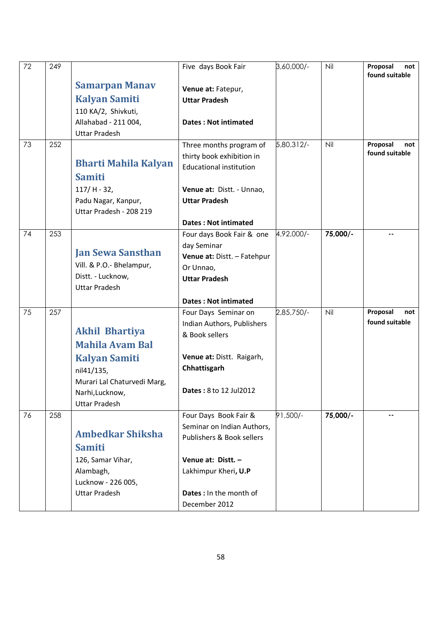| 72 | 249 |                                | Five days Book Fair            | 3,60,000/- | Nil      | Proposal<br>not<br>found suitable |
|----|-----|--------------------------------|--------------------------------|------------|----------|-----------------------------------|
|    |     | <b>Samarpan Manav</b>          | Venue at: Fatepur,             |            |          |                                   |
|    |     | <b>Kalyan Samiti</b>           | <b>Uttar Pradesh</b>           |            |          |                                   |
|    |     | 110 KA/2, Shivkuti,            |                                |            |          |                                   |
|    |     | Allahabad - 211 004,           | <b>Dates: Not intimated</b>    |            |          |                                   |
|    |     | <b>Uttar Pradesh</b>           |                                |            |          |                                   |
| 73 | 252 |                                | Three months program of        | 5,80,312/- | Nil      | Proposal<br>not                   |
|    |     |                                | thirty book exhibition in      |            |          | found suitable                    |
|    |     | <b>Bharti Mahila Kalyan</b>    | <b>Educational institution</b> |            |          |                                   |
|    |     | <b>Samiti</b>                  |                                |            |          |                                   |
|    |     | $117/H - 32,$                  | Venue at: Distt. - Unnao,      |            |          |                                   |
|    |     | Padu Nagar, Kanpur,            | <b>Uttar Pradesh</b>           |            |          |                                   |
|    |     | Uttar Pradesh - 208 219        |                                |            |          |                                   |
|    |     |                                | <b>Dates: Not intimated</b>    |            |          |                                   |
| 74 | 253 |                                | Four days Book Fair & one      | 4,92,000/- | 75,000/- | ۰.                                |
|    |     |                                | day Seminar                    |            |          |                                   |
|    |     | <b>Jan Sewa Sansthan</b>       | Venue at: Distt. - Fatehpur    |            |          |                                   |
|    |     | Vill. & P.O.- Bhelampur,       | Or Unnao,                      |            |          |                                   |
|    |     | Distt. - Lucknow,              | <b>Uttar Pradesh</b>           |            |          |                                   |
|    |     | <b>Uttar Pradesh</b>           |                                |            |          |                                   |
|    |     |                                | <b>Dates: Not intimated</b>    |            |          |                                   |
| 75 | 257 |                                | Four Days Seminar on           | 2,85,750/- | Nil      | Proposal<br>not<br>found suitable |
|    |     | <b>Akhil Bhartiya</b>          | Indian Authors, Publishers     |            |          |                                   |
|    |     | <b>Mahila Avam Bal</b>         | & Book sellers                 |            |          |                                   |
|    |     |                                |                                |            |          |                                   |
|    |     | <b>Kalyan Samiti</b>           | Venue at: Distt. Raigarh,      |            |          |                                   |
|    |     | nil41/135,                     | Chhattisgarh                   |            |          |                                   |
|    |     | Murari Lal Chaturvedi Marg,    | Dates: 8 to 12 Jul2012         |            |          |                                   |
|    |     | Narhi, Lucknow,                |                                |            |          |                                   |
|    |     | <b>Uttar Pradesh</b>           |                                |            |          |                                   |
| 76 | 258 |                                | Four Days Book Fair &          | 91,500/-   | 75,000/- | $\overline{\phantom{a}}$          |
|    |     | <b>Ambedkar Shiksha</b>        | Seminar on Indian Authors,     |            |          |                                   |
|    |     | <b>Samiti</b>                  | Publishers & Book sellers      |            |          |                                   |
|    |     |                                | Venue at: Distt. -             |            |          |                                   |
|    |     | 126, Samar Vihar,<br>Alambagh, | Lakhimpur Kheri, U.P           |            |          |                                   |
|    |     | Lucknow - 226 005,             |                                |            |          |                                   |
|    |     | <b>Uttar Pradesh</b>           | <b>Dates:</b> In the month of  |            |          |                                   |
|    |     |                                | December 2012                  |            |          |                                   |
|    |     |                                |                                |            |          |                                   |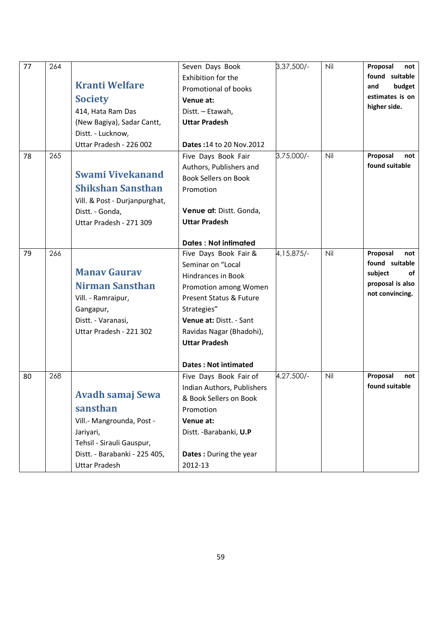| 77 | 264 | <b>Kranti Welfare</b><br><b>Society</b><br>414, Hata Ram Das<br>(New Bagiya), Sadar Cantt,<br>Distt. - Lucknow,                                                     | Seven Days Book<br>Exhibition for the<br>Promotional of books<br>Venue at:<br>Distt. - Etawah,<br><b>Uttar Pradesh</b>                                                                                                                                                           | $3,37,500/-$ | Nil | Proposal<br>not<br>found suitable<br>budget<br>and<br>estimates is on<br>higher side.     |
|----|-----|---------------------------------------------------------------------------------------------------------------------------------------------------------------------|----------------------------------------------------------------------------------------------------------------------------------------------------------------------------------------------------------------------------------------------------------------------------------|--------------|-----|-------------------------------------------------------------------------------------------|
| 78 | 265 | Uttar Pradesh - 226 002                                                                                                                                             | <b>Dates: 14 to 20 Nov. 2012</b><br>Five Days Book Fair                                                                                                                                                                                                                          | 3,75,000/-   | Nil | Proposal<br>not                                                                           |
|    |     | <b>Swami Vivekanand</b><br><b>Shikshan Sansthan</b><br>Vill. & Post - Durjanpurghat,<br>Distt. - Gonda,<br>Uttar Pradesh - 271 309                                  | Authors, Publishers and<br><b>Book Sellers on Book</b><br>Promotion<br>Venue at: Distt. Gonda,<br><b>Uttar Pradesh</b>                                                                                                                                                           |              |     | found suitable                                                                            |
| 79 | 266 | <b>Manay Gauray</b><br>Nirman Sansthan<br>Vill. - Ramraipur,<br>Gangapur,<br>Distt. - Varanasi,<br>Uttar Pradesh - 221 302                                          | <b>Dates: Not intimated</b><br>Five Days Book Fair &<br>Seminar on "Local<br>Hindrances in Book<br>Promotion among Women<br>Present Status & Future<br>Strategies"<br>Venue at: Distt. - Sant<br>Ravidas Nagar (Bhadohi),<br><b>Uttar Pradesh</b><br><b>Dates: Not intimated</b> | 4, 15, 875/- | Nil | Proposal<br>not<br>found suitable<br>subject<br>of<br>proposal is also<br>not convincing. |
| 80 | 268 | <b>Avadh samaj Sewa</b><br>sansthan<br>Vill.- Mangrounda, Post -<br>Jariyari,<br>Tehsil - Sirauli Gauspur,<br>Distt. - Barabanki - 225 405,<br><b>Uttar Pradesh</b> | Five Days Book Fair of<br>Indian Authors, Publishers<br>& Book Sellers on Book<br>Promotion<br>Venue at:<br>Distt. - Barabanki, U.P<br>Dates: During the year<br>2012-13                                                                                                         | 4,27,500/-   | Nil | Proposal<br>not<br>found suitable                                                         |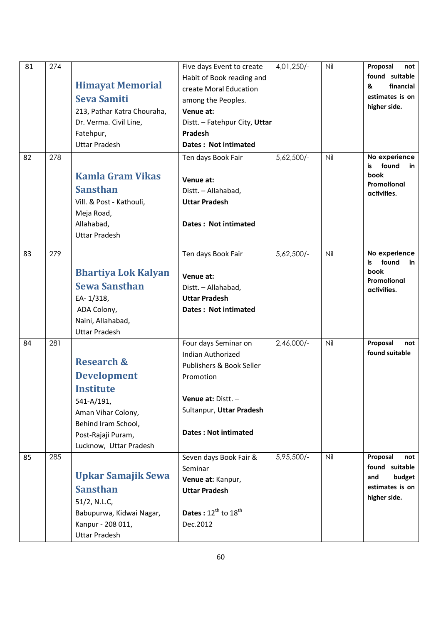| 81 | 274 | <b>Himayat Memorial</b><br><b>Seva Samiti</b><br>213, Pathar Katra Chouraha,<br>Dr. Verma. Civil Line,<br>Fatehpur,<br><b>Uttar Pradesh</b>                         | Five days Event to create<br>Habit of Book reading and<br>create Moral Education<br>among the Peoples.<br>Venue at:<br>Distt. - Fatehpur City, Uttar<br>Pradesh<br>Dates: Not intimated | 4,01,250/- | Nil | Proposal<br>not<br>found suitable<br>financial<br>&<br>estimates is on<br>higher side. |
|----|-----|---------------------------------------------------------------------------------------------------------------------------------------------------------------------|-----------------------------------------------------------------------------------------------------------------------------------------------------------------------------------------|------------|-----|----------------------------------------------------------------------------------------|
| 82 | 278 | <b>Kamla Gram Vikas</b><br><b>Sansthan</b><br>Vill. & Post - Kathouli,<br>Meja Road,<br>Allahabad,<br><b>Uttar Pradesh</b>                                          | Ten days Book Fair<br>Venue at:<br>Distt. - Allahabad,<br><b>Uttar Pradesh</b><br>Dates: Not intimated                                                                                  | 5,62,500/- | Nil | No experience<br>found<br>is<br>in<br>book<br>Promotional<br>activities.               |
| 83 | 279 | <b>Bhartiya Lok Kalyan</b><br><b>Sewa Sansthan</b><br>EA-1/318,<br>ADA Colony,<br>Naini, Allahabad,<br><b>Uttar Pradesh</b>                                         | Ten days Book Fair<br>Venue at:<br>Distt. - Allahabad,<br><b>Uttar Pradesh</b><br>Dates: Not intimated                                                                                  | 5,62,500/- | Nil | No experience<br>found<br>is<br>in<br>book<br>Promotional<br>activities.               |
| 84 | 281 | <b>Research &amp;</b><br><b>Development</b><br>Institute<br>541-A/191,<br>Aman Vihar Colony,<br>Behind Iram School,<br>Post-Rajaji Puram,<br>Lucknow, Uttar Pradesh | Four days Seminar on<br><b>Indian Authorized</b><br>Publishers & Book Seller<br>Promotion<br>Venue at: Distt. -<br>Sultanpur, Uttar Pradesh<br><b>Dates: Not intimated</b>              | 2,46,000/- | Nil | Proposal<br>not<br>found suitable                                                      |
| 85 | 285 | <b>Upkar Samajik Sewa</b><br><b>Sansthan</b><br>51/2, N.L.C,<br>Babupurwa, Kidwai Nagar,<br>Kanpur - 208 011,<br><b>Uttar Pradesh</b>                               | Seven days Book Fair &<br>Seminar<br>Venue at: Kanpur,<br><b>Uttar Pradesh</b><br>Dates: $12^{th}$ to $18^{th}$<br>Dec.2012                                                             | 5,95,500/- | Nil | Proposal<br>not<br>found suitable<br>and<br>budget<br>estimates is on<br>higher side.  |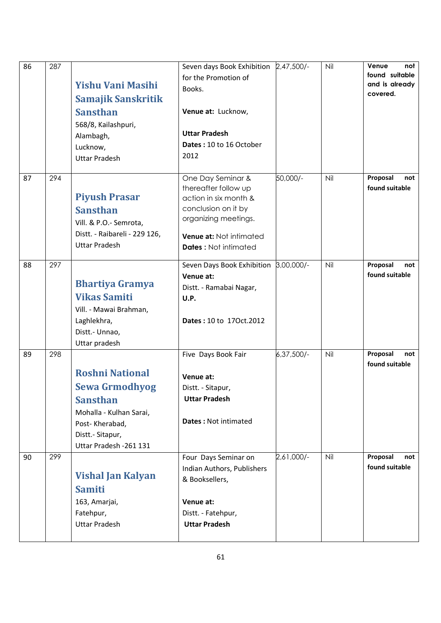| 86 | 287 | <b>Yishu Vani Masihi</b><br>Samajik Sanskritik<br><b>Sansthan</b><br>568/8, Kailashpuri,<br>Alambagh,<br>Lucknow,<br><b>Uttar Pradesh</b>                      | Seven days Book Exhibition 2.47.500/-<br>for the Promotion of<br>Books.<br>Venue at: Lucknow,<br><b>Uttar Pradesh</b><br>Dates: 10 to 16 October<br>2012                    |              | Nil | Venue<br>not<br>found suitable<br>and is already<br>covered. |
|----|-----|----------------------------------------------------------------------------------------------------------------------------------------------------------------|-----------------------------------------------------------------------------------------------------------------------------------------------------------------------------|--------------|-----|--------------------------------------------------------------|
| 87 | 294 | <b>Piyush Prasar</b><br><b>Sansthan</b><br>Vill. & P.O.- Semrota,<br>Distt. - Raibareli - 229 126,<br><b>Uttar Pradesh</b>                                     | One Day Seminar &<br>thereafter follow up<br>action in six month &<br>conclusion on it by<br>organizing meetings.<br>Venue at: Not intimated<br><b>Dates: Not intimated</b> | 50,000/-     | Nil | Proposal<br>not<br>found suitable                            |
| 88 | 297 | <b>Bhartiya Gramya</b><br><b>Vikas Samiti</b><br>Vill. - Mawai Brahman,<br>Laghlekhra,<br>Distt.- Unnao,<br>Uttar pradesh                                      | Seven Days Book Exhibition 3,00,000/-<br>Venue at:<br>Distt. - Ramabai Nagar,<br>U.P.<br>Dates: 10 to 170ct.2012                                                            |              | Nil | Proposal<br>not<br>found suitable                            |
| 89 | 298 | <b>Roshni National</b><br><b>Sewa Grmodhyog</b><br><b>Sansthan</b><br>Mohalla - Kulhan Sarai,<br>Post-Kherabad,<br>Distt.- Sitapur,<br>Uttar Pradesh - 261 131 | Five Days Book Fair<br>Venue at:<br>Distt. - Sitapur,<br><b>Uttar Pradesh</b><br><b>Dates: Not intimated</b>                                                                | $6,37,500/-$ | Nil | Proposal<br>not<br>found suitable                            |
| 90 | 299 | <b>Vishal Jan Kalyan</b><br><b>Samiti</b><br>163, Amarjai,<br>Fatehpur,<br><b>Uttar Pradesh</b>                                                                | Four Days Seminar on<br>Indian Authors, Publishers<br>& Booksellers,<br>Venue at:<br>Distt. - Fatehpur,<br><b>Uttar Pradesh</b>                                             | 2,61,000/-   | Nil | Proposal<br>not<br>found suitable                            |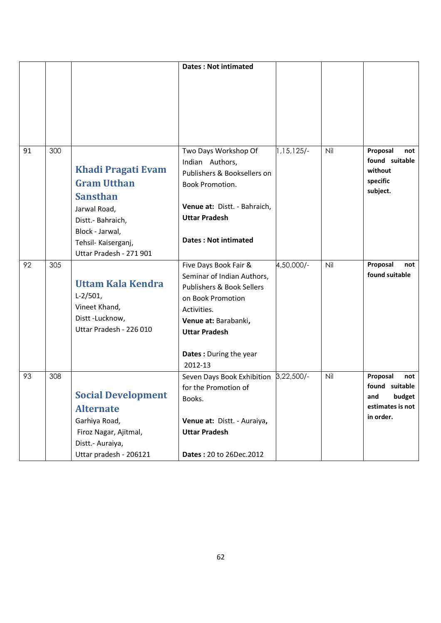|    |     |                                                                                                                                                                       | <b>Dates: Not intimated</b>                                                                                                                                                                                          |            |     |                                                                                     |
|----|-----|-----------------------------------------------------------------------------------------------------------------------------------------------------------------------|----------------------------------------------------------------------------------------------------------------------------------------------------------------------------------------------------------------------|------------|-----|-------------------------------------------------------------------------------------|
|    |     |                                                                                                                                                                       |                                                                                                                                                                                                                      |            |     |                                                                                     |
| 91 | 300 | Khadi Pragati Evam<br><b>Gram Utthan</b><br><b>Sansthan</b><br>Jarwal Road,<br>Distt.- Bahraich,<br>Block - Jarwal,<br>Tehsil- Kaiserganj,<br>Uttar Pradesh - 271 901 | Two Days Workshop Of<br>Indian Authors,<br>Publishers & Booksellers on<br>Book Promotion.<br>Venue at: Distt. - Bahraich,<br><b>Uttar Pradesh</b><br><b>Dates: Not intimated</b>                                     | 1,15,125/- | Nil | Proposal<br>not<br>found suitable<br>without<br>specific<br>subject.                |
| 92 | 305 | <b>Uttam Kala Kendra</b><br>$L-2/501$ ,<br>Vineet Khand,<br>Distt-Lucknow,<br>Uttar Pradesh - 226 010                                                                 | Five Days Book Fair &<br>Seminar of Indian Authors,<br><b>Publishers &amp; Book Sellers</b><br>on Book Promotion<br>Activities.<br>Venue at: Barabanki,<br><b>Uttar Pradesh</b><br>Dates: During the year<br>2012-13 | 4,50,000/- | Nil | Proposal<br>not<br>found suitable                                                   |
| 93 | 308 | <b>Social Development</b><br><b>Alternate</b><br>Garhiya Road,<br>Firoz Nagar, Ajitmal,<br>Distt.- Auraiya,<br>Uttar pradesh - 206121                                 | Seven Days Book Exhibition 3,22,500/-<br>for the Promotion of<br>Books.<br>Venue at: Distt. - Auraiya,<br><b>Uttar Pradesh</b><br>Dates: 20 to 26Dec.2012                                                            |            | Nil | Proposal<br>not<br>found suitable<br>budget<br>and<br>estimates is not<br>in order. |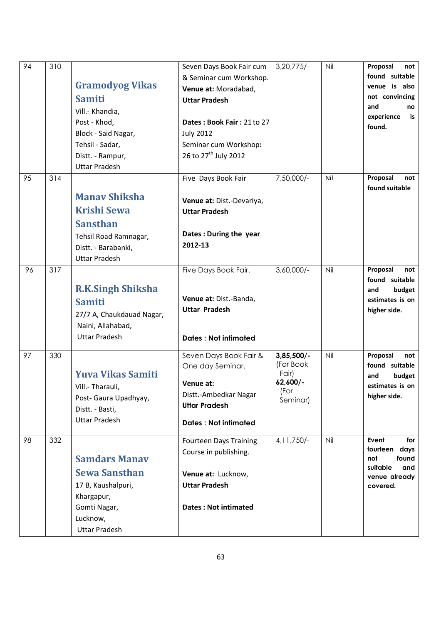| 94 | 310 | <b>Gramodyog Vikas</b><br><b>Samiti</b><br>Vill.- Khandia,<br>Post - Khod,<br>Block - Said Nagar,<br>Tehsil - Sadar,<br>Distt. - Rampur,<br><b>Uttar Pradesh</b> | Seven Days Book Fair cum<br>& Seminar cum Workshop.<br>Venue at: Moradabad,<br><b>Uttar Pradesh</b><br>Dates: Book Fair: 21 to 27<br><b>July 2012</b><br>Seminar cum Workshop:<br>26 to 27 <sup>th</sup> July 2012 | $3,20,775/-$                                                       | Nil | Proposal<br>not<br>found suitable<br>venue is also<br>not convincing<br>and<br>no<br>experience<br>is<br>found. |
|----|-----|------------------------------------------------------------------------------------------------------------------------------------------------------------------|--------------------------------------------------------------------------------------------------------------------------------------------------------------------------------------------------------------------|--------------------------------------------------------------------|-----|-----------------------------------------------------------------------------------------------------------------|
| 95 | 314 | <b>Manay Shiksha</b><br><b>Krishi Sewa</b><br><b>Sansthan</b><br>Tehsil Road Ramnagar,<br>Distt. - Barabanki,<br><b>Uttar Pradesh</b>                            | Five Days Book Fair<br>Venue at: Dist.-Devariya,<br><b>Uttar Pradesh</b><br>Dates: During the year<br>2012-13                                                                                                      | 7,50,000/-                                                         | Nil | Proposal<br>not<br>found suitable                                                                               |
| 96 | 317 | <b>R.K.Singh Shiksha</b><br><b>Samiti</b><br>27/7 A, Chaukdauad Nagar,<br>Naini, Allahabad,<br><b>Uttar Pradesh</b>                                              | Five Days Book Fair.<br>Venue at: Dist.-Banda,<br><b>Uttar Pradesh</b><br><b>Dates: Not intimated</b>                                                                                                              | 3,60,000/-                                                         | Nil | Proposal<br>not<br>found suitable<br>budget<br>and<br>estimates is on<br>higher side.                           |
| 97 | 330 | <b>Yuva Vikas Samiti</b><br>Vill.- Tharauli,<br>Post-Gaura Upadhyay,<br>Distt. - Basti,<br><b>Uttar Pradesh</b>                                                  | Seven Days Book Fair &<br>One day Seminar.<br>Venue at:<br>Distt.-Ambedkar Nagar<br><b>Uttar Pradesh</b><br><b>Dates: Not intimated</b>                                                                            | $3,85,500/-$<br>(For Book<br>Fair)<br>62,600/-<br>(For<br>Seminar) | Nil | Proposal<br>not<br>found suitable<br>and<br>budget<br>estimates is on<br>higher side.                           |
| 98 | 332 | <b>Samdars Manav</b><br><b>Sewa Sansthan</b><br>17 B, Kaushalpuri,<br>Khargapur,<br>Gomti Nagar,<br>Lucknow,<br><b>Uttar Pradesh</b>                             | <b>Fourteen Days Training</b><br>Course in publishing.<br>Venue at: Lucknow,<br><b>Uttar Pradesh</b><br><b>Dates: Not intimated</b>                                                                                | 4, 11, 750/-                                                       | Nil | Event<br>for<br>fourteen days<br>not<br>found<br>suitable<br>and<br>venue already<br>covered.                   |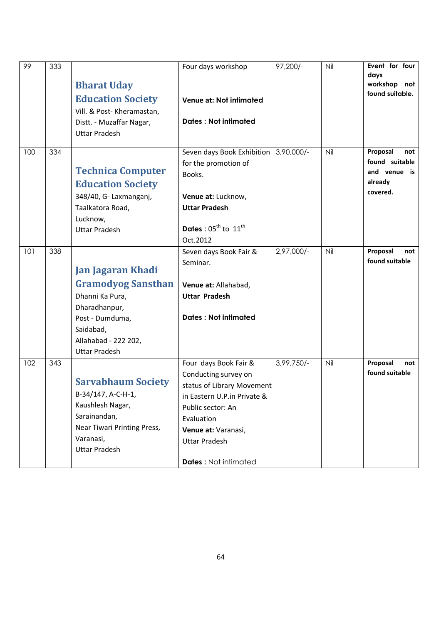| 99  | 333 | <b>Bharat Uday</b><br><b>Education Society</b><br>Vill. & Post- Kheramastan,<br>Distt. - Muzaffar Nagar,<br><b>Uttar Pradesh</b>                                          | Four days workshop<br>Venue at: Not intimated<br><b>Dates: Not intimated</b>                                                                                                                                                | 97,200/-   | Nil | Event for four<br>days<br>workshop not<br>found suitable.                |
|-----|-----|---------------------------------------------------------------------------------------------------------------------------------------------------------------------------|-----------------------------------------------------------------------------------------------------------------------------------------------------------------------------------------------------------------------------|------------|-----|--------------------------------------------------------------------------|
| 100 | 334 | <b>Technica Computer</b><br><b>Education Society</b><br>348/40, G- Laxmanganj,<br>Taalkatora Road,<br>Lucknow,<br><b>Uttar Pradesh</b>                                    | Seven days Book Exhibition<br>for the promotion of<br>Books.<br>Venue at: Lucknow,<br><b>Uttar Pradesh</b><br>Dates: $05^{\text{th}}$ to $11^{\text{th}}$<br>Oct.2012                                                       | 3,90,000/- | Nil | Proposal<br>not<br>found suitable<br>and venue is<br>already<br>covered. |
| 101 | 338 | <b>Jan Jagaran Khadi</b><br><b>Gramodyog Sansthan</b><br>Dhanni Ka Pura,<br>Dharadhanpur,<br>Post - Dumduma,<br>Saidabad,<br>Allahabad - 222 202,<br><b>Uttar Pradesh</b> | Seven days Book Fair &<br>Seminar.<br>Venue at: Allahabad,<br><b>Uttar Pradesh</b><br><b>Dates: Not intimated</b>                                                                                                           | 2,97,000/- | Nil | Proposal<br>not<br>found suitable                                        |
| 102 | 343 | <b>Sarvabhaum Society</b><br>B-34/147, A-C-H-1,<br>Kaushlesh Nagar,<br>Sarainandan,<br>Near Tiwari Printing Press,<br>Varanasi,<br><b>Uttar Pradesh</b>                   | Four days Book Fair &<br>Conducting survey on<br>status of Library Movement<br>in Eastern U.P.in Private &<br>Public sector: An<br>Evaluation<br>Venue at: Varanasi,<br><b>Uttar Pradesh</b><br><b>Dates: Not intimated</b> | 3,99,750/- | Nil | Proposal<br>not<br>found suitable                                        |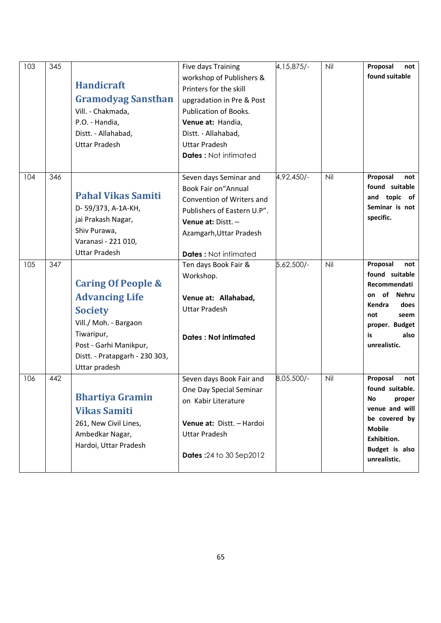| 103 | 345 | <b>Handicraft</b><br><b>Gramodyag Sansthan</b><br>Vill. - Chakmada,<br>P.O. - Handia,<br>Distt. - Allahabad,<br><b>Uttar Pradesh</b>                                                         | Five days Training<br>workshop of Publishers &<br>Printers for the skill<br>upgradation in Pre & Post<br><b>Publication of Books.</b><br>Venue at: Handia,<br>Distt. - Allahabad,<br><b>Uttar Pradesh</b><br><b>Dates: Not intimated</b> | 4, 15, 875/- | Nil | Proposal<br>not<br>found suitable                                                                                                                        |
|-----|-----|----------------------------------------------------------------------------------------------------------------------------------------------------------------------------------------------|------------------------------------------------------------------------------------------------------------------------------------------------------------------------------------------------------------------------------------------|--------------|-----|----------------------------------------------------------------------------------------------------------------------------------------------------------|
| 104 | 346 | <b>Pahal Vikas Samiti</b><br>D-59/373, A-1A-KH,<br>jai Prakash Nagar,<br>Shiv Purawa,<br>Varanasi - 221 010,<br><b>Uttar Pradesh</b>                                                         | Seven days Seminar and<br><b>Book Fair on "Annual</b><br>Convention of Writers and<br>Publishers of Eastern U.P".<br>Venue at: $Dist. -$<br>Azamgarh, Uttar Pradesh<br><b>Dates: Not intimated</b>                                       | 4,92,450/-   | Nil | Proposal<br>not<br>found suitable<br>and topic of<br>Seminar is not<br>specific.                                                                         |
| 105 | 347 | <b>Caring Of People &amp;</b><br><b>Advancing Life</b><br><b>Society</b><br>Vill./ Moh. - Bargaon<br>Tiwaripur,<br>Post - Garhi Manikpur,<br>Distt. - Pratapgarh - 230 303,<br>Uttar pradesh | Ten days Book Fair &<br>Workshop.<br>Venue at: Allahabad,<br><b>Uttar Pradesh</b><br><b>Dates: Not intimated</b>                                                                                                                         | 5,62,500/-   | Nil | Proposal<br>not<br>found suitable<br>Recommendati<br>of<br>Nehru<br>on<br>Kendra<br>does<br>not<br>seem<br>proper. Budget<br>is<br>also<br>unrealistic.  |
| 106 | 442 | <b>Bhartiya Gramin</b><br><b>Vikas Samiti</b><br>261, New Civil Lines,<br>Ambedkar Nagar,<br>Hardoi, Uttar Pradesh                                                                           | Seven days Book Fair and<br>One Day Special Seminar<br>on Kabir Literature<br>Venue at: Distt. - Hardoi<br><b>Uttar Pradesh</b><br><b>Dates: 24 to 30 Sep2012</b>                                                                        | 8,05,500/-   | Nil | Proposal<br>not<br>found suitable.<br>No.<br>proper<br>venue and will<br>be covered by<br><b>Mobile</b><br>Exhibition.<br>Budget is also<br>unrealistic. |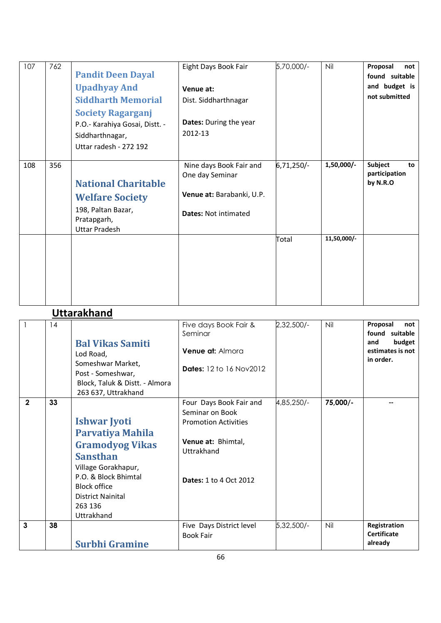| 107 | 762 | <b>Pandit Deen Dayal</b><br><b>Upadhyay And</b><br><b>Siddharth Memorial</b><br><b>Society Ragarganj</b><br>P.O.- Karahiya Gosai, Distt. -<br>Siddharthnagar,<br>Uttar radesh - 272 192 | Eight Days Book Fair<br>Venue at:<br>Dist. Siddharthnagar<br><b>Dates:</b> During the year<br>2012-13  | 5,70,000/- | Nil         | Proposal<br>not<br>found suitable<br>and budget is<br>not submitted |
|-----|-----|-----------------------------------------------------------------------------------------------------------------------------------------------------------------------------------------|--------------------------------------------------------------------------------------------------------|------------|-------------|---------------------------------------------------------------------|
| 108 | 356 | <b>National Charitable</b><br><b>Welfare Society</b><br>198, Paltan Bazar,<br>Pratapgarh,<br><b>Uttar Pradesh</b>                                                                       | Nine days Book Fair and<br>One day Seminar<br>Venue at: Barabanki, U.P.<br><b>Dates: Not intimated</b> | 6,71,250/- | 1,50,000/-  | Subject<br>to<br>participation<br>by N.R.O                          |
|     |     |                                                                                                                                                                                         |                                                                                                        | Total      | 11,50,000/- |                                                                     |

#### **Uttarakhand**

|                | 14 | <b>Bal Vikas Samiti</b><br>Lod Road,<br>Someshwar Market,<br>Post - Someshwar,<br>Block, Taluk & Distt. - Almora<br>263 637, Uttrakhand                                                                                | Five days Book Fair &<br>Seminar<br><b>Venue at: Almora</b><br><b>Dates:</b> 12 to 16 Nov2012                                                  | 2,32,500/- | Nil      | Proposal<br>not<br>found suitable<br>budget<br>and<br>estimates is not<br>in order. |
|----------------|----|------------------------------------------------------------------------------------------------------------------------------------------------------------------------------------------------------------------------|------------------------------------------------------------------------------------------------------------------------------------------------|------------|----------|-------------------------------------------------------------------------------------|
| $\overline{2}$ | 33 | <b>Ishwar Jyoti</b><br><b>Parvatiya Mahila</b><br><b>Gramodyog Vikas</b><br><b>Sansthan</b><br>Village Gorakhapur,<br>P.O. & Block Bhimtal<br><b>Block office</b><br><b>District Nainital</b><br>263 136<br>Uttrakhand | Four Days Book Fair and<br>Seminar on Book<br><b>Promotion Activities</b><br>Venue at: Bhimtal,<br>Uttrakhand<br><b>Dates:</b> 1 to 4 Oct 2012 | 4,85,250/- | 75,000/- |                                                                                     |
| $\mathbf{3}$   | 38 | <b>Surbhi Gramine</b>                                                                                                                                                                                                  | Five Days District level<br><b>Book Fair</b>                                                                                                   | 5,32,500/- | Nil      | Registration<br><b>Certificate</b><br>already                                       |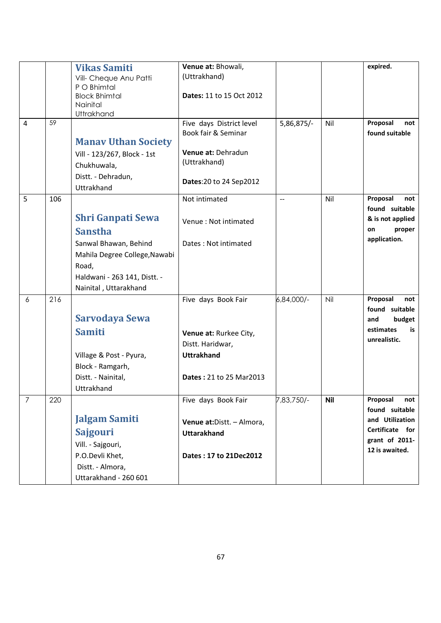|                |     | <b>Vikas Samiti</b><br>Vill- Cheque Anu Patti<br>P O Bhimtal<br><b>Block Bhimtal</b>                                                                                   | Venue at: Bhowali,<br>(Uttrakhand)<br><b>Dates: 11 to 15 Oct 2012</b>                                                    |                          |            | expired.                                                                                                    |
|----------------|-----|------------------------------------------------------------------------------------------------------------------------------------------------------------------------|--------------------------------------------------------------------------------------------------------------------------|--------------------------|------------|-------------------------------------------------------------------------------------------------------------|
|                |     | Nainital<br>Uttrakhand                                                                                                                                                 |                                                                                                                          |                          |            |                                                                                                             |
| $\overline{4}$ | 59  | <b>Manav Uthan Society</b><br>Vill - 123/267, Block - 1st<br>Chukhuwala,<br>Distt. - Dehradun,<br>Uttrakhand                                                           | Five days District level<br>Book fair & Seminar<br>Venue at: Dehradun<br>(Uttrakhand)<br>Dates: 20 to 24 Sep2012         | 5,86,875/-               | Nil        | Proposal<br>not<br>found suitable                                                                           |
| 5              | 106 | <b>Shri Ganpati Sewa</b><br><b>Sanstha</b><br>Sanwal Bhawan, Behind<br>Mahila Degree College, Nawabi<br>Road,<br>Haldwani - 263 141, Distt. -<br>Nainital, Uttarakhand | Not intimated<br>Venue: Not intimated<br>Dates: Not intimated                                                            | $\overline{\phantom{m}}$ | Nil        | Proposal<br>not<br>found suitable<br>& is not applied<br>proper<br>on<br>application.                       |
| 6              | 216 | Sarvodaya Sewa<br><b>Samiti</b><br>Village & Post - Pyura,<br>Block - Ramgarh,<br>Distt. - Nainital,<br>Uttrakhand                                                     | Five days Book Fair<br>Venue at: Rurkee City,<br>Distt. Haridwar,<br><b>Uttrakhand</b><br><b>Dates: 21 to 25 Mar2013</b> | 6,84,000/-               | Nil        | Proposal<br>not<br>found suitable<br>budget<br>and<br>estimates<br>is<br>unrealistic.                       |
| $\overline{7}$ | 220 | <b>Jalgam Samiti</b><br><b>Sajgouri</b><br>Vill. - Sajgouri,<br>P.O.Devli Khet,<br>Distt. - Almora,<br>Uttarakhand - 260 601                                           | Five days Book Fair<br>Venue at: Distt. - Almora,<br><b>Uttarakhand</b><br>Dates: 17 to 21Dec2012                        | 7,83,750/-               | <b>Nil</b> | Proposal<br>not<br>found suitable<br>and Utilization<br>Certificate for<br>grant of 2011-<br>12 is awaited. |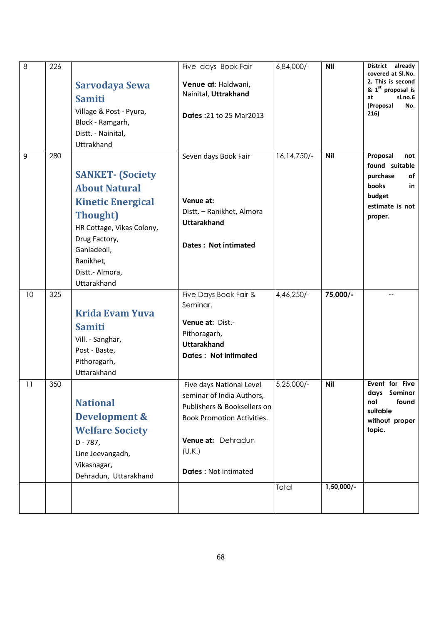| $\,8\,$ | 226 | Sarvodaya Sewa<br><b>Samiti</b><br>Village & Post - Pyura,<br>Block - Ramgarh,<br>Distt. - Nainital,<br>Uttrakhand                                                                                          | Five days Book Fair<br>Venue at: Haldwani,<br>Nainital, Uttrakhand<br><b>Dates: 21 to 25 Mar2013</b>                                                                                     | 6,84,000/-    | <b>Nil</b>                 | <b>District</b><br>already<br>covered at Sl.No.<br>2. This is second<br>& 1st proposal is<br>sl.no.6<br>at<br>(Proposal<br>No.<br>216) |
|---------|-----|-------------------------------------------------------------------------------------------------------------------------------------------------------------------------------------------------------------|------------------------------------------------------------------------------------------------------------------------------------------------------------------------------------------|---------------|----------------------------|----------------------------------------------------------------------------------------------------------------------------------------|
| 9       | 280 | <b>SANKET- (Society</b><br><b>About Natural</b><br><b>Kinetic Energical</b><br><b>Thought</b> )<br>HR Cottage, Vikas Colony,<br>Drug Factory,<br>Ganiadeoli,<br>Ranikhet,<br>Distt.- Almora,<br>Uttarakhand | Seven days Book Fair<br>Venue at:<br>Distt. - Ranikhet, Almora<br><b>Uttarakhand</b><br>Dates: Not intimated                                                                             | 16, 14, 750/- | <b>Nil</b>                 | Proposal<br>not<br>found suitable<br>purchase<br>of<br>books<br>in<br>budget<br>estimate is not<br>proper.                             |
| 10      | 325 | <b>Krida Evam Yuva</b><br><b>Samiti</b><br>Vill. - Sanghar,<br>Post - Baste,<br>Pithoragarh,<br>Uttarakhand                                                                                                 | Five Days Book Fair &<br>Seminar.<br>Venue at: Dist.-<br>Pithoragarh,<br><b>Uttarakhand</b><br><b>Dates: Not intimated</b>                                                               | 4,46,250/-    | 75,000/-                   | --                                                                                                                                     |
| 11      | 350 | <b>National</b><br><b>Development &amp;</b><br><b>Welfare Society</b><br>$D - 787$ ,<br>Line Jeevangadh,<br>Vikasnagar,<br>Dehradun, Uttarakhand                                                            | Five days National Level<br>seminar of India Authors,<br>Publishers & Booksellers on<br><b>Book Promotion Activities.</b><br>Venue at: Dehradun<br>(U.K.)<br><b>Dates: Not intimated</b> | $5,25,000/-$  | <b>Nil</b><br>$1,50,000/-$ | Event for Five<br>days Seminar<br>found<br>not<br>suitable<br>without proper<br>topic.                                                 |
|         |     |                                                                                                                                                                                                             |                                                                                                                                                                                          | Total         |                            |                                                                                                                                        |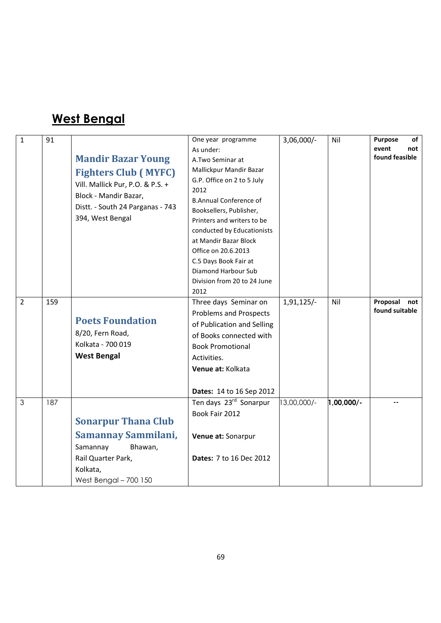### West Bengal

| $\mathbf{1}$   | 91  | <b>Mandir Bazar Young</b><br><b>Fighters Club (MYFC)</b><br>Vill. Mallick Pur, P.O. & P.S. +<br>Block - Mandir Bazar,<br>Distt. - South 24 Parganas - 743<br>394, West Bengal | One year programme<br>As under:<br>A.Two Seminar at<br>Mallickpur Mandir Bazar<br>G.P. Office on 2 to 5 July<br>2012<br><b>B.Annual Conference of</b><br>Booksellers, Publisher,<br>Printers and writers to be<br>conducted by Educationists<br>at Mandir Bazar Block<br>Office on 20.6.2013<br>C.5 Days Book Fair at<br>Diamond Harbour Sub<br>Division from 20 to 24 June<br>2012 | $3,06,000/-$ | Nil          | <b>Purpose</b><br>of<br>event<br>not<br>found feasible |
|----------------|-----|-------------------------------------------------------------------------------------------------------------------------------------------------------------------------------|-------------------------------------------------------------------------------------------------------------------------------------------------------------------------------------------------------------------------------------------------------------------------------------------------------------------------------------------------------------------------------------|--------------|--------------|--------------------------------------------------------|
| $\overline{2}$ | 159 | <b>Poets Foundation</b><br>8/20, Fern Road,<br>Kolkata - 700 019<br><b>West Bengal</b>                                                                                        | Three days Seminar on<br><b>Problems and Prospects</b><br>of Publication and Selling<br>of Books connected with<br><b>Book Promotional</b><br>Activities.<br>Venue at: Kolkata<br><b>Dates: 14 to 16 Sep 2012</b>                                                                                                                                                                   | $1,91,125/-$ | Nil          | Proposal<br>not<br>found suitable                      |
| 3              | 187 | <b>Sonarpur Thana Club</b><br>Samannay Sammilani,<br>Samannay<br>Bhawan,<br>Rail Quarter Park,<br>Kolkata,<br>West Bengal - 700 150                                           | Ten days 23rd Sonarpur<br>Book Fair 2012<br>Venue at: Sonarpur<br>Dates: 7 to 16 Dec 2012                                                                                                                                                                                                                                                                                           | 3,00,000/-   | $1,00,000/-$ |                                                        |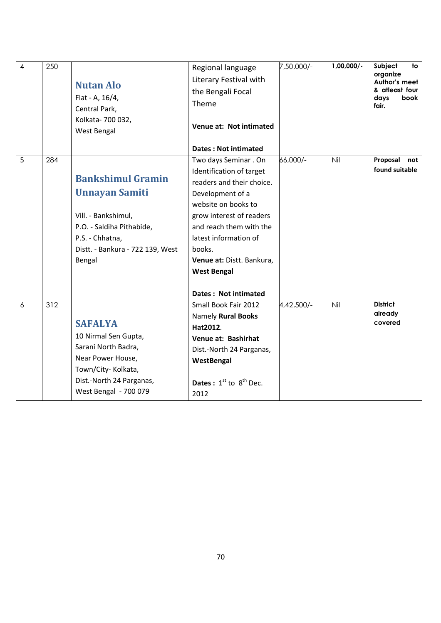| $\overline{4}$ | 250 | <b>Nutan Alo</b><br>Flat - A, 16/4,<br>Central Park,<br>Kolkata- 700 032,<br>West Bengal                                                                               | Regional language<br>Literary Festival with<br>the Bengali Focal<br>Theme<br>Venue at: Not intimated<br><b>Dates: Not intimated</b>                                                                                                                                                                   | 7,50,000/- | $1,00,000/-$ | Subject<br>to<br>organize<br>Author's meet<br>& atleast four<br>days<br>book<br>fair. |
|----------------|-----|------------------------------------------------------------------------------------------------------------------------------------------------------------------------|-------------------------------------------------------------------------------------------------------------------------------------------------------------------------------------------------------------------------------------------------------------------------------------------------------|------------|--------------|---------------------------------------------------------------------------------------|
| 5              | 284 | <b>Bankshimul Gramin</b><br><b>Unnayan Samiti</b><br>Vill. - Bankshimul,<br>P.O. - Saldiha Pithabide,<br>P.S. - Chhatna,<br>Distt. - Bankura - 722 139, West<br>Bengal | Two days Seminar . On<br>Identification of target<br>readers and their choice.<br>Development of a<br>website on books to<br>grow interest of readers<br>and reach them with the<br>latest information of<br>books.<br>Venue at: Distt. Bankura,<br><b>West Bengal</b><br><b>Dates: Not intimated</b> | 66,000/-   | Nil          | Proposal<br>not<br>found suitable                                                     |
| 6              | 312 | <b>SAFALYA</b><br>10 Nirmal Sen Gupta,<br>Sarani North Badra,<br>Near Power House,<br>Town/City-Kolkata,<br>Dist.-North 24 Parganas,<br>West Bengal - 700 079          | Small Book Fair 2012<br>Namely Rural Books<br>Hat2012.<br>Venue at: Bashirhat<br>Dist.-North 24 Parganas,<br>WestBengal<br><b>Dates</b> : $1^{st}$ to $8^{th}$ Dec.<br>2012                                                                                                                           | 4,42,500/- | Nil          | <b>District</b><br>already<br>covered                                                 |